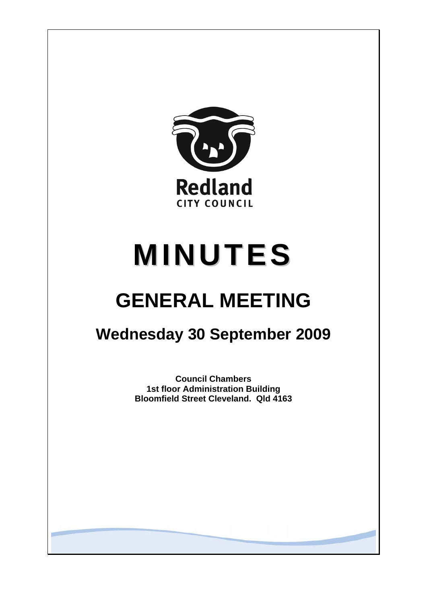

# **MINUTES**

# **GENERAL MEETING**

# **Wednesday 30 September 2009**

**Council Chambers 1st floor Administration Building Bloomfield Street Cleveland. Qld 4163**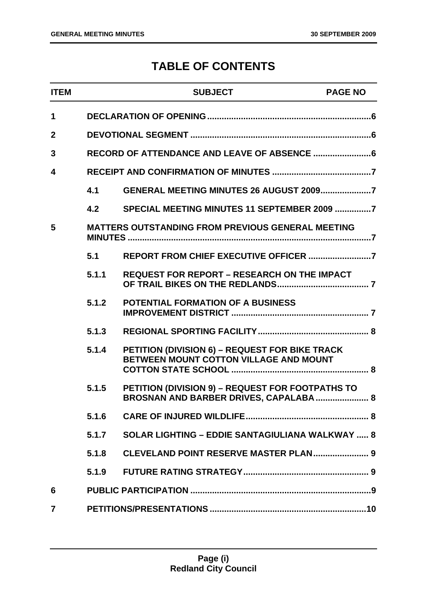### **TABLE OF CONTENTS**

| <b>ITEM</b>  |       | <b>SUBJECT</b>                                                                            | <b>PAGE NO</b> |
|--------------|-------|-------------------------------------------------------------------------------------------|----------------|
| $\mathbf 1$  |       |                                                                                           |                |
| $\mathbf{2}$ |       |                                                                                           |                |
| 3            |       | RECORD OF ATTENDANCE AND LEAVE OF ABSENCE  6                                              |                |
| 4            |       |                                                                                           |                |
|              | 4.1   |                                                                                           |                |
|              | 4.2   | SPECIAL MEETING MINUTES 11 SEPTEMBER 2009 7                                               |                |
| 5            |       | <b>MATTERS OUTSTANDING FROM PREVIOUS GENERAL MEETING</b>                                  |                |
|              | 5.1   |                                                                                           |                |
|              | 5.1.1 | <b>REQUEST FOR REPORT - RESEARCH ON THE IMPACT</b>                                        |                |
|              | 5.1.2 | <b>POTENTIAL FORMATION OF A BUSINESS</b>                                                  |                |
|              | 5.1.3 |                                                                                           |                |
|              | 5.1.4 | PETITION (DIVISION 6) - REQUEST FOR BIKE TRACK<br>BETWEEN MOUNT COTTON VILLAGE AND MOUNT  |                |
|              | 5.1.5 | PETITION (DIVISION 9) - REQUEST FOR FOOTPATHS TO<br>BROSNAN AND BARBER DRIVES, CAPALABA 8 |                |
|              | 5.1.6 |                                                                                           |                |
|              | 5.1.7 | <b>SOLAR LIGHTING - EDDIE SANTAGIULIANA WALKWAY  8</b>                                    |                |
|              | 5.1.8 | <b>CLEVELAND POINT RESERVE MASTER PLAN 9</b>                                              |                |
|              | 5.1.9 |                                                                                           |                |
| 6            |       |                                                                                           |                |
| 7            |       |                                                                                           |                |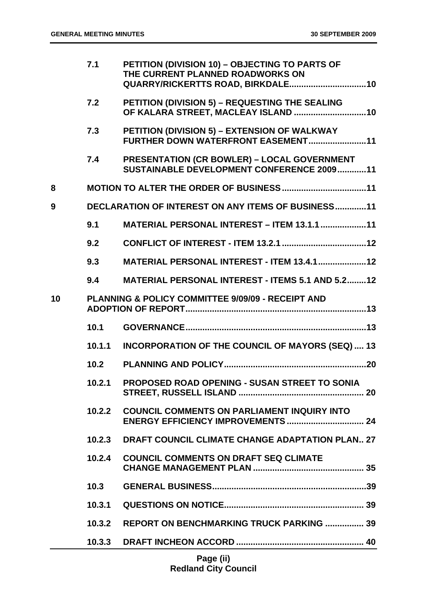|    | 7.1    | PETITION (DIVISION 10) - OBJECTING TO PARTS OF<br>THE CURRENT PLANNED ROADWORKS ON              |
|----|--------|-------------------------------------------------------------------------------------------------|
|    | 7.2    | PETITION (DIVISION 5) - REQUESTING THE SEALING<br>OF KALARA STREET, MACLEAY ISLAND  10          |
|    | 7.3    | PETITION (DIVISION 5) - EXTENSION OF WALKWAY<br>FURTHER DOWN WATERFRONT EASEMENT11              |
|    | 7.4    | <b>PRESENTATION (CR BOWLER) - LOCAL GOVERNMENT</b><br>SUSTAINABLE DEVELOPMENT CONFERENCE 200911 |
| 8  |        |                                                                                                 |
| 9  |        | <b>DECLARATION OF INTEREST ON ANY ITEMS OF BUSINESS11</b>                                       |
|    | 9.1    | <b>MATERIAL PERSONAL INTEREST - ITEM 13.1.1 11</b>                                              |
|    | 9.2    |                                                                                                 |
|    | 9.3    | <b>MATERIAL PERSONAL INTEREST - ITEM 13.4.1  12</b>                                             |
|    | 9.4    | <b>MATERIAL PERSONAL INTEREST - ITEMS 5.1 AND 5.212</b>                                         |
| 10 |        | PLANNING & POLICY COMMITTEE 9/09/09 - RECEIPT AND                                               |
|    | 10.1   |                                                                                                 |
|    | 10.1.1 | <b>INCORPORATION OF THE COUNCIL OF MAYORS (SEQ) 13</b>                                          |
|    | 10.2   |                                                                                                 |
|    | 10.2.1 | PROPOSED ROAD OPENING - SUSAN STREET TO SONIA                                                   |
|    | 10.2.2 | <b>COUNCIL COMMENTS ON PARLIAMENT INQUIRY INTO</b>                                              |
|    | 10.2.3 | DRAFT COUNCIL CLIMATE CHANGE ADAPTATION PLAN 27                                                 |
|    | 10.2.4 | <b>COUNCIL COMMENTS ON DRAFT SEQ CLIMATE</b>                                                    |
|    | 10.3   |                                                                                                 |
|    | 10.3.1 |                                                                                                 |
|    | 10.3.2 | <b>REPORT ON BENCHMARKING TRUCK PARKING  39</b>                                                 |
|    | 10.3.3 |                                                                                                 |
|    |        |                                                                                                 |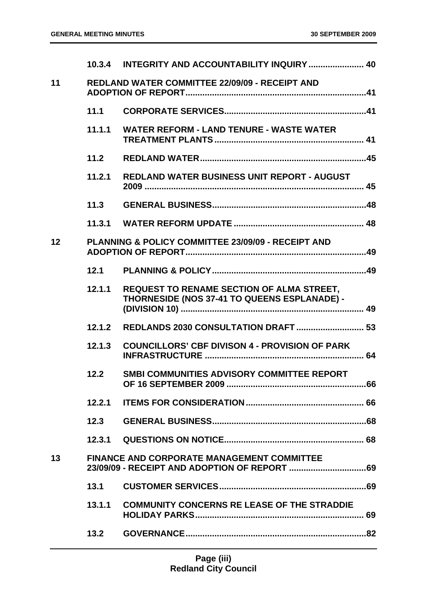|    |        | 10.3.4 INTEGRITY AND ACCOUNTABILITY INQUIRY  40                                                  |  |
|----|--------|--------------------------------------------------------------------------------------------------|--|
| 11 |        | <b>REDLAND WATER COMMITTEE 22/09/09 - RECEIPT AND</b>                                            |  |
|    | 11.1   |                                                                                                  |  |
|    | 11.1.1 | <b>WATER REFORM - LAND TENURE - WASTE WATER</b>                                                  |  |
|    | 11.2   |                                                                                                  |  |
|    | 11.2.1 | REDLAND WATER BUSINESS UNIT REPORT - AUGUST                                                      |  |
|    | 11.3   |                                                                                                  |  |
|    |        |                                                                                                  |  |
| 12 |        | PLANNING & POLICY COMMITTEE 23/09/09 - RECEIPT AND                                               |  |
|    | 12.1   |                                                                                                  |  |
|    | 12.1.1 | <b>REQUEST TO RENAME SECTION OF ALMA STREET,</b><br>THORNESIDE (NOS 37-41 TO QUEENS ESPLANADE) - |  |
|    | 12.1.2 | REDLANDS 2030 CONSULTATION DRAFT  53                                                             |  |
|    | 12.1.3 | <b>COUNCILLORS' CBF DIVISON 4 - PROVISION OF PARK</b>                                            |  |
|    | 12.2   | SMBI COMMUNITIES ADVISORY COMMITTEE REPORT                                                       |  |
|    | 12.2.1 |                                                                                                  |  |
|    | 12.3   |                                                                                                  |  |
|    |        |                                                                                                  |  |
| 13 |        | <b>FINANCE AND CORPORATE MANAGEMENT COMMITTEE</b>                                                |  |
|    | 13.1   |                                                                                                  |  |
|    | 13.1.1 | <b>COMMUNITY CONCERNS RE LEASE OF THE STRADDIE</b>                                               |  |
|    | 13.2   |                                                                                                  |  |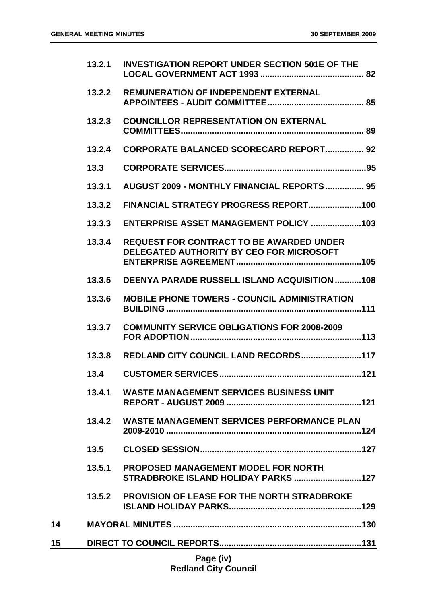|           | 13.2.1 | <b>INVESTIGATION REPORT UNDER SECTION 501E OF THE</b>                                       |
|-----------|--------|---------------------------------------------------------------------------------------------|
|           | 13.2.2 | <b>REMUNERATION OF INDEPENDENT EXTERNAL</b>                                                 |
|           | 13.2.3 | <b>COUNCILLOR REPRESENTATION ON EXTERNAL</b>                                                |
|           | 13.2.4 | <b>CORPORATE BALANCED SCORECARD REPORT 92</b>                                               |
|           | 13.3   |                                                                                             |
|           | 13.3.1 | <b>AUGUST 2009 - MONTHLY FINANCIAL REPORTS  95</b>                                          |
|           | 13.3.2 |                                                                                             |
|           | 13.3.3 |                                                                                             |
|           | 13.3.4 | <b>REQUEST FOR CONTRACT TO BE AWARDED UNDER</b><br>DELEGATED AUTHORITY BY CEO FOR MICROSOFT |
|           | 13.3.5 | <b>DEENYA PARADE RUSSELL ISLAND ACQUISITION 108</b>                                         |
|           | 13.3.6 | <b>MOBILE PHONE TOWERS - COUNCIL ADMINISTRATION</b>                                         |
|           | 13.3.7 | <b>COMMUNITY SERVICE OBLIGATIONS FOR 2008-2009</b>                                          |
|           | 13.3.8 | REDLAND CITY COUNCIL LAND RECORDS117                                                        |
|           | 13.4   |                                                                                             |
|           | 13.4.1 | <b>WASTE MANAGEMENT SERVICES BUSINESS UNIT</b>                                              |
|           |        | 13.4.2 WASTE MANAGEMENT SERVICES PERFORMANCE PLAN                                           |
|           | 13.5   |                                                                                             |
|           | 13.5.1 | <b>PROPOSED MANAGEMENT MODEL FOR NORTH</b>                                                  |
|           |        | 13.5.2 PROVISION OF LEASE FOR THE NORTH STRADBROKE                                          |
| 14        |        |                                                                                             |
| 15        |        |                                                                                             |
| Page (iv) |        |                                                                                             |

## **Redland City Council**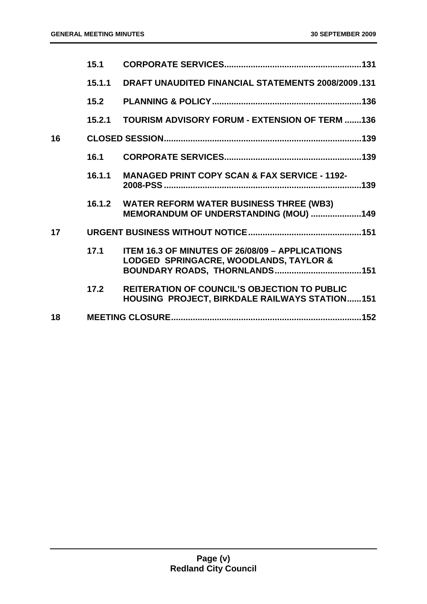| 15.1   |                                                                                                             |
|--------|-------------------------------------------------------------------------------------------------------------|
| 15.1.1 | DRAFT UNAUDITED FINANCIAL STATEMENTS 2008/2009.131                                                          |
| 15.2   |                                                                                                             |
| 15.2.1 | <b>TOURISM ADVISORY FORUM - EXTENSION OF TERM 136</b>                                                       |
|        |                                                                                                             |
| 16.1   |                                                                                                             |
| 16.1.1 | <b>MANAGED PRINT COPY SCAN &amp; FAX SERVICE - 1192-</b>                                                    |
| 16.1.2 | <b>WATER REFORM WATER BUSINESS THREE (WB3)</b><br>MEMORANDUM OF UNDERSTANDING (MOU) 149                     |
|        |                                                                                                             |
| 17.1   | <b>ITEM 16.3 OF MINUTES OF 26/08/09 - APPLICATIONS</b><br>LODGED SPRINGACRE, WOODLANDS, TAYLOR &            |
| 17.2   | <b>REITERATION OF COUNCIL'S OBJECTION TO PUBLIC</b><br><b>HOUSING PROJECT, BIRKDALE RAILWAYS STATION151</b> |
|        |                                                                                                             |
|        |                                                                                                             |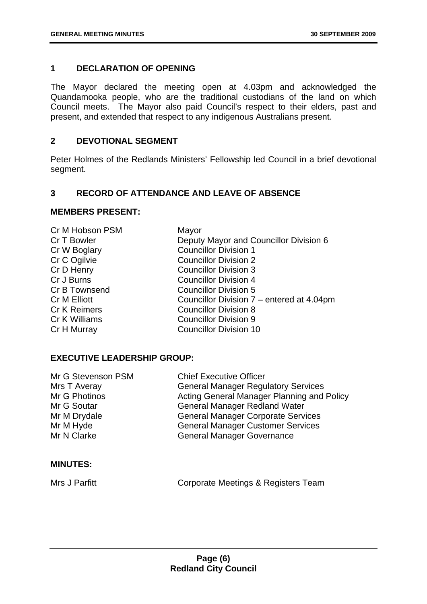#### <span id="page-6-0"></span>**1 DECLARATION OF OPENING**

The Mayor declared the meeting open at 4.03pm and acknowledged the Quandamooka people, who are the traditional custodians of the land on which Council meets. The Mayor also paid Council's respect to their elders, past and present, and extended that respect to any indigenous Australians present.

#### <span id="page-6-1"></span>**2 DEVOTIONAL SEGMENT**

Peter Holmes of the Redlands Ministers' Fellowship led Council in a brief devotional segment.

#### <span id="page-6-2"></span>**3 RECORD OF ATTENDANCE AND LEAVE OF ABSENCE**

#### **MEMBERS PRESENT:**

| Cr M Hobson PSM     | Mayor                                     |
|---------------------|-------------------------------------------|
| Cr T Bowler         | Deputy Mayor and Councillor Division 6    |
| Cr W Boglary        | <b>Councillor Division 1</b>              |
| Cr C Ogilvie        | <b>Councillor Division 2</b>              |
| Cr D Henry          | <b>Councillor Division 3</b>              |
| Cr J Burns          | <b>Councillor Division 4</b>              |
| Cr B Townsend       | <b>Councillor Division 5</b>              |
| Cr M Elliott        | Councillor Division 7 – entered at 4.04pm |
| <b>Cr K Reimers</b> | <b>Councillor Division 8</b>              |
| Cr K Williams       | <b>Councillor Division 9</b>              |
| Cr H Murray         | <b>Councillor Division 10</b>             |
|                     |                                           |

#### **EXECUTIVE LEADERSHIP GROUP:**

| Mr G Stevenson PSM | <b>Chief Executive Officer</b>             |
|--------------------|--------------------------------------------|
| Mrs T Averay       | <b>General Manager Regulatory Services</b> |
| Mr G Photinos      | Acting General Manager Planning and Policy |
| Mr G Soutar        | <b>General Manager Redland Water</b>       |
| Mr M Drydale       | <b>General Manager Corporate Services</b>  |
| Mr M Hyde          | <b>General Manager Customer Services</b>   |
| Mr N Clarke        | <b>General Manager Governance</b>          |
|                    |                                            |

#### **MINUTES:**

Mrs J Parfitt **Corporate Meetings & Registers Team**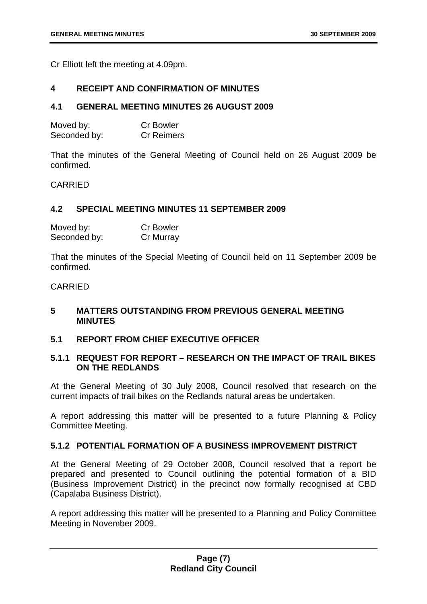Cr Elliott left the meeting at 4.09pm.

#### <span id="page-7-0"></span>**4 RECEIPT AND CONFIRMATION OF MINUTES**

#### <span id="page-7-1"></span>**4.1 GENERAL MEETING MINUTES 26 AUGUST 2009**

| Moved by:    | <b>Cr Bowler</b>  |
|--------------|-------------------|
| Seconded by: | <b>Cr Reimers</b> |

That the minutes of the General Meeting of Council held on 26 August 2009 be confirmed.

#### CARRIED

#### <span id="page-7-2"></span>**4.2 SPECIAL MEETING MINUTES 11 SEPTEMBER 2009**

| Moved by:    | <b>Cr Bowler</b> |
|--------------|------------------|
| Seconded by: | Cr Murray        |

That the minutes of the Special Meeting of Council held on 11 September 2009 be confirmed.

#### CARRIED

#### <span id="page-7-3"></span>**5 MATTERS OUTSTANDING FROM PREVIOUS GENERAL MEETING MINUTES**

#### <span id="page-7-4"></span>**5.1 REPORT FROM CHIEF EXECUTIVE OFFICER**

#### <span id="page-7-5"></span>**5.1.1 REQUEST FOR REPORT – RESEARCH ON THE IMPACT OF TRAIL BIKES ON THE REDLANDS**

At the General Meeting of 30 July 2008, Council resolved that research on the current impacts of trail bikes on the Redlands natural areas be undertaken.

A report addressing this matter will be presented to a future Planning & Policy Committee Meeting.

#### <span id="page-7-6"></span>**5.1.2 POTENTIAL FORMATION OF A BUSINESS IMPROVEMENT DISTRICT**

At the General Meeting of 29 October 2008, Council resolved that a report be prepared and presented to Council outlining the potential formation of a BID (Business Improvement District) in the precinct now formally recognised at CBD (Capalaba Business District).

A report addressing this matter will be presented to a Planning and Policy Committee Meeting in November 2009.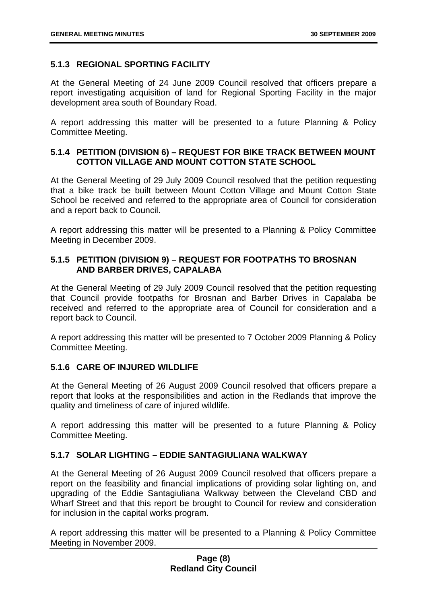#### <span id="page-8-0"></span>**5.1.3 REGIONAL SPORTING FACILITY**

At the General Meeting of 24 June 2009 Council resolved that officers prepare a report investigating acquisition of land for Regional Sporting Facility in the major development area south of Boundary Road.

A report addressing this matter will be presented to a future Planning & Policy Committee Meeting.

#### <span id="page-8-1"></span>**5.1.4 PETITION (DIVISION 6) – REQUEST FOR BIKE TRACK BETWEEN MOUNT COTTON VILLAGE AND MOUNT COTTON STATE SCHOOL**

At the General Meeting of 29 July 2009 Council resolved that the petition requesting that a bike track be built between Mount Cotton Village and Mount Cotton State School be received and referred to the appropriate area of Council for consideration and a report back to Council.

A report addressing this matter will be presented to a Planning & Policy Committee Meeting in December 2009.

#### <span id="page-8-2"></span>**5.1.5 PETITION (DIVISION 9) – REQUEST FOR FOOTPATHS TO BROSNAN AND BARBER DRIVES, CAPALABA**

At the General Meeting of 29 July 2009 Council resolved that the petition requesting that Council provide footpaths for Brosnan and Barber Drives in Capalaba be received and referred to the appropriate area of Council for consideration and a report back to Council.

A report addressing this matter will be presented to 7 October 2009 Planning & Policy Committee Meeting.

#### <span id="page-8-3"></span>**5.1.6 CARE OF INJURED WILDLIFE**

At the General Meeting of 26 August 2009 Council resolved that officers prepare a report that looks at the responsibilities and action in the Redlands that improve the quality and timeliness of care of injured wildlife.

A report addressing this matter will be presented to a future Planning & Policy Committee Meeting.

#### <span id="page-8-4"></span>**5.1.7 SOLAR LIGHTING – EDDIE SANTAGIULIANA WALKWAY**

At the General Meeting of 26 August 2009 Council resolved that officers prepare a report on the feasibility and financial implications of providing solar lighting on, and upgrading of the Eddie Santagiuliana Walkway between the Cleveland CBD and Wharf Street and that this report be brought to Council for review and consideration for inclusion in the capital works program.

A report addressing this matter will be presented to a Planning & Policy Committee Meeting in November 2009.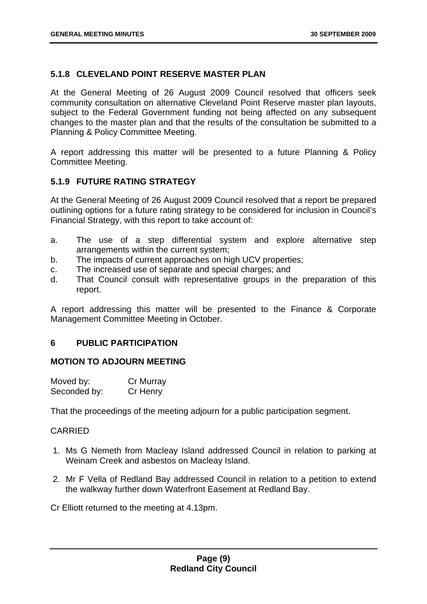#### <span id="page-9-0"></span>**5.1.8 CLEVELAND POINT RESERVE MASTER PLAN**

At the General Meeting of 26 August 2009 Council resolved that officers seek community consultation on alternative Cleveland Point Reserve master plan layouts, subject to the Federal Government funding not being affected on any subsequent changes to the master plan and that the results of the consultation be submitted to a Planning & Policy Committee Meeting.

A report addressing this matter will be presented to a future Planning & Policy Committee Meeting.

#### <span id="page-9-1"></span>**5.1.9 FUTURE RATING STRATEGY**

At the General Meeting of 26 August 2009 Council resolved that a report be prepared outlining options for a future rating strategy to be considered for inclusion in Council's Financial Strategy, with this report to take account of:

- a. The use of a step differential system and explore alternative step arrangements within the current system;
- b. The impacts of current approaches on high UCV properties;
- c. The increased use of separate and special charges; and
- d. That Council consult with representative groups in the preparation of this report.

A report addressing this matter will be presented to the Finance & Corporate Management Committee Meeting in October.

#### <span id="page-9-2"></span>**6 PUBLIC PARTICIPATION**

#### **MOTION TO ADJOURN MEETING**

| Moved by:    | Cr Murray |
|--------------|-----------|
| Seconded by: | Cr Henry  |

That the proceedings of the meeting adjourn for a public participation segment.

#### CARRIED

- 1. Ms G Nemeth from Macleay Island addressed Council in relation to parking at Weinam Creek and asbestos on Macleay Island.
- 2. Mr F Vella of Redland Bay addressed Council in relation to a petition to extend the walkway further down Waterfront Easement at Redland Bay.

Cr Elliott returned to the meeting at 4.13pm.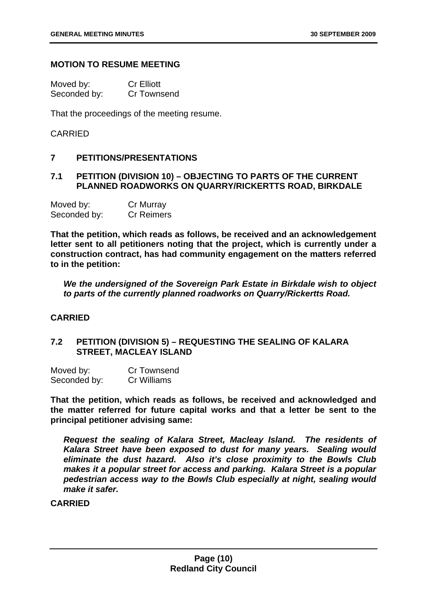#### **MOTION TO RESUME MEETING**

| Moved by:    | <b>Cr Elliott</b>  |
|--------------|--------------------|
| Seconded by: | <b>Cr Townsend</b> |

That the proceedings of the meeting resume.

#### CARRIED

#### <span id="page-10-0"></span>**7 PETITIONS/PRESENTATIONS**

#### <span id="page-10-1"></span>**7.1 PETITION (DIVISION 10) – OBJECTING TO PARTS OF THE CURRENT PLANNED ROADWORKS ON QUARRY/RICKERTTS ROAD, BIRKDALE**

| Moved by:    | Cr Murray         |
|--------------|-------------------|
| Seconded by: | <b>Cr Reimers</b> |

**That the petition, which reads as follows, be received and an acknowledgement letter sent to all petitioners noting that the project, which is currently under a construction contract, has had community engagement on the matters referred to in the petition:** 

*We the undersigned of the Sovereign Park Estate in Birkdale wish to object to parts of the currently planned roadworks on Quarry/Rickertts Road.* 

#### **CARRIED**

#### <span id="page-10-2"></span>**7.2 PETITION (DIVISION 5) – REQUESTING THE SEALING OF KALARA STREET, MACLEAY ISLAND**

| Moved by:    | <b>Cr Townsend</b> |
|--------------|--------------------|
| Seconded by: | Cr Williams        |

**That the petition, which reads as follows, be received and acknowledged and the matter referred for future capital works and that a letter be sent to the principal petitioner advising same:** 

*Request the sealing of Kalara Street, Macleay Island. The residents of Kalara Street have been exposed to dust for many years. Sealing would eliminate the dust hazard. Also it's close proximity to the Bowls Club makes it a popular street for access and parking. Kalara Street is a popular pedestrian access way to the Bowls Club especially at night, sealing would make it safer.* 

**CARRIED**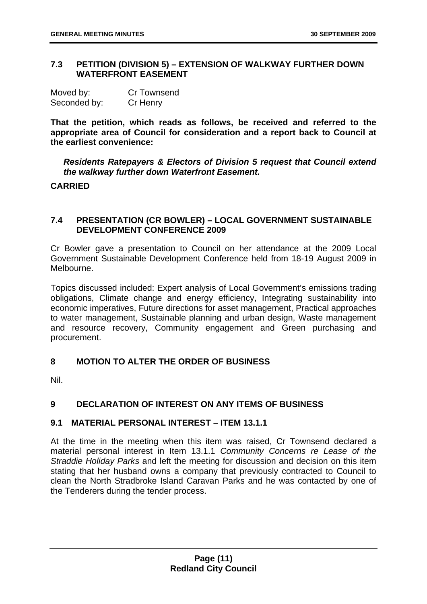#### <span id="page-11-0"></span>**7.3 PETITION (DIVISION 5) – EXTENSION OF WALKWAY FURTHER DOWN WATERFRONT EASEMENT**

| Moved by:    | <b>Cr Townsend</b> |
|--------------|--------------------|
| Seconded by: | Cr Henry           |

**That the petition, which reads as follows, be received and referred to the appropriate area of Council for consideration and a report back to Council at the earliest convenience:** 

*Residents Ratepayers & Electors of Division 5 request that Council extend the walkway further down Waterfront Easement.* 

#### **CARRIED**

#### <span id="page-11-1"></span>**7.4 PRESENTATION (CR BOWLER) – LOCAL GOVERNMENT SUSTAINABLE DEVELOPMENT CONFERENCE 2009**

Cr Bowler gave a presentation to Council on her attendance at the 2009 Local Government Sustainable Development Conference held from 18-19 August 2009 in Melbourne.

Topics discussed included: Expert analysis of Local Government's emissions trading obligations, Climate change and energy efficiency, Integrating sustainability into economic imperatives, Future directions for asset management, Practical approaches to water management, Sustainable planning and urban design, Waste management and resource recovery, Community engagement and Green purchasing and procurement.

#### <span id="page-11-2"></span>**8 MOTION TO ALTER THE ORDER OF BUSINESS**

Nil.

#### <span id="page-11-3"></span>**9 DECLARATION OF INTEREST ON ANY ITEMS OF BUSINESS**

#### <span id="page-11-4"></span>**9.1 MATERIAL PERSONAL INTEREST – ITEM 13.1.1**

At the time in the meeting when this item was raised, Cr Townsend declared a material personal interest in Item 13.1.1 *Community Concerns re Lease of the Straddie Holiday Parks* and left the meeting for discussion and decision on this item stating that her husband owns a company that previously contracted to Council to clean the North Stradbroke Island Caravan Parks and he was contacted by one of the Tenderers during the tender process.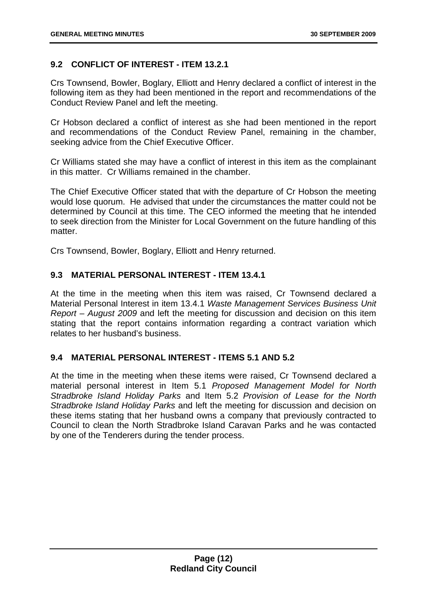#### <span id="page-12-0"></span>**9.2 CONFLICT OF INTEREST - ITEM 13.2.1**

Crs Townsend, Bowler, Boglary, Elliott and Henry declared a conflict of interest in the following item as they had been mentioned in the report and recommendations of the Conduct Review Panel and left the meeting.

Cr Hobson declared a conflict of interest as she had been mentioned in the report and recommendations of the Conduct Review Panel, remaining in the chamber, seeking advice from the Chief Executive Officer.

Cr Williams stated she may have a conflict of interest in this item as the complainant in this matter. Cr Williams remained in the chamber.

The Chief Executive Officer stated that with the departure of Cr Hobson the meeting would lose quorum. He advised that under the circumstances the matter could not be determined by Council at this time. The CEO informed the meeting that he intended to seek direction from the Minister for Local Government on the future handling of this matter.

Crs Townsend, Bowler, Boglary, Elliott and Henry returned.

#### <span id="page-12-1"></span>**9.3 MATERIAL PERSONAL INTEREST - ITEM 13.4.1**

At the time in the meeting when this item was raised, Cr Townsend declared a Material Personal Interest in item 13.4.1 *Waste Management Services Business Unit Report – August 2009* and left the meeting for discussion and decision on this item stating that the report contains information regarding a contract variation which relates to her husband's business.

#### <span id="page-12-2"></span>**9.4 MATERIAL PERSONAL INTEREST - ITEMS 5.1 AND 5.2**

At the time in the meeting when these items were raised, Cr Townsend declared a material personal interest in Item 5.1 *Proposed Management Model for North Stradbroke Island Holiday Parks* and Item 5.2 *Provision of Lease for the North Stradbroke Island Holiday Parks* and left the meeting for discussion and decision on these items stating that her husband owns a company that previously contracted to Council to clean the North Stradbroke Island Caravan Parks and he was contacted by one of the Tenderers during the tender process.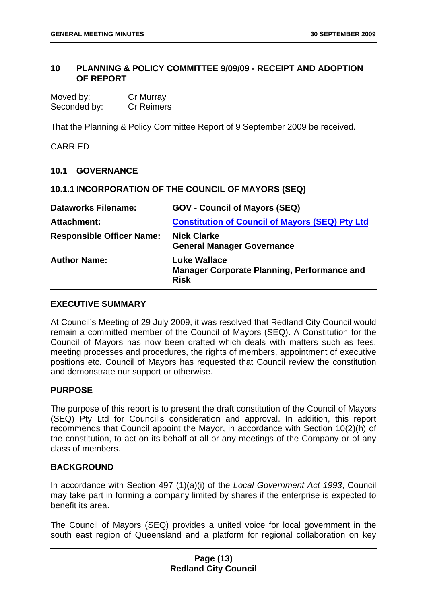#### <span id="page-13-0"></span>**10 PLANNING & POLICY COMMITTEE 9/09/09 - RECEIPT AND ADOPTION OF REPORT**

| Moved by:    | Cr Murray         |
|--------------|-------------------|
| Seconded by: | <b>Cr Reimers</b> |

That the Planning & Policy Committee Report of 9 September 2009 be received.

#### CARRIED

#### <span id="page-13-1"></span>**10.1 GOVERNANCE**

<span id="page-13-2"></span>**10.1.1 INCORPORATION OF THE COUNCIL OF MAYORS (SEQ)** 

| <b>Dataworks Filename:</b>       | <b>GOV - Council of Mayors (SEQ)</b>                                                     |
|----------------------------------|------------------------------------------------------------------------------------------|
| <b>Attachment:</b>               | <b>Constitution of Council of Mayors (SEQ) Pty Ltd</b>                                   |
| <b>Responsible Officer Name:</b> | <b>Nick Clarke</b><br><b>General Manager Governance</b>                                  |
| <b>Author Name:</b>              | <b>Luke Wallace</b><br><b>Manager Corporate Planning, Performance and</b><br><b>Risk</b> |

#### **EXECUTIVE SUMMARY**

At Council's Meeting of 29 July 2009, it was resolved that Redland City Council would remain a committed member of the Council of Mayors (SEQ). A Constitution for the Council of Mayors has now been drafted which deals with matters such as fees, meeting processes and procedures, the rights of members, appointment of executive positions etc. Council of Mayors has requested that Council review the constitution and demonstrate our support or otherwise.

#### **PURPOSE**

The purpose of this report is to present the draft constitution of the Council of Mayors (SEQ) Pty Ltd for Council's consideration and approval. In addition, this report recommends that Council appoint the Mayor, in accordance with Section 10(2)(h) of the constitution, to act on its behalf at all or any meetings of the Company or of any class of members.

#### **BACKGROUND**

In accordance with Section 497 (1)(a)(i) of the *Local Government Act 1993*, Council may take part in forming a company limited by shares if the enterprise is expected to benefit its area.

The Council of Mayors (SEQ) provides a united voice for local government in the south east region of Queensland and a platform for regional collaboration on key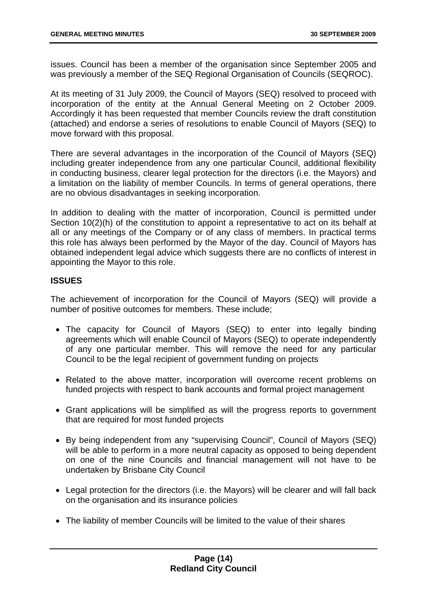issues. Council has been a member of the organisation since September 2005 and was previously a member of the SEQ Regional Organisation of Councils (SEQROC).

At its meeting of 31 July 2009, the Council of Mayors (SEQ) resolved to proceed with incorporation of the entity at the Annual General Meeting on 2 October 2009. Accordingly it has been requested that member Councils review the draft constitution (attached) and endorse a series of resolutions to enable Council of Mayors (SEQ) to move forward with this proposal.

There are several advantages in the incorporation of the Council of Mayors (SEQ) including greater independence from any one particular Council, additional flexibility in conducting business, clearer legal protection for the directors (i.e. the Mayors) and a limitation on the liability of member Councils. In terms of general operations, there are no obvious disadvantages in seeking incorporation.

In addition to dealing with the matter of incorporation, Council is permitted under Section 10(2)(h) of the constitution to appoint a representative to act on its behalf at all or any meetings of the Company or of any class of members. In practical terms this role has always been performed by the Mayor of the day. Council of Mayors has obtained independent legal advice which suggests there are no conflicts of interest in appointing the Mayor to this role.

#### **ISSUES**

The achievement of incorporation for the Council of Mayors (SEQ) will provide a number of positive outcomes for members. These include;

- The capacity for Council of Mayors (SEQ) to enter into legally binding agreements which will enable Council of Mayors (SEQ) to operate independently of any one particular member. This will remove the need for any particular Council to be the legal recipient of government funding on projects
- Related to the above matter, incorporation will overcome recent problems on funded projects with respect to bank accounts and formal project management
- Grant applications will be simplified as will the progress reports to government that are required for most funded projects
- By being independent from any "supervising Council", Council of Mayors (SEQ) will be able to perform in a more neutral capacity as opposed to being dependent on one of the nine Councils and financial management will not have to be undertaken by Brisbane City Council
- Legal protection for the directors (i.e. the Mayors) will be clearer and will fall back on the organisation and its insurance policies
- The liability of member Councils will be limited to the value of their shares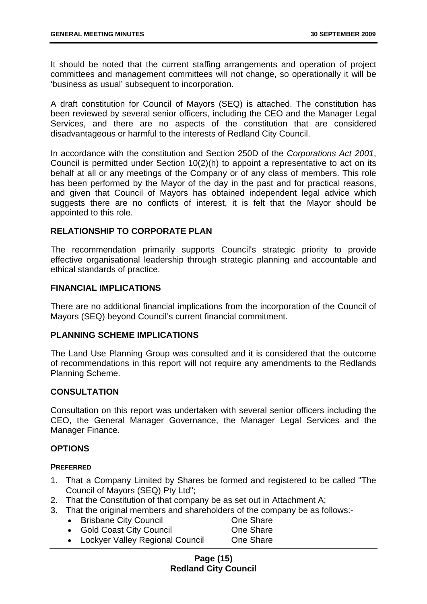It should be noted that the current staffing arrangements and operation of project committees and management committees will not change, so operationally it will be 'business as usual' subsequent to incorporation.

A draft constitution for Council of Mayors (SEQ) is attached. The constitution has been reviewed by several senior officers, including the CEO and the Manager Legal Services, and there are no aspects of the constitution that are considered disadvantageous or harmful to the interests of Redland City Council.

In accordance with the constitution and Section 250D of the *Corporations Act 2001*, Council is permitted under Section 10(2)(h) to appoint a representative to act on its behalf at all or any meetings of the Company or of any class of members. This role has been performed by the Mayor of the day in the past and for practical reasons, and given that Council of Mayors has obtained independent legal advice which suggests there are no conflicts of interest, it is felt that the Mayor should be appointed to this role.

#### **RELATIONSHIP TO CORPORATE PLAN**

The recommendation primarily supports Council's strategic priority to provide effective organisational leadership through strategic planning and accountable and ethical standards of practice.

#### **FINANCIAL IMPLICATIONS**

There are no additional financial implications from the incorporation of the Council of Mayors (SEQ) beyond Council's current financial commitment.

#### **PLANNING SCHEME IMPLICATIONS**

The Land Use Planning Group was consulted and it is considered that the outcome of recommendations in this report will not require any amendments to the Redlands Planning Scheme.

#### **CONSULTATION**

Consultation on this report was undertaken with several senior officers including the CEO, the General Manager Governance, the Manager Legal Services and the Manager Finance.

#### **OPTIONS**

#### **PREFERRED**

- 1. That a Company Limited by Shares be formed and registered to be called "The Council of Mayors (SEQ) Pty Ltd";
- 2. That the Constitution of that company be as set out in Attachment A;
- 3. That the original members and shareholders of the company be as follows:-
	- Brisbane City Council **One Share**
- - Gold Coast City Council **Constant Constant Constant Constant** One Share • Lockyer Valley Regional Council One Share

#### **Page (15) Redland City Council**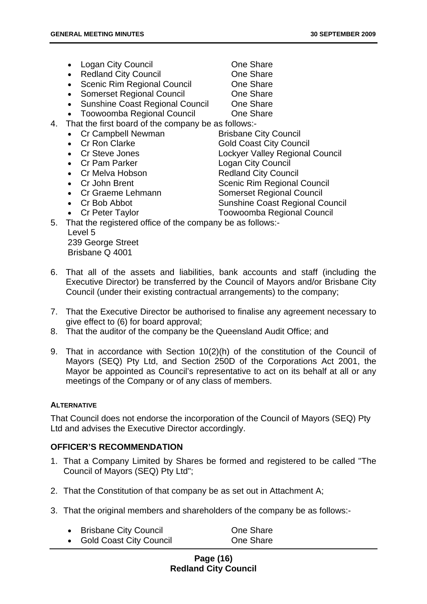- Logan City Council **Canadian Cone Share**
- Redland City Council **Canadian Cone Share** One Share
- Scenic Rim Regional Council **One Share**
- Somerset Regional Council **Canada Cone Share**
- Sunshine Coast Regional Council One Share
- Toowoomba Regional Council One Share
- 4. That the first board of the company be as follows:-
	- Cr Campbell Newman Brisbane City Council
	-
	-
	-
	-
	-
	- Cr Graeme Lehmann Somerset Regional Council
	-
- 
- 
- 
- 
- 
- Cr Ron Clarke Gold Coast City Council
- Cr Steve Jones Lockyer Valley Regional Council
- Cr Pam Parker Logan City Council
- Cr Melva Hobson Redland City Council
- Cr John Brent Scenic Rim Regional Council
	-
- Cr Bob Abbot Sunshine Coast Regional Council
- Cr Peter Taylor Toowoomba Regional Council
- 5. That the registered office of the company be as follows:- Level 5

239 George Street Brisbane Q 4001

- 6. That all of the assets and liabilities, bank accounts and staff (including the Executive Director) be transferred by the Council of Mayors and/or Brisbane City Council (under their existing contractual arrangements) to the company;
- 7. That the Executive Director be authorised to finalise any agreement necessary to give effect to (6) for board approval;
- 8. That the auditor of the company be the Queensland Audit Office; and
- 9. That in accordance with Section 10(2)(h) of the constitution of the Council of Mayors (SEQ) Pty Ltd, and Section 250D of the Corporations Act 2001, the Mayor be appointed as Council's representative to act on its behalf at all or any meetings of the Company or of any class of members.

#### **ALTERNATIVE**

That Council does not endorse the incorporation of the Council of Mayors (SEQ) Pty Ltd and advises the Executive Director accordingly.

#### **OFFICER'S RECOMMENDATION**

- 1. That a Company Limited by Shares be formed and registered to be called "The Council of Mayors (SEQ) Pty Ltd";
- 2. That the Constitution of that company be as set out in Attachment A;
- 3. That the original members and shareholders of the company be as follows:-

| <b>Brisbane City Council</b> | One Share |
|------------------------------|-----------|
| • Gold Coast City Council    | One Share |

#### **Page (16) Redland City Council**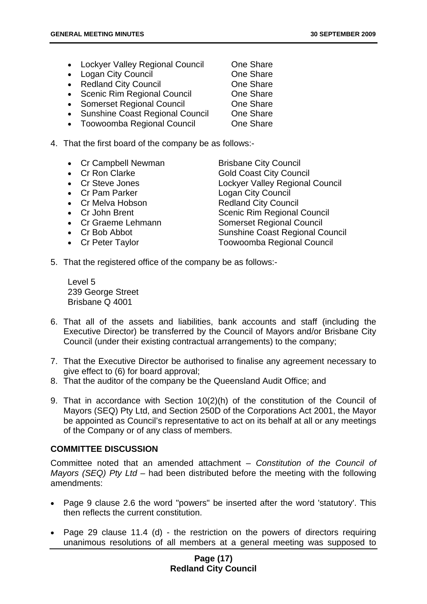- Lockyer Valley Regional Council One Share
- Logan City Council **Canadian Cone Share**
- Redland City Council **Canadian Cone Share** One Share
- Scenic Rim Regional Council **One Share**
- Somerset Regional Council **One Share**
- Sunshine Coast Regional Council One Share
- Toowoomba Regional Council One Share
- 4. That the first board of the company be as follows:-
	- Cr Campbell Newman Brisbane City Council
	-
	-
	-
	- Cr Melva Hobson Redland City Council
	-
	-
	-
	-

• Cr Ron Clarke Gold Coast City Council • Cr Steve Jones Lockyer Valley Regional Council • Cr Pam Parker Logan City Council • Cr John Brent Scenic Rim Regional Council • Cr Graeme Lehmann Somerset Regional Council • Cr Bob Abbot Sunshine Coast Regional Council • Cr Peter Taylor Toowoomba Regional Council

5. That the registered office of the company be as follows:-

Level 5 239 George Street Brisbane Q 4001

- 6. That all of the assets and liabilities, bank accounts and staff (including the Executive Director) be transferred by the Council of Mayors and/or Brisbane City Council (under their existing contractual arrangements) to the company;
- 7. That the Executive Director be authorised to finalise any agreement necessary to give effect to (6) for board approval;
- 8. That the auditor of the company be the Queensland Audit Office; and
- 9. That in accordance with Section 10(2)(h) of the constitution of the Council of Mayors (SEQ) Pty Ltd, and Section 250D of the Corporations Act 2001, the Mayor be appointed as Council's representative to act on its behalf at all or any meetings of the Company or of any class of members.

#### **COMMITTEE DISCUSSION**

Committee noted that an amended attachment – *Constitution of the Council of Mayors (SEQ) Pty Ltd* – had been distributed before the meeting with the following amendments:

- Page 9 clause 2.6 the word "powers" be inserted after the word 'statutory'. This then reflects the current constitution.
- Page 29 clause 11.4 (d) the restriction on the powers of directors requiring unanimous resolutions of all members at a general meeting was supposed to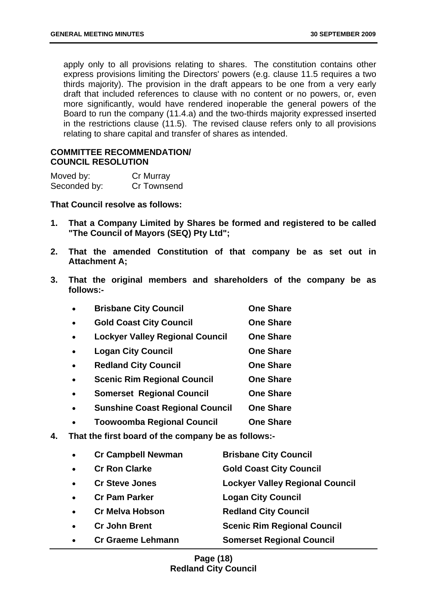apply only to all provisions relating to shares. The constitution contains other express provisions limiting the Directors' powers (e.g. clause 11.5 requires a two thirds majority). The provision in the draft appears to be one from a very early draft that included references to clause with no content or no powers, or, even more significantly, would have rendered inoperable the general powers of the Board to run the company (11.4.a) and the two-thirds majority expressed inserted in the restrictions clause (11.5). The revised clause refers only to all provisions relating to share capital and transfer of shares as intended.

#### **COMMITTEE RECOMMENDATION/ COUNCIL RESOLUTION**

| Moved by:    | Cr Murray   |
|--------------|-------------|
| Seconded by: | Cr Townsend |

**That Council resolve as follows:** 

- **1. That a Company Limited by Shares be formed and registered to be called "The Council of Mayors (SEQ) Pty Ltd";**
- **2. That the amended Constitution of that company be as set out in Attachment A;**
- **3. That the original members and shareholders of the company be as follows:-**

|                                                    | <b>Brisbane City Council</b>           | <b>One Share</b> |
|----------------------------------------------------|----------------------------------------|------------------|
|                                                    | <b>Gold Coast City Council</b>         | <b>One Share</b> |
|                                                    | <b>Lockyer Valley Regional Council</b> | <b>One Share</b> |
|                                                    | <b>Logan City Council</b>              | <b>One Share</b> |
|                                                    | <b>Redland City Council</b>            | <b>One Share</b> |
|                                                    | <b>Scenic Rim Regional Council</b>     | <b>One Share</b> |
|                                                    | <b>Somerset Regional Council</b>       | <b>One Share</b> |
|                                                    | <b>Sunshine Coast Regional Council</b> | <b>One Share</b> |
|                                                    | <b>Toowoomba Regional Council</b>      | <b>One Share</b> |
| That the first heard of the compony he oo follows: |                                        |                  |

**4. That the first board of the company be as follows:-** 

| <b>Gold Coast City Council</b><br><b>Cr Ron Clarke</b><br>$\bullet$<br><b>Cr Steve Jones</b><br>$\bullet$<br><b>Logan City Council</b><br><b>Cr Pam Parker</b><br>$\bullet$<br><b>Redland City Council</b><br><b>Cr Melva Hobson</b><br>$\bullet$<br><b>Scenic Rim Regional Council</b><br><b>Cr John Brent</b><br>$\bullet$<br><b>Somerset Regional Council</b><br><b>Cr Graeme Lehmann</b><br>$\bullet$ | $\bullet$ | <b>Cr Campbell Newman</b> | <b>Brisbane City Council</b>           |
|-----------------------------------------------------------------------------------------------------------------------------------------------------------------------------------------------------------------------------------------------------------------------------------------------------------------------------------------------------------------------------------------------------------|-----------|---------------------------|----------------------------------------|
|                                                                                                                                                                                                                                                                                                                                                                                                           |           |                           |                                        |
|                                                                                                                                                                                                                                                                                                                                                                                                           |           |                           | <b>Lockyer Valley Regional Council</b> |
|                                                                                                                                                                                                                                                                                                                                                                                                           |           |                           |                                        |
|                                                                                                                                                                                                                                                                                                                                                                                                           |           |                           |                                        |
|                                                                                                                                                                                                                                                                                                                                                                                                           |           |                           |                                        |
|                                                                                                                                                                                                                                                                                                                                                                                                           |           |                           |                                        |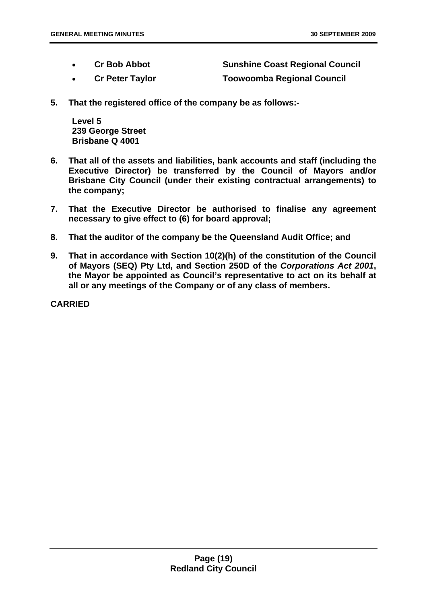- **Cr Bob Abbot Sunshine Coast Regional Council** 
	-
- **Cr Peter Taylor Toowoomba Regional Council**
- **5. That the registered office of the company be as follows:-**

**Level 5 239 George Street Brisbane Q 4001** 

- **6. That all of the assets and liabilities, bank accounts and staff (including the Executive Director) be transferred by the Council of Mayors and/or Brisbane City Council (under their existing contractual arrangements) to the company;**
- **7. That the Executive Director be authorised to finalise any agreement necessary to give effect to (6) for board approval;**
- **8. That the auditor of the company be the Queensland Audit Office; and**
- **9. That in accordance with Section 10(2)(h) of the constitution of the Council of Mayors (SEQ) Pty Ltd, and Section 250D of the** *Corporations Act 2001***, the Mayor be appointed as Council's representative to act on its behalf at all or any meetings of the Company or of any class of members.**

**CARRIED**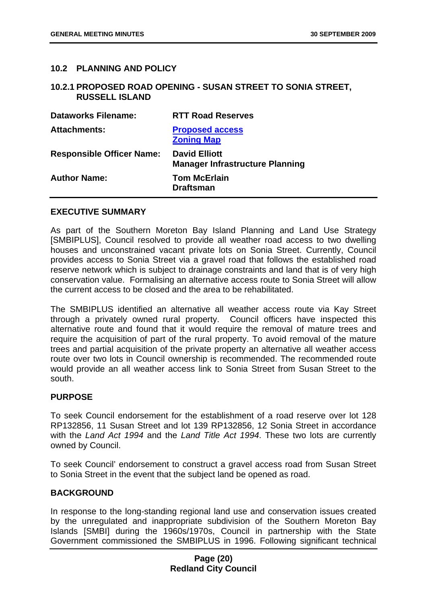#### <span id="page-20-0"></span>**10.2 PLANNING AND POLICY**

#### <span id="page-20-1"></span>**10.2.1 PROPOSED ROAD OPENING - SUSAN STREET TO SONIA STREET, RUSSELL ISLAND**

| <b>Dataworks Filename:</b>       | <b>RTT Road Reserves</b>                                       |
|----------------------------------|----------------------------------------------------------------|
| <b>Attachments:</b>              | <b>Proposed access</b><br><b>Zoning Map</b>                    |
| <b>Responsible Officer Name:</b> | <b>David Elliott</b><br><b>Manager Infrastructure Planning</b> |
| <b>Author Name:</b>              | <b>Tom McErlain</b><br><b>Draftsman</b>                        |

#### **EXECUTIVE SUMMARY**

As part of the Southern Moreton Bay Island Planning and Land Use Strategy [SMBIPLUS], Council resolved to provide all weather road access to two dwelling houses and unconstrained vacant private lots on Sonia Street. Currently, Council provides access to Sonia Street via a gravel road that follows the established road reserve network which is subject to drainage constraints and land that is of very high conservation value. Formalising an alternative access route to Sonia Street will allow the current access to be closed and the area to be rehabilitated.

The SMBIPLUS identified an alternative all weather access route via Kay Street through a privately owned rural property. Council officers have inspected this alternative route and found that it would require the removal of mature trees and require the acquisition of part of the rural property. To avoid removal of the mature trees and partial acquisition of the private property an alternative all weather access route over two lots in Council ownership is recommended. The recommended route would provide an all weather access link to Sonia Street from Susan Street to the south.

#### **PURPOSE**

To seek Council endorsement for the establishment of a road reserve over lot 128 RP132856, 11 Susan Street and lot 139 RP132856, 12 Sonia Street in accordance with the *Land Act 1994* and the *Land Title Act 1994*. These two lots are currently owned by Council.

To seek Council' endorsement to construct a gravel access road from Susan Street to Sonia Street in the event that the subject land be opened as road.

#### **BACKGROUND**

In response to the long-standing regional land use and conservation issues created by the unregulated and inappropriate subdivision of the Southern Moreton Bay Islands [SMBI] during the 1960s/1970s, Council in partnership with the State Government commissioned the SMBIPLUS in 1996. Following significant technical

#### **Page (20) Redland City Council**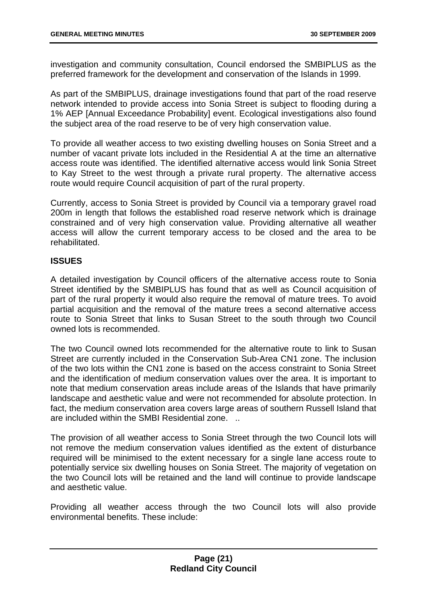investigation and community consultation, Council endorsed the SMBIPLUS as the preferred framework for the development and conservation of the Islands in 1999.

As part of the SMBIPLUS, drainage investigations found that part of the road reserve network intended to provide access into Sonia Street is subject to flooding during a 1% AEP [Annual Exceedance Probability] event. Ecological investigations also found the subject area of the road reserve to be of very high conservation value.

To provide all weather access to two existing dwelling houses on Sonia Street and a number of vacant private lots included in the Residential A at the time an alternative access route was identified. The identified alternative access would link Sonia Street to Kay Street to the west through a private rural property. The alternative access route would require Council acquisition of part of the rural property.

Currently, access to Sonia Street is provided by Council via a temporary gravel road 200m in length that follows the established road reserve network which is drainage constrained and of very high conservation value. Providing alternative all weather access will allow the current temporary access to be closed and the area to be rehabilitated.

#### **ISSUES**

A detailed investigation by Council officers of the alternative access route to Sonia Street identified by the SMBIPLUS has found that as well as Council acquisition of part of the rural property it would also require the removal of mature trees. To avoid partial acquisition and the removal of the mature trees a second alternative access route to Sonia Street that links to Susan Street to the south through two Council owned lots is recommended.

The two Council owned lots recommended for the alternative route to link to Susan Street are currently included in the Conservation Sub-Area CN1 zone. The inclusion of the two lots within the CN1 zone is based on the access constraint to Sonia Street and the identification of medium conservation values over the area. It is important to note that medium conservation areas include areas of the Islands that have primarily landscape and aesthetic value and were not recommended for absolute protection. In fact, the medium conservation area covers large areas of southern Russell Island that are included within the SMBI Residential zone. ..

The provision of all weather access to Sonia Street through the two Council lots will not remove the medium conservation values identified as the extent of disturbance required will be minimised to the extent necessary for a single lane access route to potentially service six dwelling houses on Sonia Street. The majority of vegetation on the two Council lots will be retained and the land will continue to provide landscape and aesthetic value.

Providing all weather access through the two Council lots will also provide environmental benefits. These include: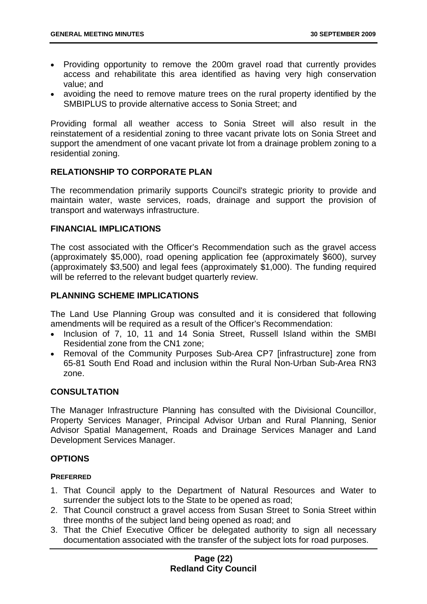- Providing opportunity to remove the 200m gravel road that currently provides access and rehabilitate this area identified as having very high conservation value; and
- avoiding the need to remove mature trees on the rural property identified by the SMBIPLUS to provide alternative access to Sonia Street; and

Providing formal all weather access to Sonia Street will also result in the reinstatement of a residential zoning to three vacant private lots on Sonia Street and support the amendment of one vacant private lot from a drainage problem zoning to a residential zoning.

#### **RELATIONSHIP TO CORPORATE PLAN**

The recommendation primarily supports Council's strategic priority to provide and maintain water, waste services, roads, drainage and support the provision of transport and waterways infrastructure.

#### **FINANCIAL IMPLICATIONS**

The cost associated with the Officer's Recommendation such as the gravel access (approximately \$5,000), road opening application fee (approximately \$600), survey (approximately \$3,500) and legal fees (approximately \$1,000). The funding required will be referred to the relevant budget quarterly review.

#### **PLANNING SCHEME IMPLICATIONS**

The Land Use Planning Group was consulted and it is considered that following amendments will be required as a result of the Officer's Recommendation:

- Inclusion of 7, 10, 11 and 14 Sonia Street, Russell Island within the SMBI Residential zone from the CN1 zone;
- Removal of the Community Purposes Sub-Area CP7 [infrastructure] zone from 65-81 South End Road and inclusion within the Rural Non-Urban Sub-Area RN3 zone.

#### **CONSULTATION**

The Manager Infrastructure Planning has consulted with the Divisional Councillor, Property Services Manager, Principal Advisor Urban and Rural Planning, Senior Advisor Spatial Management, Roads and Drainage Services Manager and Land Development Services Manager.

#### **OPTIONS**

#### **PREFERRED**

- 1. That Council apply to the Department of Natural Resources and Water to surrender the subject lots to the State to be opened as road;
- 2. That Council construct a gravel access from Susan Street to Sonia Street within three months of the subject land being opened as road; and
- 3. That the Chief Executive Officer be delegated authority to sign all necessary documentation associated with the transfer of the subject lots for road purposes.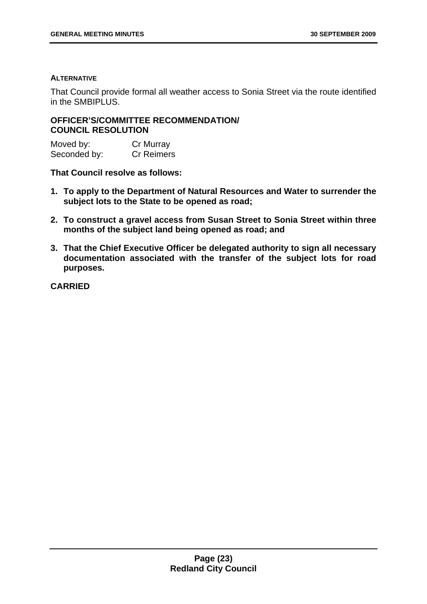#### **ALTERNATIVE**

That Council provide formal all weather access to Sonia Street via the route identified in the SMBIPLUS.

#### **OFFICER'S/COMMITTEE RECOMMENDATION/ COUNCIL RESOLUTION**

Moved by: Cr Murray Seconded by: Cr Reimers

**That Council resolve as follows:** 

- **1. To apply to the Department of Natural Resources and Water to surrender the subject lots to the State to be opened as road;**
- **2. To construct a gravel access from Susan Street to Sonia Street within three months of the subject land being opened as road; and**
- **3. That the Chief Executive Officer be delegated authority to sign all necessary documentation associated with the transfer of the subject lots for road purposes.**

**CARRIED**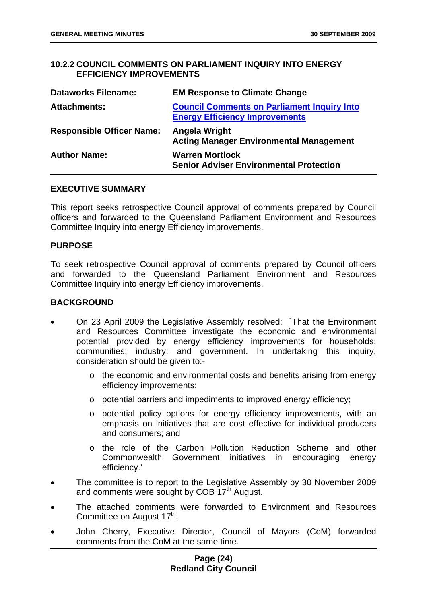#### <span id="page-24-0"></span>**10.2.2 COUNCIL COMMENTS ON PARLIAMENT INQUIRY INTO ENERGY EFFICIENCY IMPROVEMENTS**

| <b>Dataworks Filename:</b>       | <b>EM Response to Climate Change</b>                                                        |
|----------------------------------|---------------------------------------------------------------------------------------------|
| <b>Attachments:</b>              | <b>Council Comments on Parliament Inquiry Into</b><br><b>Energy Efficiency Improvements</b> |
| <b>Responsible Officer Name:</b> | Angela Wright<br><b>Acting Manager Environmental Management</b>                             |
| <b>Author Name:</b>              | <b>Warren Mortlock</b><br><b>Senior Adviser Environmental Protection</b>                    |

#### **EXECUTIVE SUMMARY**

This report seeks retrospective Council approval of comments prepared by Council officers and forwarded to the Queensland Parliament Environment and Resources Committee Inquiry into energy Efficiency improvements.

#### **PURPOSE**

To seek retrospective Council approval of comments prepared by Council officers and forwarded to the Queensland Parliament Environment and Resources Committee Inquiry into energy Efficiency improvements.

#### **BACKGROUND**

- On 23 April 2009 the Legislative Assembly resolved: `That the Environment and Resources Committee investigate the economic and environmental potential provided by energy efficiency improvements for households; communities; industry; and government. In undertaking this inquiry, consideration should be given to:
	- o the economic and environmental costs and benefits arising from energy efficiency improvements;
	- o potential barriers and impediments to improved energy efficiency;
	- o potential policy options for energy efficiency improvements, with an emphasis on initiatives that are cost effective for individual producers and consumers; and
	- o the role of the Carbon Pollution Reduction Scheme and other Commonwealth Government initiatives in encouraging energy efficiency.'
- The committee is to report to the Legislative Assembly by 30 November 2009 and comments were sought by COB 17<sup>th</sup> August.
- The attached comments were forwarded to Environment and Resources Committee on August 17<sup>th</sup>.
- John Cherry, Executive Director, Council of Mayors (CoM) forwarded comments from the CoM at the same time.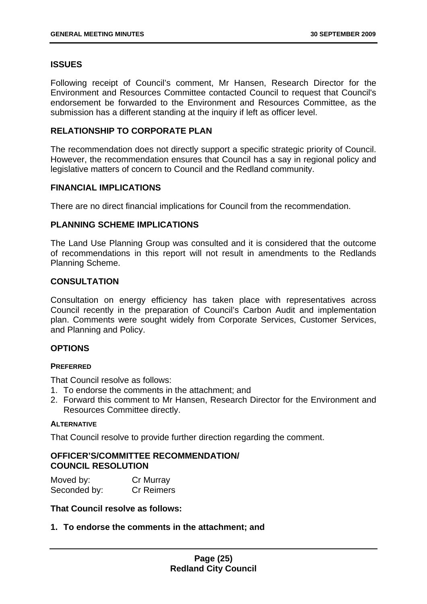#### **ISSUES**

Following receipt of Council's comment, Mr Hansen, Research Director for the Environment and Resources Committee contacted Council to request that Council's endorsement be forwarded to the Environment and Resources Committee, as the submission has a different standing at the inquiry if left as officer level.

#### **RELATIONSHIP TO CORPORATE PLAN**

The recommendation does not directly support a specific strategic priority of Council. However, the recommendation ensures that Council has a say in regional policy and legislative matters of concern to Council and the Redland community.

#### **FINANCIAL IMPLICATIONS**

There are no direct financial implications for Council from the recommendation.

#### **PLANNING SCHEME IMPLICATIONS**

The Land Use Planning Group was consulted and it is considered that the outcome of recommendations in this report will not result in amendments to the Redlands Planning Scheme.

#### **CONSULTATION**

Consultation on energy efficiency has taken place with representatives across Council recently in the preparation of Council's Carbon Audit and implementation plan. Comments were sought widely from Corporate Services, Customer Services, and Planning and Policy.

#### **OPTIONS**

#### **PREFERRED**

That Council resolve as follows:

- 1. To endorse the comments in the attachment; and
- 2. Forward this comment to Mr Hansen, Research Director for the Environment and Resources Committee directly.

#### **ALTERNATIVE**

That Council resolve to provide further direction regarding the comment.

#### **OFFICER'S/COMMITTEE RECOMMENDATION/ COUNCIL RESOLUTION**

| Moved by:    | Cr Murray         |
|--------------|-------------------|
| Seconded by: | <b>Cr Reimers</b> |

#### **That Council resolve as follows:**

**1. To endorse the comments in the attachment; and**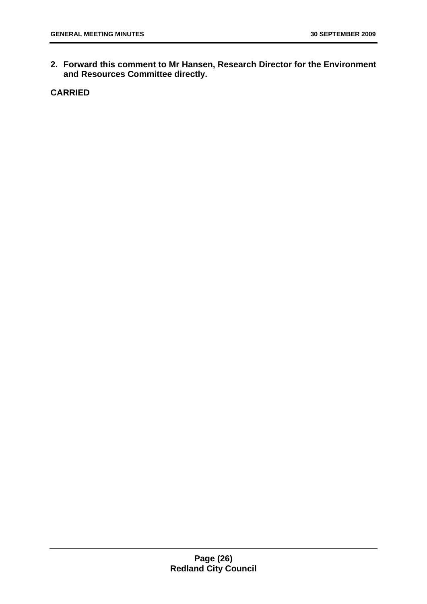**2. Forward this comment to Mr Hansen, Research Director for the Environment and Resources Committee directly.** 

**CARRIED**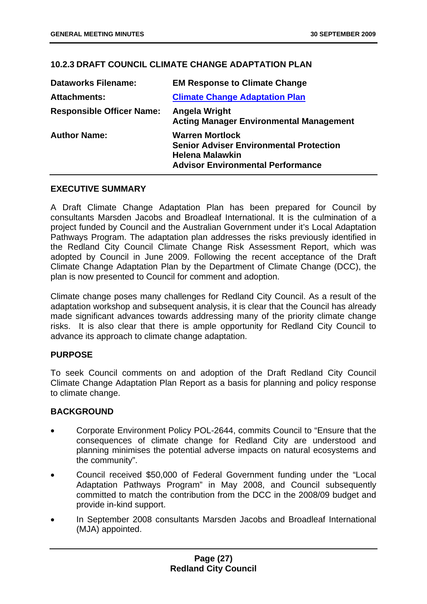#### <span id="page-27-0"></span>**10.2.3 DRAFT COUNCIL CLIMATE CHANGE ADAPTATION PLAN**

| <b>Dataworks Filename:</b>       | <b>EM Response to Climate Change</b>                                                                                                           |
|----------------------------------|------------------------------------------------------------------------------------------------------------------------------------------------|
| <b>Attachments:</b>              | <b>Climate Change Adaptation Plan</b>                                                                                                          |
| <b>Responsible Officer Name:</b> | Angela Wright<br><b>Acting Manager Environmental Management</b>                                                                                |
| <b>Author Name:</b>              | <b>Warren Mortlock</b><br><b>Senior Adviser Environmental Protection</b><br><b>Helena Malawkin</b><br><b>Advisor Environmental Performance</b> |

#### **EXECUTIVE SUMMARY**

A Draft Climate Change Adaptation Plan has been prepared for Council by consultants Marsden Jacobs and Broadleaf International. It is the culmination of a project funded by Council and the Australian Government under it's Local Adaptation Pathways Program. The adaptation plan addresses the risks previously identified in the Redland City Council Climate Change Risk Assessment Report, which was adopted by Council in June 2009. Following the recent acceptance of the Draft Climate Change Adaptation Plan by the Department of Climate Change (DCC), the plan is now presented to Council for comment and adoption.

Climate change poses many challenges for Redland City Council. As a result of the adaptation workshop and subsequent analysis, it is clear that the Council has already made significant advances towards addressing many of the priority climate change risks. It is also clear that there is ample opportunity for Redland City Council to advance its approach to climate change adaptation.

#### **PURPOSE**

To seek Council comments on and adoption of the Draft Redland City Council Climate Change Adaptation Plan Report as a basis for planning and policy response to climate change.

#### **BACKGROUND**

- Corporate Environment Policy POL-2644, commits Council to "Ensure that the consequences of climate change for Redland City are understood and planning minimises the potential adverse impacts on natural ecosystems and the community".
- Council received \$50,000 of Federal Government funding under the "Local Adaptation Pathways Program" in May 2008, and Council subsequently committed to match the contribution from the DCC in the 2008/09 budget and provide in-kind support.
- In September 2008 consultants Marsden Jacobs and Broadleaf International (MJA) appointed.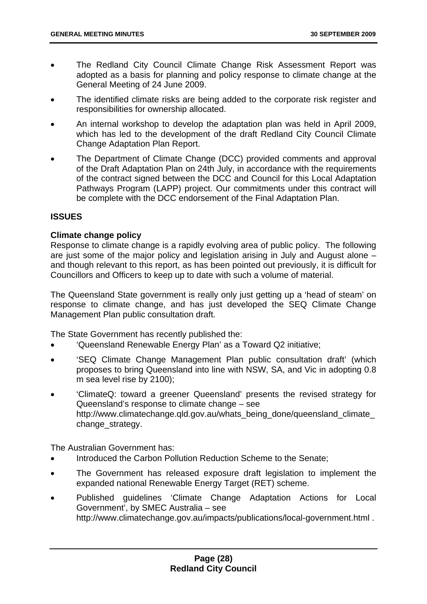- The Redland City Council Climate Change Risk Assessment Report was adopted as a basis for planning and policy response to climate change at the General Meeting of 24 June 2009.
- The identified climate risks are being added to the corporate risk register and responsibilities for ownership allocated.
- An internal workshop to develop the adaptation plan was held in April 2009, which has led to the development of the draft Redland City Council Climate Change Adaptation Plan Report.
- The Department of Climate Change (DCC) provided comments and approval of the Draft Adaptation Plan on 24th July, in accordance with the requirements of the contract signed between the DCC and Council for this Local Adaptation Pathways Program (LAPP) project. Our commitments under this contract will be complete with the DCC endorsement of the Final Adaptation Plan.

#### **ISSUES**

#### **Climate change policy**

Response to climate change is a rapidly evolving area of public policy. The following are just some of the major policy and legislation arising in July and August alone – and though relevant to this report, as has been pointed out previously, it is difficult for Councillors and Officers to keep up to date with such a volume of material.

The Queensland State government is really only just getting up a 'head of steam' on response to climate change, and has just developed the SEQ Climate Change Management Plan public consultation draft.

The State Government has recently published the:

- 'Queensland Renewable Energy Plan' as a Toward Q2 initiative;
- 'SEQ Climate Change Management Plan public consultation draft' (which proposes to bring Queensland into line with NSW, SA, and Vic in adopting 0.8 m sea level rise by 2100);
- 'ClimateQ: toward a greener Queensland' presents the revised strategy for Queensland's response to climate change – see http://www.climatechange.qld.gov.au/whats\_being\_done/queensland\_climate [change\\_strategy](http://www.climatechange.qld.gov.au/whats_being_done/queensland_climate_change_strategy).

The Australian Government has:

- Introduced the Carbon Pollution Reduction Scheme to the Senate;
- The Government has released exposure draft legislation to implement the expanded national Renewable Energy Target (RET) scheme.
- Published guidelines 'Climate Change Adaptation Actions for Local Government', by SMEC Australia – see <http://www.climatechange.gov.au/impacts/publications/local-government.html>.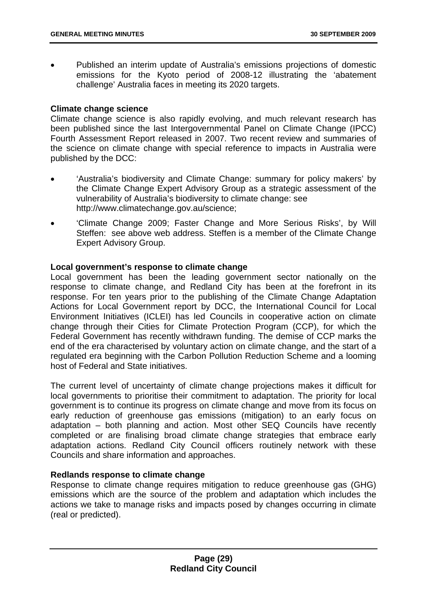• Published an interim update of Australia's emissions projections of domestic emissions for the Kyoto period of 2008-12 illustrating the 'abatement challenge' Australia faces in meeting its 2020 targets.

#### **Climate change science**

Climate change science is also rapidly evolving, and much relevant research has been published since the last Intergovernmental Panel on Climate Change (IPCC) Fourth Assessment Report released in 2007. Two recent review and summaries of the science on climate change with special reference to impacts in Australia were published by the DCC:

- 'Australia's biodiversity and Climate Change: summary for policy makers' by the Climate Change Expert Advisory Group as a strategic assessment of the vulnerability of Australia's biodiversity to climate change: see [http://www.climatechange.gov.au/science;](http://www.climatechange.gov.au/science)
- 'Climate Change 2009; Faster Change and More Serious Risks', by Will Steffen: see above web address. Steffen is a member of the Climate Change Expert Advisory Group.

#### **Local government's response to climate change**

Local government has been the leading government sector nationally on the response to climate change, and Redland City has been at the forefront in its response. For ten years prior to the publishing of the Climate Change Adaptation Actions for Local Government report by DCC, the International Council for Local Environment Initiatives (ICLEI) has led Councils in cooperative action on climate change through their Cities for Climate Protection Program (CCP), for which the Federal Government has recently withdrawn funding. The demise of CCP marks the end of the era characterised by voluntary action on climate change, and the start of a regulated era beginning with the Carbon Pollution Reduction Scheme and a looming host of Federal and State initiatives.

The current level of uncertainty of climate change projections makes it difficult for local governments to prioritise their commitment to adaptation. The priority for local government is to continue its progress on climate change and move from its focus on early reduction of greenhouse gas emissions (mitigation) to an early focus on adaptation – both planning and action. Most other SEQ Councils have recently completed or are finalising broad climate change strategies that embrace early adaptation actions. Redland City Council officers routinely network with these Councils and share information and approaches.

#### **Redlands response to climate change**

Response to climate change requires mitigation to reduce greenhouse gas (GHG) emissions which are the source of the problem and adaptation which includes the actions we take to manage risks and impacts posed by changes occurring in climate (real or predicted).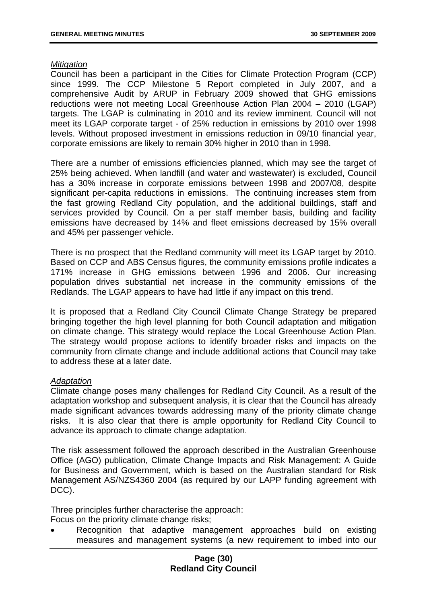#### *Mitigation*

Council has been a participant in the Cities for Climate Protection Program (CCP) since 1999. The CCP Milestone 5 Report completed in July 2007, and a comprehensive Audit by ARUP in February 2009 showed that GHG emissions reductions were not meeting Local Greenhouse Action Plan 2004 – 2010 (LGAP) targets. The LGAP is culminating in 2010 and its review imminent. Council will not meet its LGAP corporate target - of 25% reduction in emissions by 2010 over 1998 levels. Without proposed investment in emissions reduction in 09/10 financial year, corporate emissions are likely to remain 30% higher in 2010 than in 1998.

There are a number of emissions efficiencies planned, which may see the target of 25% being achieved. When landfill (and water and wastewater) is excluded, Council has a 30% increase in corporate emissions between 1998 and 2007/08, despite significant per-capita reductions in emissions. The continuing increases stem from the fast growing Redland City population, and the additional buildings, staff and services provided by Council. On a per staff member basis, building and facility emissions have decreased by 14% and fleet emissions decreased by 15% overall and 45% per passenger vehicle.

There is no prospect that the Redland community will meet its LGAP target by 2010. Based on CCP and ABS Census figures, the community emissions profile indicates a 171% increase in GHG emissions between 1996 and 2006. Our increasing population drives substantial net increase in the community emissions of the Redlands. The LGAP appears to have had little if any impact on this trend.

It is proposed that a Redland City Council Climate Change Strategy be prepared bringing together the high level planning for both Council adaptation and mitigation on climate change. This strategy would replace the Local Greenhouse Action Plan. The strategy would propose actions to identify broader risks and impacts on the community from climate change and include additional actions that Council may take to address these at a later date.

#### *Adaptation*

Climate change poses many challenges for Redland City Council. As a result of the adaptation workshop and subsequent analysis, it is clear that the Council has already made significant advances towards addressing many of the priority climate change risks. It is also clear that there is ample opportunity for Redland City Council to advance its approach to climate change adaptation.

The risk assessment followed the approach described in the Australian Greenhouse Office (AGO) publication, Climate Change Impacts and Risk Management: A Guide for Business and Government, which is based on the Australian standard for Risk Management AS/NZS4360 2004 (as required by our LAPP funding agreement with DCC).

Three principles further characterise the approach:

Focus on the priority climate change risks;

• Recognition that adaptive management approaches build on existing measures and management systems (a new requirement to imbed into our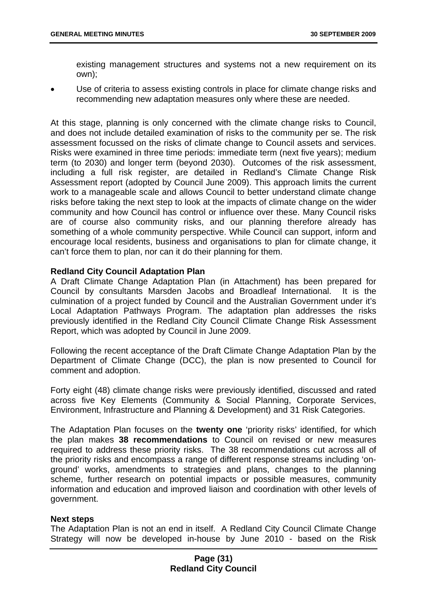existing management structures and systems not a new requirement on its own);

Use of criteria to assess existing controls in place for climate change risks and recommending new adaptation measures only where these are needed.

At this stage, planning is only concerned with the climate change risks to Council, and does not include detailed examination of risks to the community per se. The risk assessment focussed on the risks of climate change to Council assets and services. Risks were examined in three time periods: immediate term (next five years); medium term (to 2030) and longer term (beyond 2030). Outcomes of the risk assessment, including a full risk register, are detailed in Redland's Climate Change Risk Assessment report (adopted by Council June 2009). This approach limits the current work to a manageable scale and allows Council to better understand climate change risks before taking the next step to look at the impacts of climate change on the wider community and how Council has control or influence over these. Many Council risks are of course also community risks, and our planning therefore already has something of a whole community perspective. While Council can support, inform and encourage local residents, business and organisations to plan for climate change, it can't force them to plan, nor can it do their planning for them.

#### **Redland City Council Adaptation Plan**

A Draft Climate Change Adaptation Plan (in Attachment) has been prepared for Council by consultants Marsden Jacobs and Broadleaf International. It is the culmination of a project funded by Council and the Australian Government under it's Local Adaptation Pathways Program. The adaptation plan addresses the risks previously identified in the Redland City Council Climate Change Risk Assessment Report, which was adopted by Council in June 2009.

Following the recent acceptance of the Draft Climate Change Adaptation Plan by the Department of Climate Change (DCC), the plan is now presented to Council for comment and adoption.

Forty eight (48) climate change risks were previously identified, discussed and rated across five Key Elements (Community & Social Planning, Corporate Services, Environment, Infrastructure and Planning & Development) and 31 Risk Categories.

The Adaptation Plan focuses on the **twenty one** 'priority risks' identified, for which the plan makes **38 recommendations** to Council on revised or new measures required to address these priority risks. The 38 recommendations cut across all of the priority risks and encompass a range of different response streams including 'onground' works, amendments to strategies and plans, changes to the planning scheme, further research on potential impacts or possible measures, community information and education and improved liaison and coordination with other levels of government.

#### **Next steps**

The Adaptation Plan is not an end in itself. A Redland City Council Climate Change Strategy will now be developed in-house by June 2010 - based on the Risk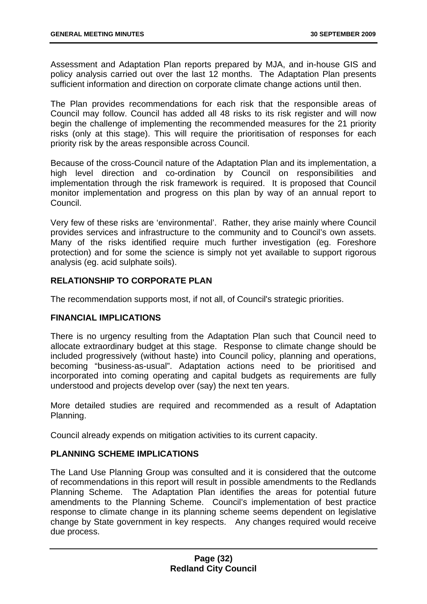Assessment and Adaptation Plan reports prepared by MJA, and in-house GIS and policy analysis carried out over the last 12 months. The Adaptation Plan presents sufficient information and direction on corporate climate change actions until then.

The Plan provides recommendations for each risk that the responsible areas of Council may follow. Council has added all 48 risks to its risk register and will now begin the challenge of implementing the recommended measures for the 21 priority risks (only at this stage). This will require the prioritisation of responses for each priority risk by the areas responsible across Council.

Because of the cross-Council nature of the Adaptation Plan and its implementation, a high level direction and co-ordination by Council on responsibilities and implementation through the risk framework is required. It is proposed that Council monitor implementation and progress on this plan by way of an annual report to Council.

Very few of these risks are 'environmental'. Rather, they arise mainly where Council provides services and infrastructure to the community and to Council's own assets. Many of the risks identified require much further investigation (eg. Foreshore protection) and for some the science is simply not yet available to support rigorous analysis (eg. acid sulphate soils).

#### **RELATIONSHIP TO CORPORATE PLAN**

The recommendation supports most, if not all, of Council's strategic priorities.

#### **FINANCIAL IMPLICATIONS**

There is no urgency resulting from the Adaptation Plan such that Council need to allocate extraordinary budget at this stage. Response to climate change should be included progressively (without haste) into Council policy, planning and operations, becoming "business-as-usual". Adaptation actions need to be prioritised and incorporated into coming operating and capital budgets as requirements are fully understood and projects develop over (say) the next ten years.

More detailed studies are required and recommended as a result of Adaptation Planning.

Council already expends on mitigation activities to its current capacity.

#### **PLANNING SCHEME IMPLICATIONS**

The Land Use Planning Group was consulted and it is considered that the outcome of recommendations in this report will result in possible amendments to the Redlands Planning Scheme. The Adaptation Plan identifies the areas for potential future amendments to the Planning Scheme. Council's implementation of best practice response to climate change in its planning scheme seems dependent on legislative change by State government in key respects. Any changes required would receive due process.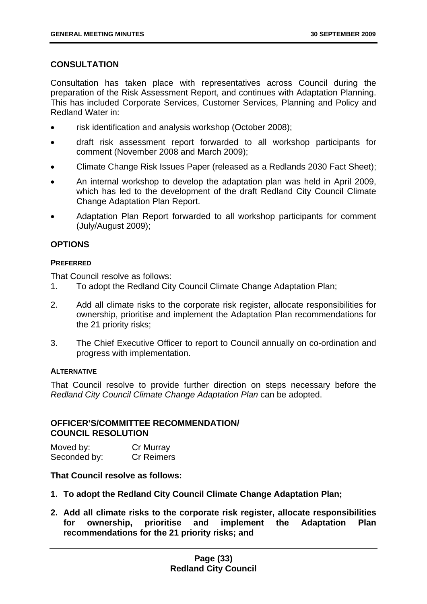#### **CONSULTATION**

Consultation has taken place with representatives across Council during the preparation of the Risk Assessment Report, and continues with Adaptation Planning. This has included Corporate Services, Customer Services, Planning and Policy and Redland Water in:

- risk identification and analysis workshop (October 2008);
- draft risk assessment report forwarded to all workshop participants for comment (November 2008 and March 2009);
- Climate Change Risk Issues Paper (released as a Redlands 2030 Fact Sheet);
- An internal workshop to develop the adaptation plan was held in April 2009, which has led to the development of the draft Redland City Council Climate Change Adaptation Plan Report.
- Adaptation Plan Report forwarded to all workshop participants for comment (July/August 2009);

#### **OPTIONS**

#### **PREFERRED**

That Council resolve as follows:

- 1. To adopt the Redland City Council Climate Change Adaptation Plan;
- 2. Add all climate risks to the corporate risk register, allocate responsibilities for ownership, prioritise and implement the Adaptation Plan recommendations for the 21 priority risks;
- 3. The Chief Executive Officer to report to Council annually on co-ordination and progress with implementation.

#### **ALTERNATIVE**

That Council resolve to provide further direction on steps necessary before the *Redland City Council Climate Change Adaptation Plan* can be adopted.

#### **OFFICER'S/COMMITTEE RECOMMENDATION/ COUNCIL RESOLUTION**

| Moved by:    | Cr Murray         |
|--------------|-------------------|
| Seconded by: | <b>Cr Reimers</b> |

#### **That Council resolve as follows:**

- **1. To adopt the Redland City Council Climate Change Adaptation Plan;**
- **2. Add all climate risks to the corporate risk register, allocate responsibilities for ownership, prioritise and implement the Adaptation Plan recommendations for the 21 priority risks; and**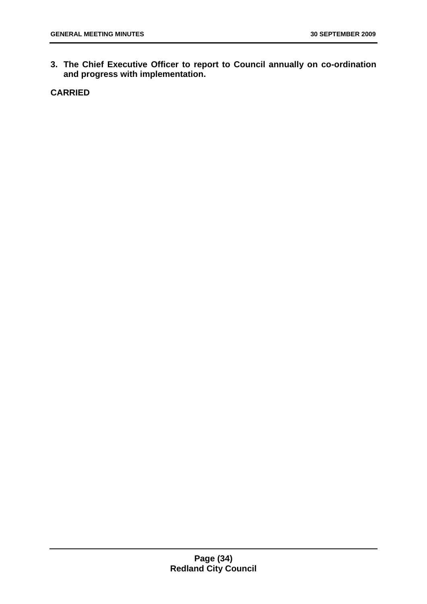**3. The Chief Executive Officer to report to Council annually on co-ordination and progress with implementation.** 

**CARRIED**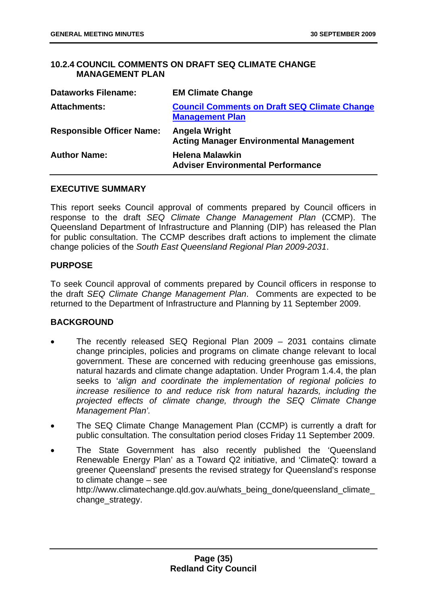#### <span id="page-35-0"></span>**10.2.4 COUNCIL COMMENTS ON DRAFT SEQ CLIMATE CHANGE MANAGEMENT PLAN**

| <b>Dataworks Filename:</b>       | <b>EM Climate Change</b>                                                      |
|----------------------------------|-------------------------------------------------------------------------------|
| <b>Attachments:</b>              | <b>Council Comments on Draft SEQ Climate Change</b><br><b>Management Plan</b> |
| <b>Responsible Officer Name:</b> | Angela Wright<br><b>Acting Manager Environmental Management</b>               |
| <b>Author Name:</b>              | <b>Helena Malawkin</b><br><b>Adviser Environmental Performance</b>            |

#### **EXECUTIVE SUMMARY**

This report seeks Council approval of comments prepared by Council officers in response to the draft *SEQ Climate Change Management Plan* (CCMP). The Queensland Department of Infrastructure and Planning (DIP) has released the Plan for public consultation. The CCMP describes draft actions to implement the climate change policies of the *South East Queensland Regional Plan 2009-2031*.

#### **PURPOSE**

To seek Council approval of comments prepared by Council officers in response to the draft *SEQ Climate Change Management Plan*. Comments are expected to be returned to the Department of Infrastructure and Planning by 11 September 2009.

#### **BACKGROUND**

- The recently released SEQ Regional Plan 2009 2031 contains climate change principles, policies and programs on climate change relevant to local government. These are concerned with reducing greenhouse gas emissions, natural hazards and climate change adaptation. Under Program 1.4.4, the plan seeks to '*align and coordinate the implementation of regional policies to increase resilience to and reduce risk from natural hazards, including the projected effects of climate change, through the SEQ Climate Change Management Plan'.*
- The SEQ Climate Change Management Plan (CCMP) is currently a draft for public consultation. The consultation period closes Friday 11 September 2009.
- The State Government has also recently published the 'Queensland Renewable Energy Plan' as a Toward Q2 initiative, and 'ClimateQ: toward a greener Queensland' presents the revised strategy for Queensland's response to climate change – see [http://www.climatechange.qld.gov.au/whats\\_being\\_done/queensland\\_climate\\_](http://www.climatechange.qld.gov.au/whats_being_done/queensland_climate_change_strategy) [change\\_strategy](http://www.climatechange.qld.gov.au/whats_being_done/queensland_climate_change_strategy).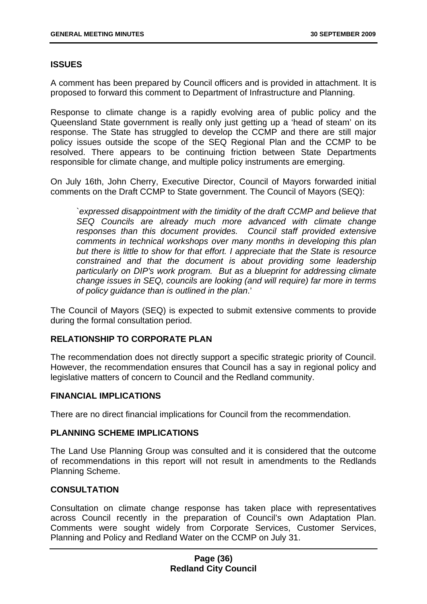# **ISSUES**

A comment has been prepared by Council officers and is provided in attachment. It is proposed to forward this comment to Department of Infrastructure and Planning.

Response to climate change is a rapidly evolving area of public policy and the Queensland State government is really only just getting up a 'head of steam' on its response. The State has struggled to develop the CCMP and there are still major policy issues outside the scope of the SEQ Regional Plan and the CCMP to be resolved. There appears to be continuing friction between State Departments responsible for climate change, and multiple policy instruments are emerging.

On July 16th, John Cherry, Executive Director, Council of Mayors forwarded initial comments on the Draft CCMP to State government. The Council of Mayors (SEQ):

`*expressed disappointment with the timidity of the draft CCMP and believe that SEQ Councils are already much more advanced with climate change responses than this document provides. Council staff provided extensive comments in technical workshops over many months in developing this plan but there is little to show for that effort. I appreciate that the State is resource constrained and that the document is about providing some leadership particularly on DIP's work program. But as a blueprint for addressing climate change issues in SEQ, councils are looking (and will require) far more in terms of policy guidance than is outlined in the plan*.'

The Council of Mayors (SEQ) is expected to submit extensive comments to provide during the formal consultation period.

### **RELATIONSHIP TO CORPORATE PLAN**

The recommendation does not directly support a specific strategic priority of Council. However, the recommendation ensures that Council has a say in regional policy and legislative matters of concern to Council and the Redland community.

### **FINANCIAL IMPLICATIONS**

There are no direct financial implications for Council from the recommendation.

### **PLANNING SCHEME IMPLICATIONS**

The Land Use Planning Group was consulted and it is considered that the outcome of recommendations in this report will not result in amendments to the Redlands Planning Scheme.

### **CONSULTATION**

Consultation on climate change response has taken place with representatives across Council recently in the preparation of Council's own Adaptation Plan. Comments were sought widely from Corporate Services, Customer Services, Planning and Policy and Redland Water on the CCMP on July 31.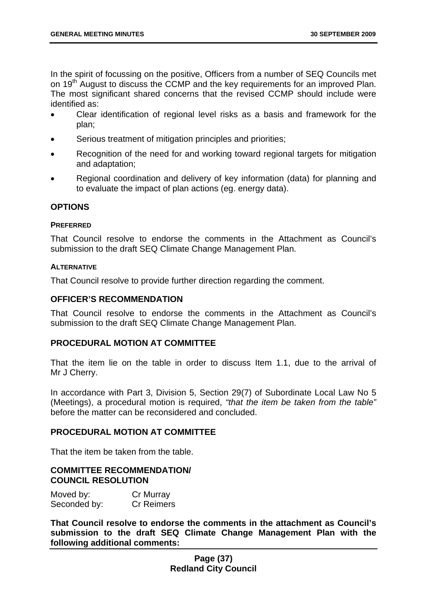In the spirit of focussing on the positive, Officers from a number of SEQ Councils met on 19<sup>th</sup> August to discuss the CCMP and the key requirements for an improved Plan. The most significant shared concerns that the revised CCMP should include were identified as:

- Clear identification of regional level risks as a basis and framework for the plan;
- Serious treatment of mitigation principles and priorities;
- Recognition of the need for and working toward regional targets for mitigation and adaptation;
- Regional coordination and delivery of key information (data) for planning and to evaluate the impact of plan actions (eg. energy data).

## **OPTIONS**

#### **PREFERRED**

That Council resolve to endorse the comments in the Attachment as Council's submission to the draft SEQ Climate Change Management Plan.

#### **ALTERNATIVE**

That Council resolve to provide further direction regarding the comment.

### **OFFICER'S RECOMMENDATION**

That Council resolve to endorse the comments in the Attachment as Council's submission to the draft SEQ Climate Change Management Plan.

### **PROCEDURAL MOTION AT COMMITTEE**

That the item lie on the table in order to discuss Item 1.1, due to the arrival of Mr J Cherry.

In accordance with Part 3, Division 5, Section 29(7) of Subordinate Local Law No 5 (Meetings), a procedural motion is required, *"that the item be taken from the table"* before the matter can be reconsidered and concluded.

### **PROCEDURAL MOTION AT COMMITTEE**

That the item be taken from the table.

## **COMMITTEE RECOMMENDATION/ COUNCIL RESOLUTION**

Moved by: Cr Murray Seconded by: Cr Reimers

**That Council resolve to endorse the comments in the attachment as Council's submission to the draft SEQ Climate Change Management Plan with the following additional comments:**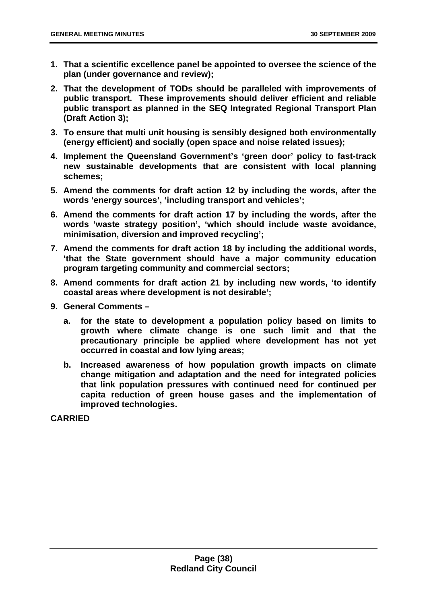- **1. That a scientific excellence panel be appointed to oversee the science of the plan (under governance and review);**
- **2. That the development of TODs should be paralleled with improvements of public transport. These improvements should deliver efficient and reliable public transport as planned in the SEQ Integrated Regional Transport Plan (Draft Action 3);**
- **3. To ensure that multi unit housing is sensibly designed both environmentally (energy efficient) and socially (open space and noise related issues);**
- **4. Implement the Queensland Government's 'green door' policy to fast-track new sustainable developments that are consistent with local planning schemes;**
- **5. Amend the comments for draft action 12 by including the words, after the words 'energy sources', 'including transport and vehicles';**
- **6. Amend the comments for draft action 17 by including the words, after the words 'waste strategy position', 'which should include waste avoidance, minimisation, diversion and improved recycling';**
- **7. Amend the comments for draft action 18 by including the additional words, 'that the State government should have a major community education program targeting community and commercial sectors;**
- **8. Amend comments for draft action 21 by including new words, 'to identify coastal areas where development is not desirable';**
- **9. General Comments** 
	- **a. for the state to development a population policy based on limits to growth where climate change is one such limit and that the precautionary principle be applied where development has not yet occurred in coastal and low lying areas;**
	- **b. Increased awareness of how population growth impacts on climate change mitigation and adaptation and the need for integrated policies that link population pressures with continued need for continued per capita reduction of green house gases and the implementation of improved technologies.**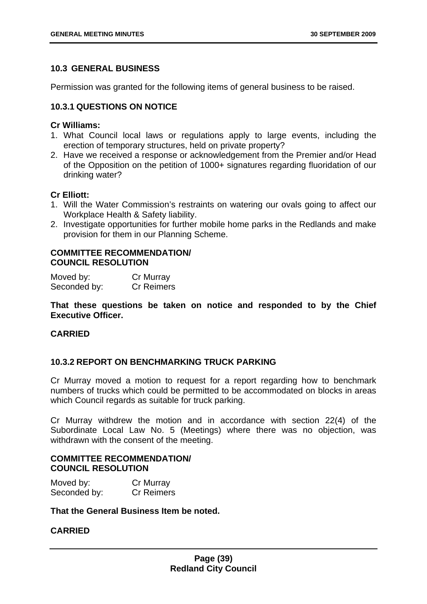# **10.3 GENERAL BUSINESS**

Permission was granted for the following items of general business to be raised.

## **10.3.1 QUESTIONS ON NOTICE**

### **Cr Williams:**

- 1. What Council local laws or regulations apply to large events, including the erection of temporary structures, held on private property?
- 2. Have we received a response or acknowledgement from the Premier and/or Head of the Opposition on the petition of 1000+ signatures regarding fluoridation of our drinking water?

## **Cr Elliott:**

- 1. Will the Water Commission's restraints on watering our ovals going to affect our Workplace Health & Safety liability.
- 2. Investigate opportunities for further mobile home parks in the Redlands and make provision for them in our Planning Scheme.

### **COMMITTEE RECOMMENDATION/ COUNCIL RESOLUTION**

| Moved by:    | Cr Murray         |
|--------------|-------------------|
| Seconded by: | <b>Cr Reimers</b> |

# **That these questions be taken on notice and responded to by the Chief Executive Officer.**

## **CARRIED**

# **10.3.2 REPORT ON BENCHMARKING TRUCK PARKING**

Cr Murray moved a motion to request for a report regarding how to benchmark numbers of trucks which could be permitted to be accommodated on blocks in areas which Council regards as suitable for truck parking.

Cr Murray withdrew the motion and in accordance with section 22(4) of the Subordinate Local Law No. 5 (Meetings) where there was no objection, was withdrawn with the consent of the meeting.

## **COMMITTEE RECOMMENDATION/ COUNCIL RESOLUTION**

| Moved by:    | Cr Murray         |
|--------------|-------------------|
| Seconded by: | <b>Cr Reimers</b> |

**That the General Business Item be noted.**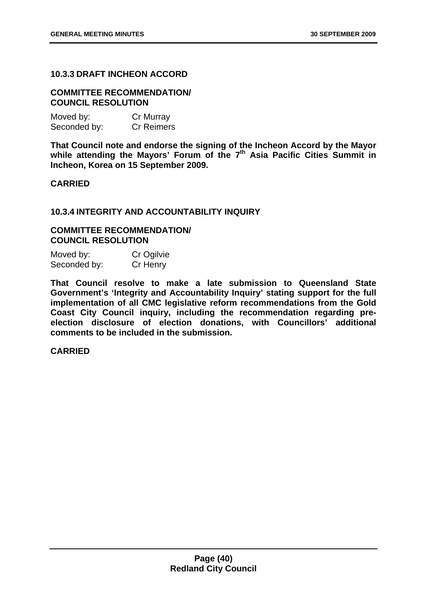### **10.3.3 DRAFT INCHEON ACCORD**

#### **COMMITTEE RECOMMENDATION/ COUNCIL RESOLUTION**

| Moved by:    | Cr Murray         |
|--------------|-------------------|
| Seconded by: | <b>Cr Reimers</b> |

**That Council note and endorse the signing of the Incheon Accord by the Mayor**  while attending the Mayors' Forum of the 7<sup>th</sup> Asia Pacific Cities Summit in **Incheon, Korea on 15 September 2009.** 

#### **CARRIED**

#### **10.3.4 INTEGRITY AND ACCOUNTABILITY INQUIRY**

### **COMMITTEE RECOMMENDATION/ COUNCIL RESOLUTION**

| Moved by:    | Cr Ogilvie |
|--------------|------------|
| Seconded by: | Cr Henry   |

**That Council resolve to make a late submission to Queensland State Government's 'Integrity and Accountability Inquiry' stating support for the full implementation of all CMC legislative reform recommendations from the Gold Coast City Council inquiry, including the recommendation regarding preelection disclosure of election donations, with Councillors' additional comments to be included in the submission.**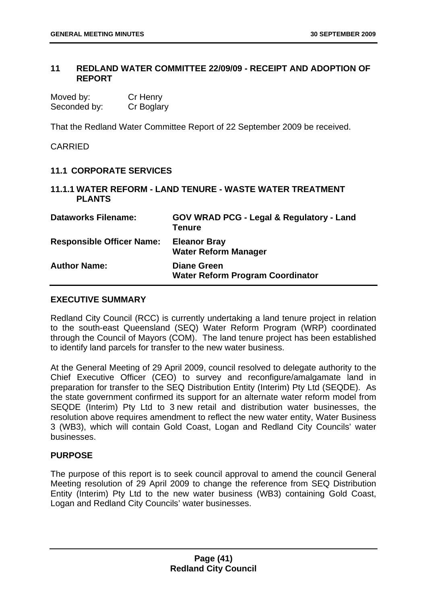## **11 REDLAND WATER COMMITTEE 22/09/09 - RECEIPT AND ADOPTION OF REPORT**

| Moved by:    | Cr Henry   |
|--------------|------------|
| Seconded by: | Cr Boglary |

That the Redland Water Committee Report of 22 September 2009 be received.

### CARRIED

### **11.1 CORPORATE SERVICES**

### **11.1.1 WATER REFORM - LAND TENURE - WASTE WATER TREATMENT PLANTS**

| <b>Dataworks Filename:</b>       | <b>GOV WRAD PCG - Legal &amp; Regulatory - Land</b><br><b>Tenure</b> |
|----------------------------------|----------------------------------------------------------------------|
| <b>Responsible Officer Name:</b> | <b>Eleanor Bray</b><br><b>Water Reform Manager</b>                   |
| <b>Author Name:</b>              | <b>Diane Green</b><br><b>Water Reform Program Coordinator</b>        |

#### **EXECUTIVE SUMMARY**

Redland City Council (RCC) is currently undertaking a land tenure project in relation to the south-east Queensland (SEQ) Water Reform Program (WRP) coordinated through the Council of Mayors (COM). The land tenure project has been established to identify land parcels for transfer to the new water business.

At the General Meeting of 29 April 2009, council resolved to delegate authority to the Chief Executive Officer (CEO) to survey and reconfigure/amalgamate land in preparation for transfer to the SEQ Distribution Entity (Interim) Pty Ltd (SEQDE). As the state government confirmed its support for an alternate water reform model from SEQDE (Interim) Pty Ltd to 3 new retail and distribution water businesses, the resolution above requires amendment to reflect the new water entity, Water Business 3 (WB3), which will contain Gold Coast, Logan and Redland City Councils' water businesses.

### **PURPOSE**

The purpose of this report is to seek council approval to amend the council General Meeting resolution of 29 April 2009 to change the reference from SEQ Distribution Entity (Interim) Pty Ltd to the new water business (WB3) containing Gold Coast, Logan and Redland City Councils' water businesses.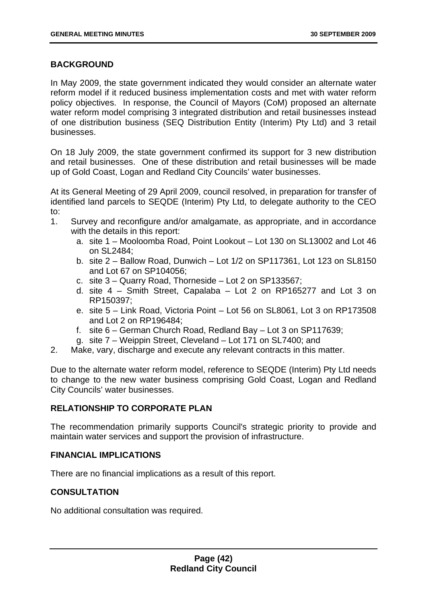# **BACKGROUND**

In May 2009, the state government indicated they would consider an alternate water reform model if it reduced business implementation costs and met with water reform policy objectives. In response, the Council of Mayors (CoM) proposed an alternate water reform model comprising 3 integrated distribution and retail businesses instead of one distribution business (SEQ Distribution Entity (Interim) Pty Ltd) and 3 retail businesses.

On 18 July 2009, the state government confirmed its support for 3 new distribution and retail businesses. One of these distribution and retail businesses will be made up of Gold Coast, Logan and Redland City Councils' water businesses.

At its General Meeting of 29 April 2009, council resolved, in preparation for transfer of identified land parcels to SEQDE (Interim) Pty Ltd, to delegate authority to the CEO to:

- 1. Survey and reconfigure and/or amalgamate, as appropriate, and in accordance with the details in this report:
	- a. site 1 Mooloomba Road, Point Lookout Lot 130 on SL13002 and Lot 46 on SL2484;
	- b. site 2 Ballow Road, Dunwich Lot 1/2 on SP117361, Lot 123 on SL8150 and Lot 67 on SP104056;
	- c. site 3 Quarry Road, Thorneside Lot 2 on SP133567;
	- d. site 4 Smith Street, Capalaba Lot 2 on RP165277 and Lot 3 on RP150397;
	- e. site 5 Link Road, Victoria Point Lot 56 on SL8061, Lot 3 on RP173508 and Lot 2 on RP196484;
	- f. site 6 German Church Road, Redland Bay Lot 3 on SP117639;
	- g. site 7 Weippin Street, Cleveland Lot 171 on SL7400; and
- 2. Make, vary, discharge and execute any relevant contracts in this matter.

Due to the alternate water reform model, reference to SEQDE (Interim) Pty Ltd needs to change to the new water business comprising Gold Coast, Logan and Redland City Councils' water businesses.

### **RELATIONSHIP TO CORPORATE PLAN**

The recommendation primarily supports Council's strategic priority to provide and maintain water services and support the provision of infrastructure.

### **FINANCIAL IMPLICATIONS**

There are no financial implications as a result of this report.

# **CONSULTATION**

No additional consultation was required.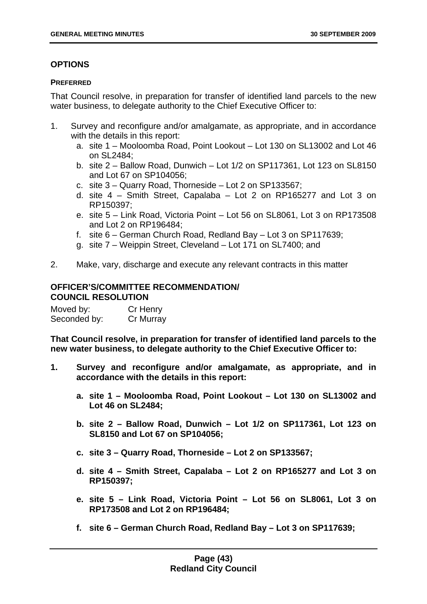# **OPTIONS**

### **PREFERRED**

That Council resolve, in preparation for transfer of identified land parcels to the new water business, to delegate authority to the Chief Executive Officer to:

- 1. Survey and reconfigure and/or amalgamate, as appropriate, and in accordance with the details in this report:
	- a. site 1 Mooloomba Road, Point Lookout Lot 130 on SL13002 and Lot 46 on SL 2484;
	- b. site 2 Ballow Road, Dunwich Lot 1/2 on SP117361, Lot 123 on SL8150 and Lot 67 on SP104056;
	- c. site 3 Quarry Road, Thorneside Lot 2 on SP133567;
	- d. site 4 Smith Street, Capalaba Lot 2 on RP165277 and Lot 3 on RP150397;
	- e. site 5 Link Road, Victoria Point Lot 56 on SL8061, Lot 3 on RP173508 and Lot 2 on RP196484;
	- f. site 6 German Church Road, Redland Bay Lot 3 on SP117639;
	- g. site 7 Weippin Street, Cleveland Lot 171 on SL7400; and
- 2. Make, vary, discharge and execute any relevant contracts in this matter

# **OFFICER'S/COMMITTEE RECOMMENDATION/ COUNCIL RESOLUTION**

| Moved by:    | Cr Henry  |
|--------------|-----------|
| Seconded by: | Cr Murray |

**That Council resolve, in preparation for transfer of identified land parcels to the new water business, to delegate authority to the Chief Executive Officer to:** 

- **1. Survey and reconfigure and/or amalgamate, as appropriate, and in accordance with the details in this report:** 
	- **a. site 1 Mooloomba Road, Point Lookout Lot 130 on SL13002 and Lot 46 on SL2484;**
	- **b. site 2 Ballow Road, Dunwich Lot 1/2 on SP117361, Lot 123 on SL8150 and Lot 67 on SP104056;**
	- **c. site 3 Quarry Road, Thorneside Lot 2 on SP133567;**
	- **d. site 4 Smith Street, Capalaba Lot 2 on RP165277 and Lot 3 on RP150397;**
	- **e. site 5 Link Road, Victoria Point Lot 56 on SL8061, Lot 3 on RP173508 and Lot 2 on RP196484;**
	- **f. site 6 German Church Road, Redland Bay Lot 3 on SP117639;**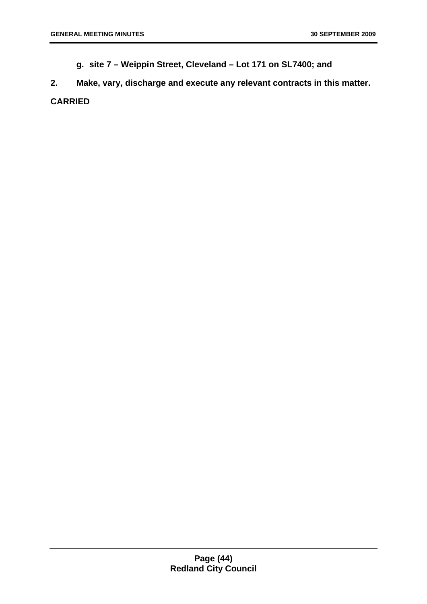**g. site 7 – Weippin Street, Cleveland – Lot 171 on SL7400; and** 

**2. Make, vary, discharge and execute any relevant contracts in this matter. CARRIED**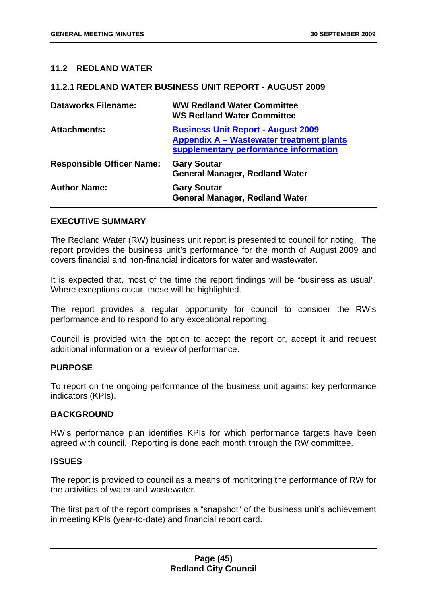### **11.2 REDLAND WATER**

#### **11.2.1 REDLAND WATER BUSINESS UNIT REPORT - AUGUST 2009**

| <b>Dataworks Filename:</b>       | <b>WW Redland Water Committee</b><br><b>WS Redland Water Committee</b>                                                         |
|----------------------------------|--------------------------------------------------------------------------------------------------------------------------------|
| <b>Attachments:</b>              | <b>Business Unit Report - August 2009</b><br>Appendix A - Wastewater treatment plants<br>supplementary performance information |
| <b>Responsible Officer Name:</b> | <b>Gary Soutar</b><br><b>General Manager, Redland Water</b>                                                                    |
| <b>Author Name:</b>              | <b>Gary Soutar</b><br><b>General Manager, Redland Water</b>                                                                    |

#### **EXECUTIVE SUMMARY**

The Redland Water (RW) business unit report is presented to council for noting. The report provides the business unit's performance for the month of August 2009 and covers financial and non-financial indicators for water and wastewater.

It is expected that, most of the time the report findings will be "business as usual". Where exceptions occur, these will be highlighted.

The report provides a regular opportunity for council to consider the RW's performance and to respond to any exceptional reporting.

Council is provided with the option to accept the report or, accept it and request additional information or a review of performance.

#### **PURPOSE**

To report on the ongoing performance of the business unit against key performance indicators (KPIs).

#### **BACKGROUND**

RW's performance plan identifies KPIs for which performance targets have been agreed with council. Reporting is done each month through the RW committee.

#### **ISSUES**

The report is provided to council as a means of monitoring the performance of RW for the activities of water and wastewater.

The first part of the report comprises a "snapshot" of the business unit's achievement in meeting KPIs (year-to-date) and financial report card.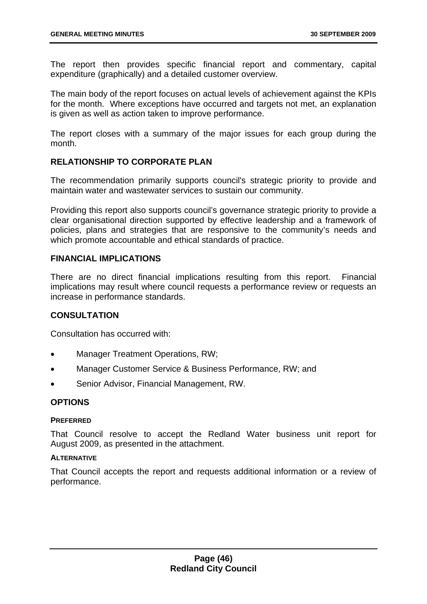The report then provides specific financial report and commentary, capital expenditure (graphically) and a detailed customer overview.

The main body of the report focuses on actual levels of achievement against the KPIs for the month. Where exceptions have occurred and targets not met, an explanation is given as well as action taken to improve performance.

The report closes with a summary of the major issues for each group during the month.

# **RELATIONSHIP TO CORPORATE PLAN**

The recommendation primarily supports council's strategic priority to provide and maintain water and wastewater services to sustain our community.

Providing this report also supports council's governance strategic priority to provide a clear organisational direction supported by effective leadership and a framework of policies, plans and strategies that are responsive to the community's needs and which promote accountable and ethical standards of practice.

## **FINANCIAL IMPLICATIONS**

There are no direct financial implications resulting from this report. Financial implications may result where council requests a performance review or requests an increase in performance standards.

# **CONSULTATION**

Consultation has occurred with:

- Manager Treatment Operations, RW;
- Manager Customer Service & Business Performance, RW; and
- Senior Advisor, Financial Management, RW.

### **OPTIONS**

### **PREFERRED**

That Council resolve to accept the Redland Water business unit report for August 2009, as presented in the attachment.

### **ALTERNATIVE**

That Council accepts the report and requests additional information or a review of performance.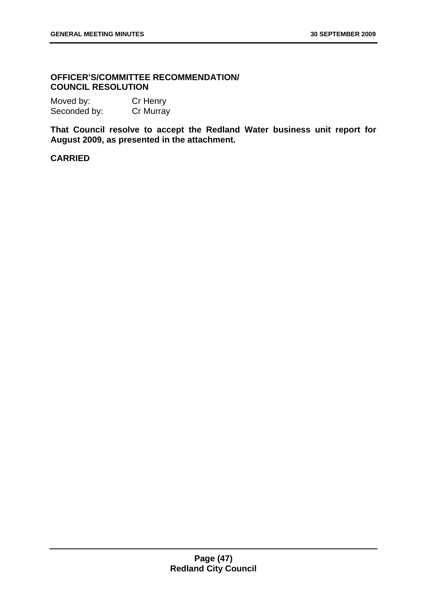### **OFFICER'S/COMMITTEE RECOMMENDATION/ COUNCIL RESOLUTION**

| Moved by:    | Cr Henry         |
|--------------|------------------|
| Seconded by: | <b>Cr Murray</b> |

**That Council resolve to accept the Redland Water business unit report for August 2009, as presented in the attachment.**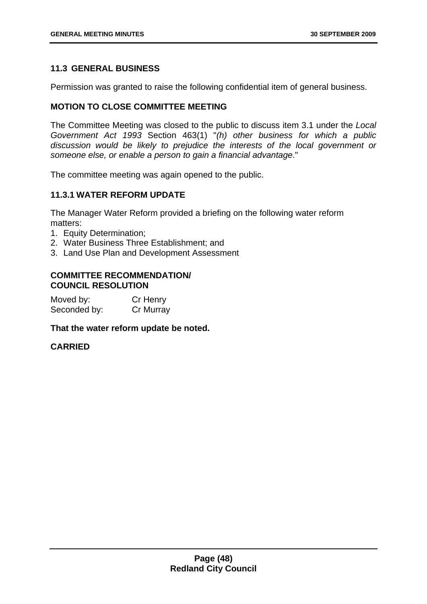# **11.3 GENERAL BUSINESS**

Permission was granted to raise the following confidential item of general business.

## **MOTION TO CLOSE COMMITTEE MEETING**

The Committee Meeting was closed to the public to discuss item 3.1 under the *Local Government Act 1993* Section 463(1) "*(h) other business for which a public discussion would be likely to prejudice the interests of the local government or someone else, or enable a person to gain a financial advantage*."

The committee meeting was again opened to the public.

## **11.3.1 WATER REFORM UPDATE**

The Manager Water Reform provided a briefing on the following water reform matters:

- 1. Equity Determination;
- 2. Water Business Three Establishment; and
- 3. Land Use Plan and Development Assessment

#### **COMMITTEE RECOMMENDATION/ COUNCIL RESOLUTION**

| Moved by:    | Cr Henry  |
|--------------|-----------|
| Seconded by: | Cr Murray |

#### **That the water reform update be noted.**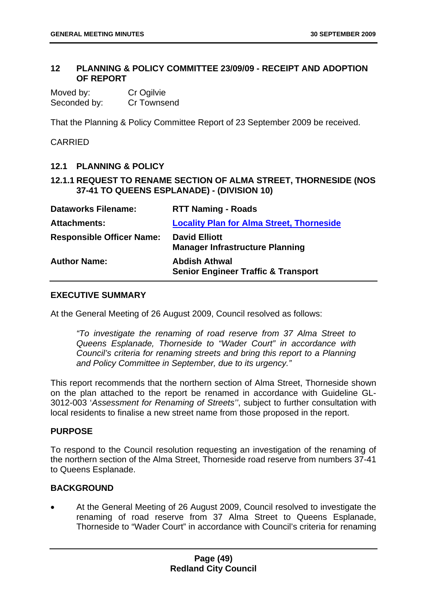### **12 PLANNING & POLICY COMMITTEE 23/09/09 - RECEIPT AND ADOPTION OF REPORT**

Moved by: Cr Ogilvie Seconded by: Cr Townsend

That the Planning & Policy Committee Report of 23 September 2009 be received.

## CARRIED

## **12.1 PLANNING & POLICY**

# **12.1.1 REQUEST TO RENAME SECTION OF ALMA STREET, THORNESIDE (NOS 37-41 TO QUEENS ESPLANADE) - (DIVISION 10)**

| <b>Dataworks Filename:</b>       | <b>RTT Naming - Roads</b>                                              |
|----------------------------------|------------------------------------------------------------------------|
| <b>Attachments:</b>              | <b>Locality Plan for Alma Street, Thorneside</b>                       |
| <b>Responsible Officer Name:</b> | <b>David Elliott</b><br><b>Manager Infrastructure Planning</b>         |
| <b>Author Name:</b>              | <b>Abdish Athwal</b><br><b>Senior Engineer Traffic &amp; Transport</b> |

# **EXECUTIVE SUMMARY**

At the General Meeting of 26 August 2009, Council resolved as follows:

*"To investigate the renaming of road reserve from 37 Alma Street to Queens Esplanade, Thorneside to "Wader Court" in accordance with Council's criteria for renaming streets and bring this report to a Planning and Policy Committee in September, due to its urgency."* 

This report recommends that the northern section of Alma Street, Thorneside shown on the plan attached to the report be renamed in accordance with Guideline GL-3012-003 '*Assessment for Renaming of Streets''*, subject to further consultation with local residents to finalise a new street name from those proposed in the report.

### **PURPOSE**

To respond to the Council resolution requesting an investigation of the renaming of the northern section of the Alma Street, Thorneside road reserve from numbers 37-41 to Queens Esplanade.

### **BACKGROUND**

At the General Meeting of 26 August 2009, Council resolved to investigate the renaming of road reserve from 37 Alma Street to Queens Esplanade, Thorneside to "Wader Court" in accordance with Council's criteria for renaming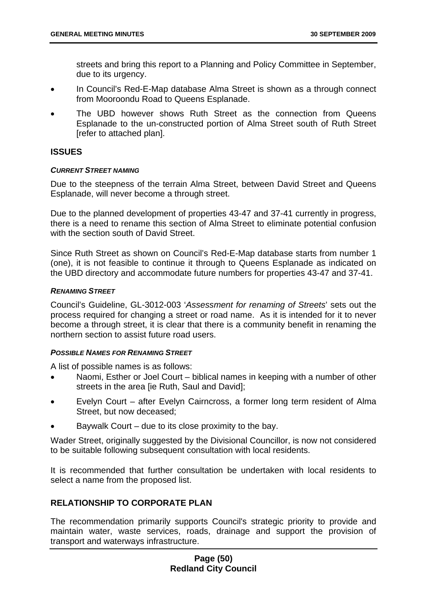streets and bring this report to a Planning and Policy Committee in September, due to its urgency.

- In Council's Red-E-Map database Alma Street is shown as a through connect from Mooroondu Road to Queens Esplanade.
- The UBD however shows Ruth Street as the connection from Queens Esplanade to the un-constructed portion of Alma Street south of Ruth Street [refer to attached plan].

## **ISSUES**

### *CURRENT STREET NAMING*

Due to the steepness of the terrain Alma Street, between David Street and Queens Esplanade, will never become a through street.

Due to the planned development of properties 43-47 and 37-41 currently in progress, there is a need to rename this section of Alma Street to eliminate potential confusion with the section south of David Street.

Since Ruth Street as shown on Council's Red-E-Map database starts from number 1 (one), it is not feasible to continue it through to Queens Esplanade as indicated on the UBD directory and accommodate future numbers for properties 43-47 and 37-41.

### *RENAMING STREET*

Council's Guideline, GL-3012-003 '*Assessment for renaming of Streets*' sets out the process required for changing a street or road name. As it is intended for it to never become a through street, it is clear that there is a community benefit in renaming the northern section to assist future road users.

### *POSSIBLE NAMES FOR RENAMING STREET*

A list of possible names is as follows:

- Naomi, Esther or Joel Court biblical names in keeping with a number of other streets in the area [ie Ruth, Saul and David];
- Evelyn Court after Evelyn Cairncross, a former long term resident of Alma Street, but now deceased;
- Baywalk Court due to its close proximity to the bay.

Wader Street, originally suggested by the Divisional Councillor, is now not considered to be suitable following subsequent consultation with local residents.

It is recommended that further consultation be undertaken with local residents to select a name from the proposed list.

# **RELATIONSHIP TO CORPORATE PLAN**

The recommendation primarily supports Council's strategic priority to provide and maintain water, waste services, roads, drainage and support the provision of transport and waterways infrastructure.

## **Page (50) Redland City Council**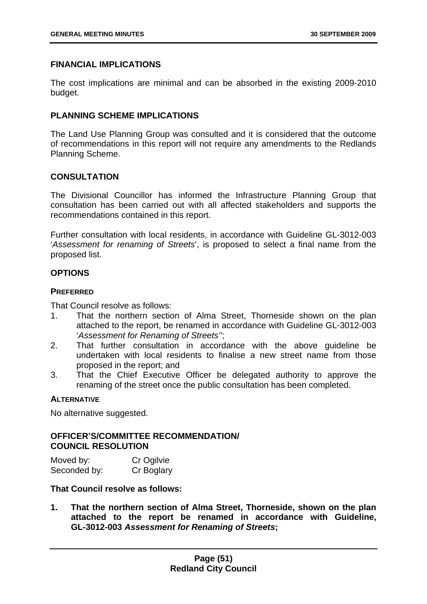## **FINANCIAL IMPLICATIONS**

The cost implications are minimal and can be absorbed in the existing 2009-2010 budget.

# **PI ANNING SCHEME IMPLICATIONS**

The Land Use Planning Group was consulted and it is considered that the outcome of recommendations in this report will not require any amendments to the Redlands Planning Scheme.

## **CONSULTATION**

The Divisional Councillor has informed the Infrastructure Planning Group that consultation has been carried out with all affected stakeholders and supports the recommendations contained in this report.

Further consultation with local residents, in accordance with Guideline GL-3012-003 '*Assessment for renaming of Streets*', is proposed to select a final name from the proposed list.

# **OPTIONS**

## **PREFERRED**

That Council resolve as follows:

- 1. That the northern section of Alma Street, Thorneside shown on the plan attached to the report, be renamed in accordance with Guideline GL-3012-003 '*Assessment for Renaming of Streets''*;
- 2. That further consultation in accordance with the above guideline be undertaken with local residents to finalise a new street name from those proposed in the report; and
- 3. That the Chief Executive Officer be delegated authority to approve the renaming of the street once the public consultation has been completed.

# **ALTERNATIVE**

No alternative suggested.

## **OFFICER'S/COMMITTEE RECOMMENDATION/ COUNCIL RESOLUTION**

| Moved by:    | Cr Ogilvie |
|--------------|------------|
| Seconded by: | Cr Boglary |

## **That Council resolve as follows:**

**1. That the northern section of Alma Street, Thorneside, shown on the plan attached to the report be renamed in accordance with Guideline, GL-3012-003** *Assessment for Renaming of Streets***;**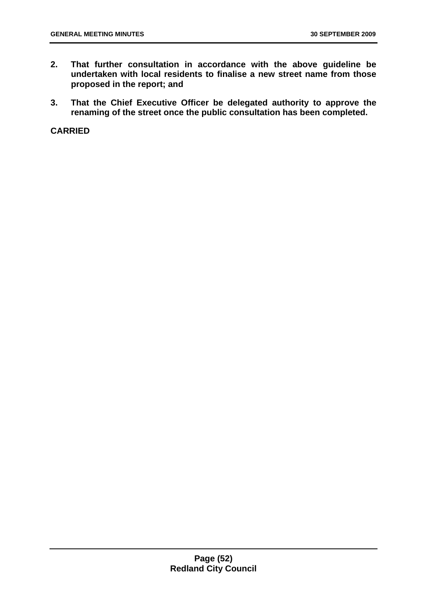- **2. That further consultation in accordance with the above guideline be undertaken with local residents to finalise a new street name from those proposed in the report; and**
- **3. That the Chief Executive Officer be delegated authority to approve the renaming of the street once the public consultation has been completed.**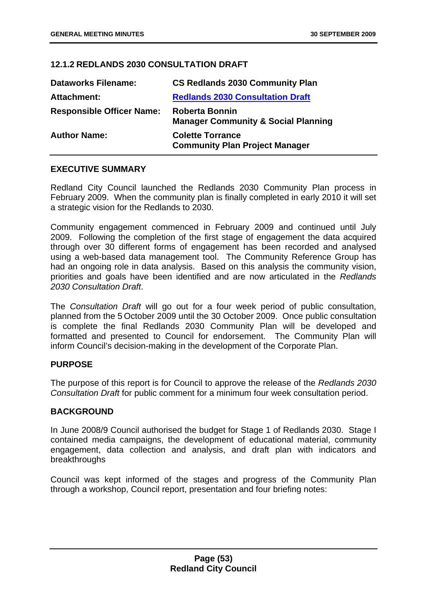# **12.1.2 REDLANDS 2030 CONSULTATION DRAFT**

| <b>Dataworks Filename:</b>       | <b>CS Redlands 2030 Community Plan</b>                                  |
|----------------------------------|-------------------------------------------------------------------------|
| Attachment:                      | <b>Redlands 2030 Consultation Draft</b>                                 |
| <b>Responsible Officer Name:</b> | <b>Roberta Bonnin</b><br><b>Manager Community &amp; Social Planning</b> |
| <b>Author Name:</b>              | <b>Colette Torrance</b><br><b>Community Plan Project Manager</b>        |

# **EXECUTIVE SUMMARY**

Redland City Council launched the Redlands 2030 Community Plan process in February 2009. When the community plan is finally completed in early 2010 it will set a strategic vision for the Redlands to 2030.

Community engagement commenced in February 2009 and continued until July 2009. Following the completion of the first stage of engagement the data acquired through over 30 different forms of engagement has been recorded and analysed using a web-based data management tool. The Community Reference Group has had an ongoing role in data analysis. Based on this analysis the community vision, priorities and goals have been identified and are now articulated in the *Redlands 2030 Consultation Draft*.

The *Consultation Draft* will go out for a four week period of public consultation, planned from the 5 October 2009 until the 30 October 2009. Once public consultation is complete the final Redlands 2030 Community Plan will be developed and formatted and presented to Council for endorsement. The Community Plan will inform Council's decision-making in the development of the Corporate Plan.

# **PURPOSE**

The purpose of this report is for Council to approve the release of the *Redlands 2030 Consultation Draft* for public comment for a minimum four week consultation period.

# **BACKGROUND**

In June 2008/9 Council authorised the budget for Stage 1 of Redlands 2030. Stage I contained media campaigns, the development of educational material, community engagement, data collection and analysis, and draft plan with indicators and breakthroughs

Council was kept informed of the stages and progress of the Community Plan through a workshop, Council report, presentation and four briefing notes: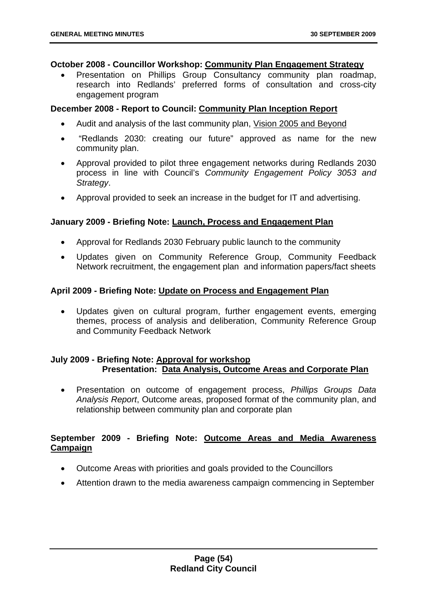#### **October 2008 - Councillor Workshop: Community Plan Engagement Strategy**

• Presentation on Phillips Group Consultancy community plan roadmap, research into Redlands' preferred forms of consultation and cross-city engagement program

### **December 2008 - Report to Council: Community Plan Inception Report**

- Audit and analysis of the last community plan, Vision 2005 and Beyond
- "Redlands 2030: creating our future" approved as name for the new community plan.
- Approval provided to pilot three engagement networks during Redlands 2030 process in line with Council's *Community Engagement Policy 3053 and Strategy*.
- Approval provided to seek an increase in the budget for IT and advertising.

## **January 2009 - Briefing Note: Launch, Process and Engagement Plan**

- Approval for Redlands 2030 February public launch to the community
- Updates given on Community Reference Group, Community Feedback Network recruitment, the engagement plan and information papers/fact sheets

## **April 2009 - Briefing Note: Update on Process and Engagement Plan**

• Updates given on cultural program, further engagement events, emerging themes, process of analysis and deliberation, Community Reference Group and Community Feedback Network

## **July 2009 - Briefing Note: Approval for workshop Presentation: Data Analysis, Outcome Areas and Corporate Plan**

• Presentation on outcome of engagement process, *Phillips Groups Data Analysis Report*, Outcome areas, proposed format of the community plan, and relationship between community plan and corporate plan

# **September 2009 - Briefing Note: Outcome Areas and Media Awareness Campaign**

- Outcome Areas with priorities and goals provided to the Councillors
- Attention drawn to the media awareness campaign commencing in September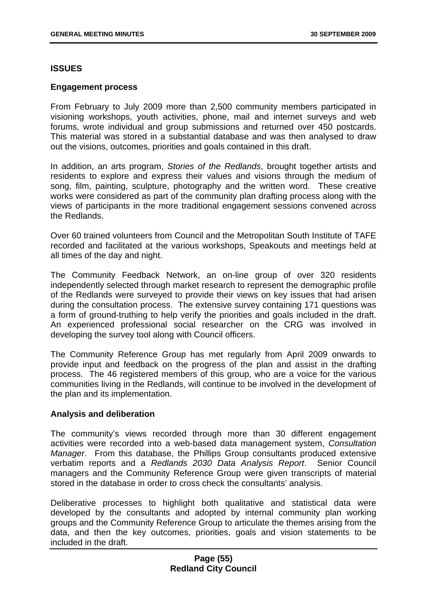### **ISSUES**

### **Engagement process**

From February to July 2009 more than 2,500 community members participated in visioning workshops, youth activities, phone, mail and internet surveys and web forums, wrote individual and group submissions and returned over 450 postcards. This material was stored in a substantial database and was then analysed to draw out the visions, outcomes, priorities and goals contained in this draft.

In addition, an arts program, *Stories of the Redlands*, brought together artists and residents to explore and express their values and visions through the medium of song, film, painting, sculpture, photography and the written word. These creative works were considered as part of the community plan drafting process along with the views of participants in the more traditional engagement sessions convened across the Redlands.

Over 60 trained volunteers from Council and the Metropolitan South Institute of TAFE recorded and facilitated at the various workshops, Speakouts and meetings held at all times of the day and night.

The Community Feedback Network, an on-line group of over 320 residents independently selected through market research to represent the demographic profile of the Redlands were surveyed to provide their views on key issues that had arisen during the consultation process. The extensive survey containing 171 questions was a form of ground-truthing to help verify the priorities and goals included in the draft. An experienced professional social researcher on the CRG was involved in developing the survey tool along with Council officers.

The Community Reference Group has met regularly from April 2009 onwards to provide input and feedback on the progress of the plan and assist in the drafting process. The 46 registered members of this group, who are a voice for the various communities living in the Redlands, will continue to be involved in the development of the plan and its implementation.

### **Analysis and deliberation**

The community's views recorded through more than 30 different engagement activities were recorded into a web-based data management system, *Consultation Manager*. From this database, the Phillips Group consultants produced extensive verbatim reports and a *Redlands 2030 Data Analysis Report*. Senior Council managers and the Community Reference Group were given transcripts of material stored in the database in order to cross check the consultants' analysis.

Deliberative processes to highlight both qualitative and statistical data were developed by the consultants and adopted by internal community plan working groups and the Community Reference Group to articulate the themes arising from the data, and then the key outcomes, priorities, goals and vision statements to be included in the draft.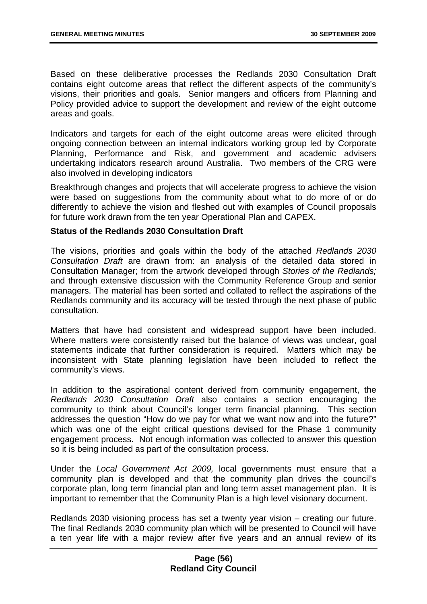Based on these deliberative processes the Redlands 2030 Consultation Draft contains eight outcome areas that reflect the different aspects of the community's visions, their priorities and goals. Senior mangers and officers from Planning and Policy provided advice to support the development and review of the eight outcome areas and goals.

Indicators and targets for each of the eight outcome areas were elicited through ongoing connection between an internal indicators working group led by Corporate Planning, Performance and Risk, and government and academic advisers undertaking indicators research around Australia. Two members of the CRG were also involved in developing indicators

Breakthrough changes and projects that will accelerate progress to achieve the vision were based on suggestions from the community about what to do more of or do differently to achieve the vision and fleshed out with examples of Council proposals for future work drawn from the ten year Operational Plan and CAPEX.

### **Status of the Redlands 2030 Consultation Draft**

The visions, priorities and goals within the body of the attached *Redlands 2030 Consultation Draft* are drawn from: an analysis of the detailed data stored in Consultation Manager; from the artwork developed through *Stories of the Redlands;* and through extensive discussion with the Community Reference Group and senior managers. The material has been sorted and collated to reflect the aspirations of the Redlands community and its accuracy will be tested through the next phase of public consultation.

Matters that have had consistent and widespread support have been included. Where matters were consistently raised but the balance of views was unclear, goal statements indicate that further consideration is required. Matters which may be inconsistent with State planning legislation have been included to reflect the community's views.

In addition to the aspirational content derived from community engagement, the *Redlands 2030 Consultation Draft* also contains a section encouraging the community to think about Council's longer term financial planning. This section addresses the question "How do we pay for what we want now and into the future?" which was one of the eight critical questions devised for the Phase 1 community engagement process. Not enough information was collected to answer this question so it is being included as part of the consultation process.

Under the *Local Government Act 2009,* local governments must ensure that a community plan is developed and that the community plan drives the council's corporate plan, long term financial plan and long term asset management plan. It is important to remember that the Community Plan is a high level visionary document.

Redlands 2030 visioning process has set a twenty year vision – creating our future. The final Redlands 2030 community plan which will be presented to Council will have a ten year life with a major review after five years and an annual review of its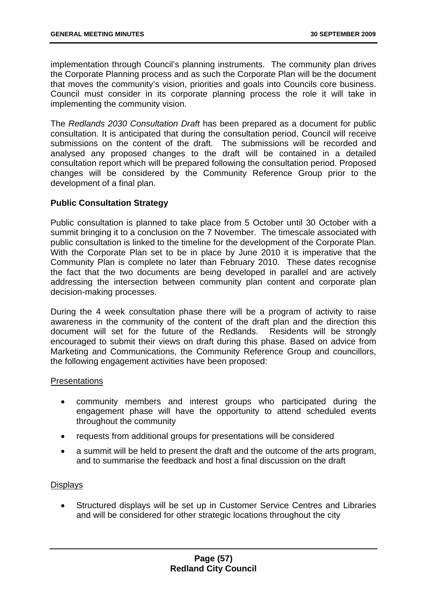implementation through Council's planning instruments. The community plan drives the Corporate Planning process and as such the Corporate Plan will be the document that moves the community's vision, priorities and goals into Councils core business. Council must consider in its corporate planning process the role it will take in implementing the community vision.

The *Redlands 2030 Consultation Draft* has been prepared as a document for public consultation. It is anticipated that during the consultation period, Council will receive submissions on the content of the draft. The submissions will be recorded and analysed any proposed changes to the draft will be contained in a detailed consultation report which will be prepared following the consultation period. Proposed changes will be considered by the Community Reference Group prior to the development of a final plan.

## **Public Consultation Strategy**

Public consultation is planned to take place from 5 October until 30 October with a summit bringing it to a conclusion on the 7 November. The timescale associated with public consultation is linked to the timeline for the development of the Corporate Plan. With the Corporate Plan set to be in place by June 2010 it is imperative that the Community Plan is complete no later than February 2010. These dates recognise the fact that the two documents are being developed in parallel and are actively addressing the intersection between community plan content and corporate plan decision-making processes.

During the 4 week consultation phase there will be a program of activity to raise awareness in the community of the content of the draft plan and the direction this document will set for the future of the Redlands. Residents will be strongly encouraged to submit their views on draft during this phase. Based on advice from Marketing and Communications, the Community Reference Group and councillors, the following engagement activities have been proposed:

### **Presentations**

- community members and interest groups who participated during the engagement phase will have the opportunity to attend scheduled events throughout the community
- requests from additional groups for presentations will be considered
- a summit will be held to present the draft and the outcome of the arts program, and to summarise the feedback and host a final discussion on the draft

### **Displays**

• Structured displays will be set up in Customer Service Centres and Libraries and will be considered for other strategic locations throughout the city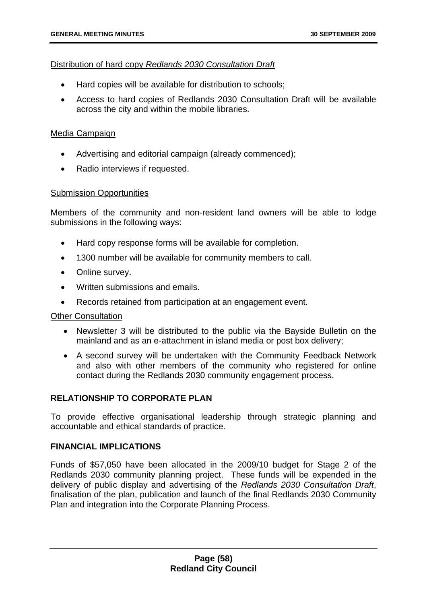### Distribution of hard copy *Redlands 2030 Consultation Draft*

- Hard copies will be available for distribution to schools;
- Access to hard copies of Redlands 2030 Consultation Draft will be available across the city and within the mobile libraries.

### Media Campaign

- Advertising and editorial campaign (already commenced);
- Radio interviews if requested.

### Submission Opportunities

Members of the community and non-resident land owners will be able to lodge submissions in the following ways:

- Hard copy response forms will be available for completion.
- 1300 number will be available for community members to call.
- Online survey.
- Written submissions and emails.
- Records retained from participation at an engagement event.

### Other Consultation

- Newsletter 3 will be distributed to the public via the Bayside Bulletin on the mainland and as an e-attachment in island media or post box delivery;
- A second survey will be undertaken with the Community Feedback Network and also with other members of the community who registered for online contact during the Redlands 2030 community engagement process.

# **RELATIONSHIP TO CORPORATE PLAN**

To provide effective organisational leadership through strategic planning and accountable and ethical standards of practice.

# **FINANCIAL IMPLICATIONS**

Funds of \$57,050 have been allocated in the 2009/10 budget for Stage 2 of the Redlands 2030 community planning project. These funds will be expended in the delivery of public display and advertising of the *Redlands 2030 Consultation Draft*, finalisation of the plan, publication and launch of the final Redlands 2030 Community Plan and integration into the Corporate Planning Process.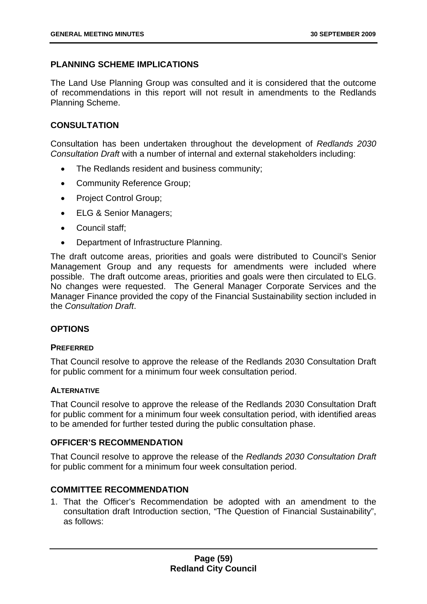# **PLANNING SCHEME IMPLICATIONS**

The Land Use Planning Group was consulted and it is considered that the outcome of recommendations in this report will not result in amendments to the Redlands Planning Scheme.

# **CONSULTATION**

Consultation has been undertaken throughout the development of *Redlands 2030 Consultation Draft* with a number of internal and external stakeholders including:

- The Redlands resident and business community;
- Community Reference Group;
- Project Control Group;
- ELG & Senior Managers;
- Council staff;
- Department of Infrastructure Planning.

The draft outcome areas, priorities and goals were distributed to Council's Senior Management Group and any requests for amendments were included where possible. The draft outcome areas, priorities and goals were then circulated to ELG. No changes were requested. The General Manager Corporate Services and the Manager Finance provided the copy of the Financial Sustainability section included in the *Consultation Draft*.

# **OPTIONS**

### **PREFERRED**

That Council resolve to approve the release of the Redlands 2030 Consultation Draft for public comment for a minimum four week consultation period.

### **ALTERNATIVE**

That Council resolve to approve the release of the Redlands 2030 Consultation Draft for public comment for a minimum four week consultation period, with identified areas to be amended for further tested during the public consultation phase.

# **OFFICER'S RECOMMENDATION**

That Council resolve to approve the release of the *Redlands 2030 Consultation Draft* for public comment for a minimum four week consultation period.

# **COMMITTEE RECOMMENDATION**

1. That the Officer's Recommendation be adopted with an amendment to the consultation draft Introduction section, "The Question of Financial Sustainability", as follows: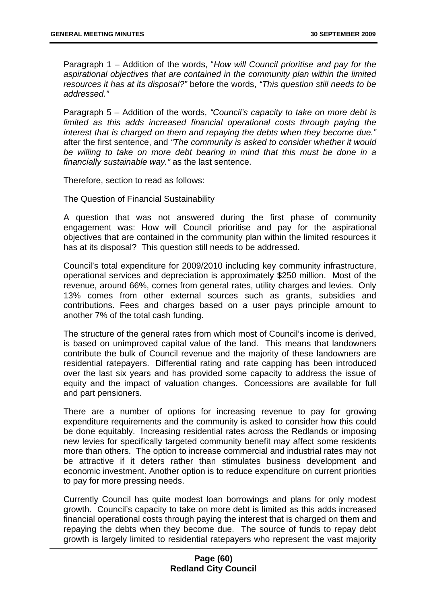Paragraph 1 – Addition of the words, "*How will Council prioritise and pay for the aspirational objectives that are contained in the community plan within the limited resources it has at its disposal?"* before the words, *"This question still needs to be addressed."*

Paragraph 5 – Addition of the words, *"Council's capacity to take on more debt is limited as this adds increased financial operational costs through paying the interest that is charged on them and repaying the debts when they become due."* after the first sentence, and *"The community is asked to consider whether it would*  be willing to take on more debt bearing in mind that this must be done in a *financially sustainable way."* as the last sentence.

Therefore, section to read as follows:

The Question of Financial Sustainability

A question that was not answered during the first phase of community engagement was: How will Council prioritise and pay for the aspirational objectives that are contained in the community plan within the limited resources it has at its disposal? This question still needs to be addressed.

Council's total expenditure for 2009/2010 including key community infrastructure, operational services and depreciation is approximately \$250 million. Most of the revenue, around 66%, comes from general rates, utility charges and levies. Only 13% comes from other external sources such as grants, subsidies and contributions. Fees and charges based on a user pays principle amount to another 7% of the total cash funding.

The structure of the general rates from which most of Council's income is derived, is based on unimproved capital value of the land. This means that landowners contribute the bulk of Council revenue and the majority of these landowners are residential ratepayers. Differential rating and rate capping has been introduced over the last six years and has provided some capacity to address the issue of equity and the impact of valuation changes. Concessions are available for full and part pensioners.

There are a number of options for increasing revenue to pay for growing expenditure requirements and the community is asked to consider how this could be done equitably. Increasing residential rates across the Redlands or imposing new levies for specifically targeted community benefit may affect some residents more than others. The option to increase commercial and industrial rates may not be attractive if it deters rather than stimulates business development and economic investment. Another option is to reduce expenditure on current priorities to pay for more pressing needs.

Currently Council has quite modest loan borrowings and plans for only modest growth. Council's capacity to take on more debt is limited as this adds increased financial operational costs through paying the interest that is charged on them and repaying the debts when they become due. The source of funds to repay debt growth is largely limited to residential ratepayers who represent the vast majority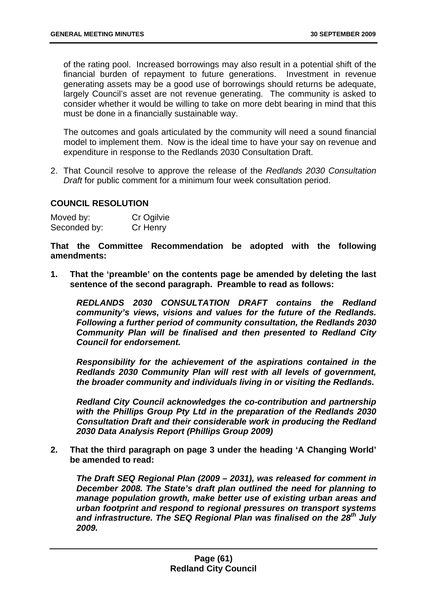of the rating pool. Increased borrowings may also result in a potential shift of the financial burden of repayment to future generations. Investment in revenue generating assets may be a good use of borrowings should returns be adequate, largely Council's asset are not revenue generating. The community is asked to consider whether it would be willing to take on more debt bearing in mind that this must be done in a financially sustainable way.

The outcomes and goals articulated by the community will need a sound financial model to implement them. Now is the ideal time to have your say on revenue and expenditure in response to the Redlands 2030 Consultation Draft.

2. That Council resolve to approve the release of the *Redlands 2030 Consultation Draft* for public comment for a minimum four week consultation period.

# **COUNCIL RESOLUTION**

| Moved by:    | Cr Ogilvie |
|--------------|------------|
| Seconded by: | Cr Henry   |

**That the Committee Recommendation be adopted with the following amendments:** 

**1. That the 'preamble' on the contents page be amended by deleting the last sentence of the second paragraph. Preamble to read as follows:** 

*REDLANDS 2030 CONSULTATION DRAFT contains the Redland community's views, visions and values for the future of the Redlands. Following a further period of community consultation, the Redlands 2030 Community Plan will be finalised and then presented to Redland City Council for endorsement.*

*Responsibility for the achievement of the aspirations contained in the Redlands 2030 Community Plan will rest with all levels of government, the broader community and individuals living in or visiting the Redlands.* 

*Redland City Council acknowledges the co-contribution and partnership with the Phillips Group Pty Ltd in the preparation of the Redlands 2030 Consultation Draft and their considerable work in producing the Redland 2030 Data Analysis Report (Phillips Group 2009)*

**2. That the third paragraph on page 3 under the heading 'A Changing World' be amended to read:** 

*The Draft SEQ Regional Plan (2009 – 2031), was released for comment in December 2008. The State's draft plan outlined the need for planning to manage population growth, make better use of existing urban areas and urban footprint and respond to regional pressures on transport systems*  and infrastructure. The SEQ Regional Plan was finalised on the 28<sup>th</sup> July *2009.*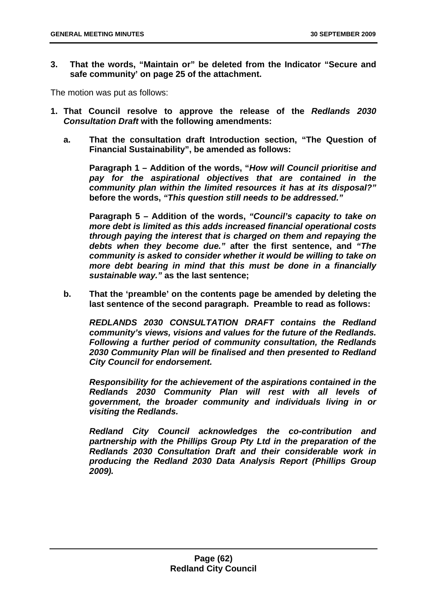**3. That the words, "Maintain or" be deleted from the Indicator "Secure and safe community' on page 25 of the attachment.** 

The motion was put as follows:

- **1. That Council resolve to approve the release of the** *Redlands 2030 Consultation Draft* **with the following amendments:**
	- **a. That the consultation draft Introduction section, "The Question of Financial Sustainability", be amended as follows:**

**Paragraph 1 – Addition of the words, "***How will Council prioritise and pay for the aspirational objectives that are contained in the community plan within the limited resources it has at its disposal?"* **before the words,** *"This question still needs to be addressed."*

**Paragraph 5 – Addition of the words,** *"Council's capacity to take on more debt is limited as this adds increased financial operational costs through paying the interest that is charged on them and repaying the debts when they become due."* **after the first sentence, and** *"The community is asked to consider whether it would be willing to take on more debt bearing in mind that this must be done in a financially sustainable way."* **as the last sentence;** 

**b. That the 'preamble' on the contents page be amended by deleting the last sentence of the second paragraph. Preamble to read as follows:** 

*REDLANDS 2030 CONSULTATION DRAFT contains the Redland community's views, visions and values for the future of the Redlands. Following a further period of community consultation, the Redlands 2030 Community Plan will be finalised and then presented to Redland City Council for endorsement.*

*Responsibility for the achievement of the aspirations contained in the Redlands 2030 Community Plan will rest with all levels of government, the broader community and individuals living in or visiting the Redlands.* 

*Redland City Council acknowledges the co-contribution and partnership with the Phillips Group Pty Ltd in the preparation of the Redlands 2030 Consultation Draft and their considerable work in producing the Redland 2030 Data Analysis Report (Phillips Group 2009).*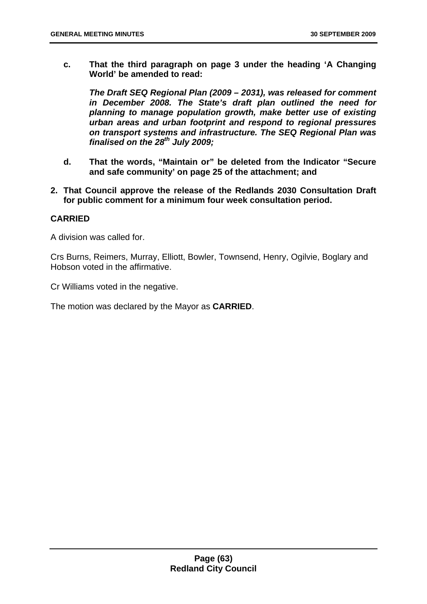**c. That the third paragraph on page 3 under the heading 'A Changing World' be amended to read:** 

*The Draft SEQ Regional Plan (2009 – 2031), was released for comment in December 2008. The State's draft plan outlined the need for planning to manage population growth, make better use of existing urban areas and urban footprint and respond to regional pressures on transport systems and infrastructure. The SEQ Regional Plan was finalised on the 28th July 2009;* 

- **d. That the words, "Maintain or" be deleted from the Indicator "Secure and safe community' on page 25 of the attachment; and**
- **2. That Council approve the release of the Redlands 2030 Consultation Draft for public comment for a minimum four week consultation period.**

# **CARRIED**

A division was called for.

Crs Burns, Reimers, Murray, Elliott, Bowler, Townsend, Henry, Ogilvie, Boglary and Hobson voted in the affirmative.

Cr Williams voted in the negative.

The motion was declared by the Mayor as **CARRIED**.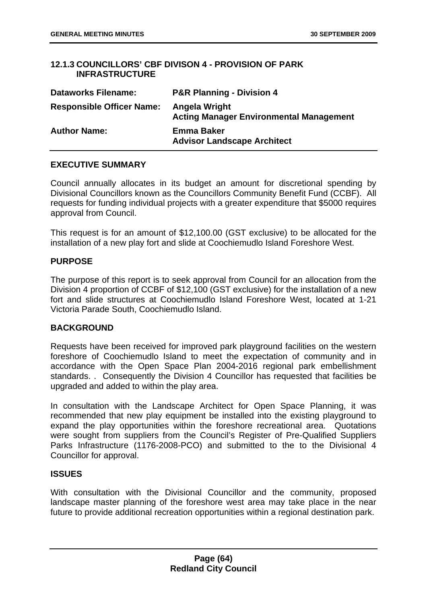# **12.1.3 COUNCILLORS' CBF DIVISON 4 - PROVISION OF PARK INFRASTRUCTURE**

| <b>Dataworks Filename:</b>       | <b>P&amp;R Planning - Division 4</b>                            |
|----------------------------------|-----------------------------------------------------------------|
| <b>Responsible Officer Name:</b> | Angela Wright<br><b>Acting Manager Environmental Management</b> |
| <b>Author Name:</b>              | <b>Emma Baker</b><br><b>Advisor Landscape Architect</b>         |

## **EXECUTIVE SUMMARY**

Council annually allocates in its budget an amount for discretional spending by Divisional Councillors known as the Councillors Community Benefit Fund (CCBF). All requests for funding individual projects with a greater expenditure that \$5000 requires approval from Council.

This request is for an amount of \$12,100.00 (GST exclusive) to be allocated for the installation of a new play fort and slide at Coochiemudlo Island Foreshore West.

## **PURPOSE**

The purpose of this report is to seek approval from Council for an allocation from the Division 4 proportion of CCBF of \$12,100 (GST exclusive) for the installation of a new fort and slide structures at Coochiemudlo Island Foreshore West, located at 1-21 Victoria Parade South, Coochiemudlo Island.

# **BACKGROUND**

Requests have been received for improved park playground facilities on the western foreshore of Coochiemudlo Island to meet the expectation of community and in accordance with the Open Space Plan 2004-2016 regional park embellishment standards. . Consequently the Division 4 Councillor has requested that facilities be upgraded and added to within the play area.

In consultation with the Landscape Architect for Open Space Planning, it was recommended that new play equipment be installed into the existing playground to expand the play opportunities within the foreshore recreational area. Quotations were sought from suppliers from the Council's Register of Pre-Qualified Suppliers Parks Infrastructure (1176-2008-PCO) and submitted to the to the Divisional 4 Councillor for approval.

### **ISSUES**

With consultation with the Divisional Councillor and the community, proposed landscape master planning of the foreshore west area may take place in the near future to provide additional recreation opportunities within a regional destination park.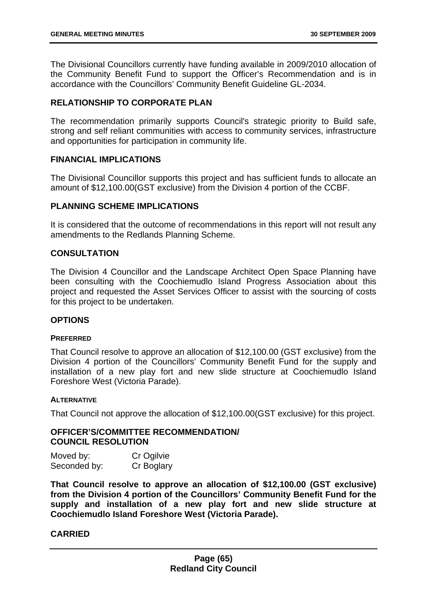The Divisional Councillors currently have funding available in 2009/2010 allocation of the Community Benefit Fund to support the Officer's Recommendation and is in accordance with the Councillors' Community Benefit Guideline GL-2034.

## **RELATIONSHIP TO CORPORATE PLAN**

The recommendation primarily supports Council's strategic priority to Build safe, strong and self reliant communities with access to community services, infrastructure and opportunities for participation in community life.

## **FINANCIAL IMPLICATIONS**

The Divisional Councillor supports this project and has sufficient funds to allocate an amount of \$12,100.00(GST exclusive) from the Division 4 portion of the CCBF.

## **PLANNING SCHEME IMPLICATIONS**

It is considered that the outcome of recommendations in this report will not result any amendments to the Redlands Planning Scheme.

## **CONSULTATION**

The Division 4 Councillor and the Landscape Architect Open Space Planning have been consulting with the Coochiemudlo Island Progress Association about this project and requested the Asset Services Officer to assist with the sourcing of costs for this project to be undertaken.

### **OPTIONS**

### **PREFERRED**

That Council resolve to approve an allocation of \$12,100.00 (GST exclusive) from the Division 4 portion of the Councillors' Community Benefit Fund for the supply and installation of a new play fort and new slide structure at Coochiemudlo Island Foreshore West (Victoria Parade).

### **ALTERNATIVE**

That Council not approve the allocation of \$12,100.00(GST exclusive) for this project.

## **OFFICER'S/COMMITTEE RECOMMENDATION/ COUNCIL RESOLUTION**

| Moved by:    | Cr Ogilvie |
|--------------|------------|
| Seconded by: | Cr Boglary |

**That Council resolve to approve an allocation of \$12,100.00 (GST exclusive) from the Division 4 portion of the Councillors' Community Benefit Fund for the supply and installation of a new play fort and new slide structure at Coochiemudlo Island Foreshore West (Victoria Parade).**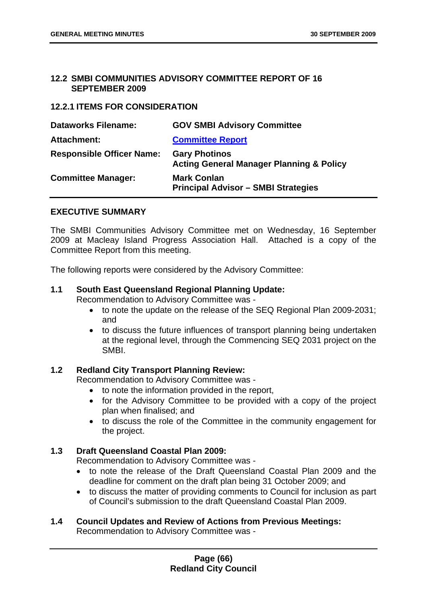### **12.2 SMBI COMMUNITIES ADVISORY COMMITTEE REPORT OF 16 SEPTEMBER 2009**

## **12.2.1 ITEMS FOR CONSIDERATION**

| <b>Dataworks Filename:</b>       | <b>GOV SMBI Advisory Committee</b>                                          |
|----------------------------------|-----------------------------------------------------------------------------|
| <b>Attachment:</b>               | <b>Committee Report</b>                                                     |
| <b>Responsible Officer Name:</b> | <b>Gary Photinos</b><br><b>Acting General Manager Planning &amp; Policy</b> |
| <b>Committee Manager:</b>        | <b>Mark Conlan</b><br><b>Principal Advisor - SMBI Strategies</b>            |

### **EXECUTIVE SUMMARY**

The SMBI Communities Advisory Committee met on Wednesday, 16 September 2009 at Macleay Island Progress Association Hall. Attached is a copy of the Committee Report from this meeting.

The following reports were considered by the Advisory Committee:

### **1.1 South East Queensland Regional Planning Update:**

Recommendation to Advisory Committee was -

- to note the update on the release of the SEQ Regional Plan 2009-2031; and
- to discuss the future influences of transport planning being undertaken at the regional level, through the Commencing SEQ 2031 project on the SMBI.

### **1.2 Redland City Transport Planning Review:**

Recommendation to Advisory Committee was -

- to note the information provided in the report,
- for the Advisory Committee to be provided with a copy of the project plan when finalised; and
- to discuss the role of the Committee in the community engagement for the project.

## **1.3 Draft Queensland Coastal Plan 2009:**

Recommendation to Advisory Committee was -

- to note the release of the Draft Queensland Coastal Plan 2009 and the deadline for comment on the draft plan being 31 October 2009; and
- to discuss the matter of providing comments to Council for inclusion as part of Council's submission to the draft Queensland Coastal Plan 2009.

#### **1.4 Council Updates and Review of Actions from Previous Meetings:** Recommendation to Advisory Committee was -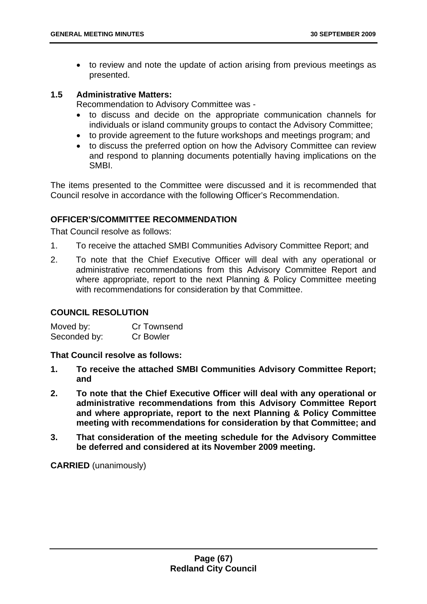• to review and note the update of action arising from previous meetings as presented.

### **1.5 Administrative Matters:**

Recommendation to Advisory Committee was -

- to discuss and decide on the appropriate communication channels for individuals or island community groups to contact the Advisory Committee;
- to provide agreement to the future workshops and meetings program; and
- to discuss the preferred option on how the Advisory Committee can review and respond to planning documents potentially having implications on the SMBI.

The items presented to the Committee were discussed and it is recommended that Council resolve in accordance with the following Officer's Recommendation.

## **OFFICER'S/COMMITTEE RECOMMENDATION**

That Council resolve as follows:

- 1. To receive the attached SMBI Communities Advisory Committee Report; and
- 2. To note that the Chief Executive Officer will deal with any operational or administrative recommendations from this Advisory Committee Report and where appropriate, report to the next Planning & Policy Committee meeting with recommendations for consideration by that Committee.

## **COUNCIL RESOLUTION**

| Moved by:    | Cr Townsend      |
|--------------|------------------|
| Seconded by: | <b>Cr Bowler</b> |

**That Council resolve as follows:** 

- **1. To receive the attached SMBI Communities Advisory Committee Report; and**
- **2. To note that the Chief Executive Officer will deal with any operational or administrative recommendations from this Advisory Committee Report and where appropriate, report to the next Planning & Policy Committee meeting with recommendations for consideration by that Committee; and**
- **3. That consideration of the meeting schedule for the Advisory Committee be deferred and considered at its November 2009 meeting.**

**CARRIED** (unanimously)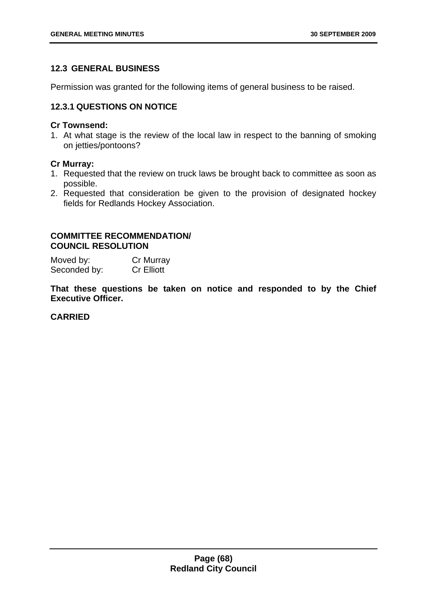# **12.3 GENERAL BUSINESS**

Permission was granted for the following items of general business to be raised.

## **12.3.1 QUESTIONS ON NOTICE**

#### **Cr Townsend:**

1. At what stage is the review of the local law in respect to the banning of smoking on jetties/pontoons?

### **Cr Murray:**

- 1. Requested that the review on truck laws be brought back to committee as soon as possible.
- 2. Requested that consideration be given to the provision of designated hockey fields for Redlands Hockey Association.

## **COMMITTEE RECOMMENDATION/ COUNCIL RESOLUTION**

Moved by: Cr Murray Seconded by: Cr Elliott

**That these questions be taken on notice and responded to by the Chief Executive Officer.**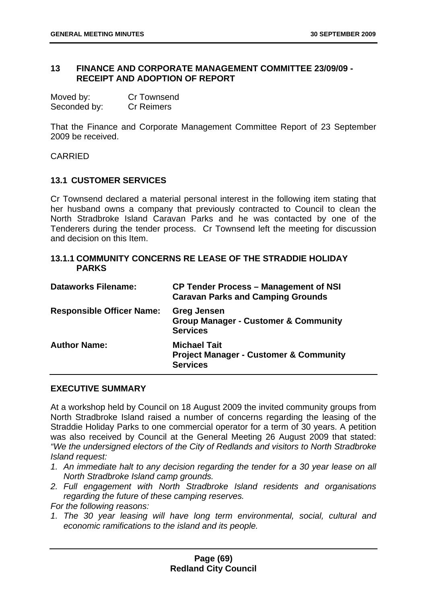### **13 FINANCE AND CORPORATE MANAGEMENT COMMITTEE 23/09/09 - RECEIPT AND ADOPTION OF REPORT**

| Moved by:    | <b>Cr Townsend</b> |
|--------------|--------------------|
| Seconded by: | <b>Cr Reimers</b>  |

That the Finance and Corporate Management Committee Report of 23 September 2009 be received.

CARRIED

### **13.1 CUSTOMER SERVICES**

Cr Townsend declared a material personal interest in the following item stating that her husband owns a company that previously contracted to Council to clean the North Stradbroke Island Caravan Parks and he was contacted by one of the Tenderers during the tender process. Cr Townsend left the meeting for discussion and decision on this Item.

## **13.1.1 COMMUNITY CONCERNS RE LEASE OF THE STRADDIE HOLIDAY PARKS**

| <b>Dataworks Filename:</b>       | <b>CP Tender Process – Management of NSI</b><br><b>Caravan Parks and Camping Grounds</b>    |
|----------------------------------|---------------------------------------------------------------------------------------------|
| <b>Responsible Officer Name:</b> | <b>Greg Jensen</b><br><b>Group Manager - Customer &amp; Community</b><br><b>Services</b>    |
| <b>Author Name:</b>              | <b>Michael Tait</b><br><b>Project Manager - Customer &amp; Community</b><br><b>Services</b> |

### **EXECUTIVE SUMMARY**

At a workshop held by Council on 18 August 2009 the invited community groups from North Stradbroke Island raised a number of concerns regarding the leasing of the Straddie Holiday Parks to one commercial operator for a term of 30 years. A petition was also received by Council at the General Meeting 26 August 2009 that stated: *"We the undersigned electors of the City of Redlands and visitors to North Stradbroke Island request:* 

- *1. An immediate halt to any decision regarding the tender for a 30 year lease on all North Stradbroke Island camp grounds.*
- *2. Full engagement with North Stradbroke Island residents and organisations regarding the future of these camping reserves.*

*For the following reasons:* 

*1. The 30 year leasing will have long term environmental, social, cultural and economic ramifications to the island and its people.*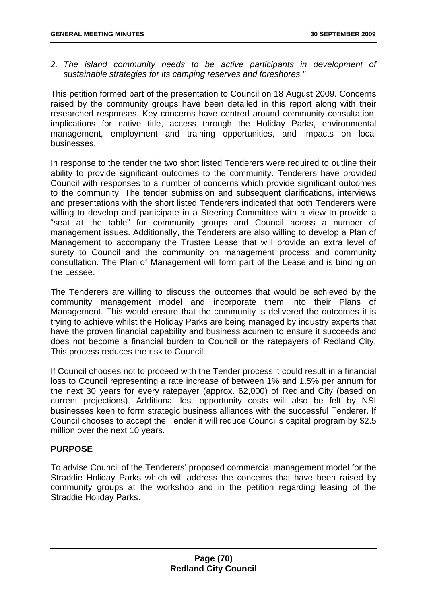*2. The island community needs to be active participants in development of sustainable strategies for its camping reserves and foreshores."* 

This petition formed part of the presentation to Council on 18 August 2009. Concerns raised by the community groups have been detailed in this report along with their researched responses. Key concerns have centred around community consultation, implications for native title, access through the Holiday Parks, environmental management, employment and training opportunities, and impacts on local businesses.

In response to the tender the two short listed Tenderers were required to outline their ability to provide significant outcomes to the community. Tenderers have provided Council with responses to a number of concerns which provide significant outcomes to the community. The tender submission and subsequent clarifications, interviews and presentations with the short listed Tenderers indicated that both Tenderers were willing to develop and participate in a Steering Committee with a view to provide a "seat at the table" for community groups and Council across a number of management issues. Additionally, the Tenderers are also willing to develop a Plan of Management to accompany the Trustee Lease that will provide an extra level of surety to Council and the community on management process and community consultation. The Plan of Management will form part of the Lease and is binding on the Lessee.

The Tenderers are willing to discuss the outcomes that would be achieved by the community management model and incorporate them into their Plans of Management. This would ensure that the community is delivered the outcomes it is trying to achieve whilst the Holiday Parks are being managed by industry experts that have the proven financial capability and business acumen to ensure it succeeds and does not become a financial burden to Council or the ratepayers of Redland City. This process reduces the risk to Council.

If Council chooses not to proceed with the Tender process it could result in a financial loss to Council representing a rate increase of between 1% and 1.5% per annum for the next 30 years for every ratepayer (approx. 62,000) of Redland City (based on current projections). Additional lost opportunity costs will also be felt by NSI businesses keen to form strategic business alliances with the successful Tenderer. If Council chooses to accept the Tender it will reduce Council's capital program by \$2.5 million over the next 10 years.

# **PURPOSE**

To advise Council of the Tenderers' proposed commercial management model for the Straddie Holiday Parks which will address the concerns that have been raised by community groups at the workshop and in the petition regarding leasing of the Straddie Holiday Parks.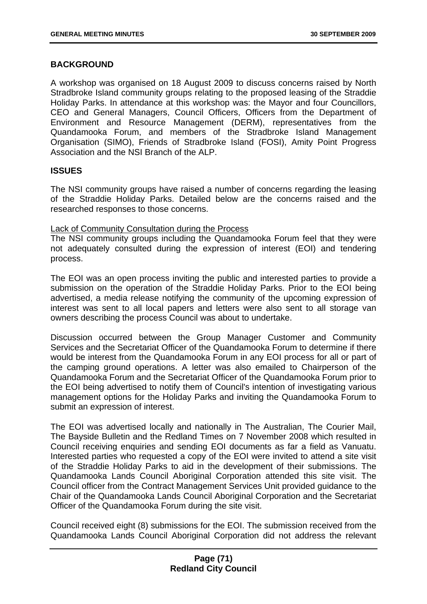# **BACKGROUND**

A workshop was organised on 18 August 2009 to discuss concerns raised by North Stradbroke Island community groups relating to the proposed leasing of the Straddie Holiday Parks. In attendance at this workshop was: the Mayor and four Councillors, CEO and General Managers, Council Officers, Officers from the Department of Environment and Resource Management (DERM), representatives from the Quandamooka Forum, and members of the Stradbroke Island Management Organisation (SIMO), Friends of Stradbroke Island (FOSI), Amity Point Progress Association and the NSI Branch of the ALP.

## **ISSUES**

The NSI community groups have raised a number of concerns regarding the leasing of the Straddie Holiday Parks. Detailed below are the concerns raised and the researched responses to those concerns.

### Lack of Community Consultation during the Process

The NSI community groups including the Quandamooka Forum feel that they were not adequately consulted during the expression of interest (EOI) and tendering process.

The EOI was an open process inviting the public and interested parties to provide a submission on the operation of the Straddie Holiday Parks. Prior to the EOI being advertised, a media release notifying the community of the upcoming expression of interest was sent to all local papers and letters were also sent to all storage van owners describing the process Council was about to undertake.

Discussion occurred between the Group Manager Customer and Community Services and the Secretariat Officer of the Quandamooka Forum to determine if there would be interest from the Quandamooka Forum in any EOI process for all or part of the camping ground operations. A letter was also emailed to Chairperson of the Quandamooka Forum and the Secretariat Officer of the Quandamooka Forum prior to the EOI being advertised to notify them of Council's intention of investigating various management options for the Holiday Parks and inviting the Quandamooka Forum to submit an expression of interest.

The EOI was advertised locally and nationally in The Australian, The Courier Mail, The Bayside Bulletin and the Redland Times on 7 November 2008 which resulted in Council receiving enquiries and sending EOI documents as far a field as Vanuatu. Interested parties who requested a copy of the EOI were invited to attend a site visit of the Straddie Holiday Parks to aid in the development of their submissions. The Quandamooka Lands Council Aboriginal Corporation attended this site visit. The Council officer from the Contract Management Services Unit provided guidance to the Chair of the Quandamooka Lands Council Aboriginal Corporation and the Secretariat Officer of the Quandamooka Forum during the site visit.

Council received eight (8) submissions for the EOI. The submission received from the Quandamooka Lands Council Aboriginal Corporation did not address the relevant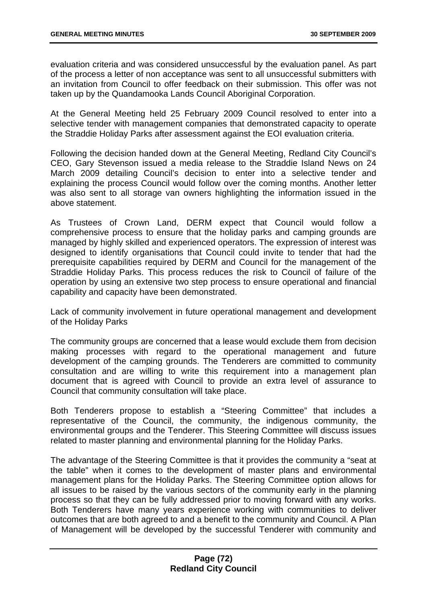evaluation criteria and was considered unsuccessful by the evaluation panel. As part of the process a letter of non acceptance was sent to all unsuccessful submitters with an invitation from Council to offer feedback on their submission. This offer was not taken up by the Quandamooka Lands Council Aboriginal Corporation.

At the General Meeting held 25 February 2009 Council resolved to enter into a selective tender with management companies that demonstrated capacity to operate the Straddie Holiday Parks after assessment against the EOI evaluation criteria.

Following the decision handed down at the General Meeting, Redland City Council's CEO, Gary Stevenson issued a media release to the Straddie Island News on 24 March 2009 detailing Council's decision to enter into a selective tender and explaining the process Council would follow over the coming months. Another letter was also sent to all storage van owners highlighting the information issued in the above statement.

As Trustees of Crown Land, DERM expect that Council would follow a comprehensive process to ensure that the holiday parks and camping grounds are managed by highly skilled and experienced operators. The expression of interest was designed to identify organisations that Council could invite to tender that had the prerequisite capabilities required by DERM and Council for the management of the Straddie Holiday Parks. This process reduces the risk to Council of failure of the operation by using an extensive two step process to ensure operational and financial capability and capacity have been demonstrated.

Lack of community involvement in future operational management and development of the Holiday Parks

The community groups are concerned that a lease would exclude them from decision making processes with regard to the operational management and future development of the camping grounds. The Tenderers are committed to community consultation and are willing to write this requirement into a management plan document that is agreed with Council to provide an extra level of assurance to Council that community consultation will take place.

Both Tenderers propose to establish a "Steering Committee" that includes a representative of the Council, the community, the indigenous community, the environmental groups and the Tenderer. This Steering Committee will discuss issues related to master planning and environmental planning for the Holiday Parks.

The advantage of the Steering Committee is that it provides the community a "seat at the table" when it comes to the development of master plans and environmental management plans for the Holiday Parks. The Steering Committee option allows for all issues to be raised by the various sectors of the community early in the planning process so that they can be fully addressed prior to moving forward with any works. Both Tenderers have many years experience working with communities to deliver outcomes that are both agreed to and a benefit to the community and Council. A Plan of Management will be developed by the successful Tenderer with community and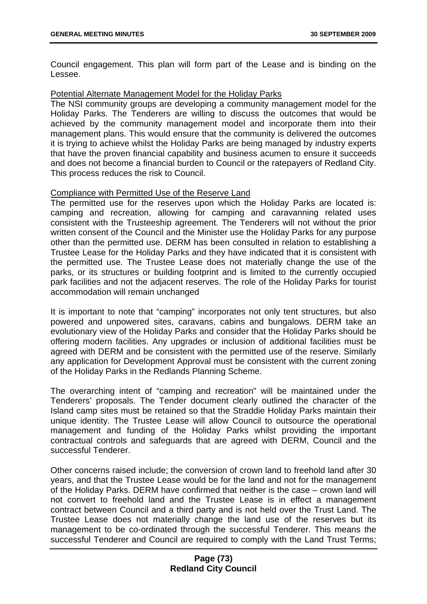Council engagement. This plan will form part of the Lease and is binding on the Lessee.

## Potential Alternate Management Model for the Holiday Parks

The NSI community groups are developing a community management model for the Holiday Parks. The Tenderers are willing to discuss the outcomes that would be achieved by the community management model and incorporate them into their management plans. This would ensure that the community is delivered the outcomes it is trying to achieve whilst the Holiday Parks are being managed by industry experts that have the proven financial capability and business acumen to ensure it succeeds and does not become a financial burden to Council or the ratepayers of Redland City. This process reduces the risk to Council.

## Compliance with Permitted Use of the Reserve Land

The permitted use for the reserves upon which the Holiday Parks are located is: camping and recreation, allowing for camping and caravanning related uses consistent with the Trusteeship agreement. The Tenderers will not without the prior written consent of the Council and the Minister use the Holiday Parks for any purpose other than the permitted use. DERM has been consulted in relation to establishing a Trustee Lease for the Holiday Parks and they have indicated that it is consistent with the permitted use. The Trustee Lease does not materially change the use of the parks, or its structures or building footprint and is limited to the currently occupied park facilities and not the adjacent reserves. The role of the Holiday Parks for tourist accommodation will remain unchanged

It is important to note that "camping" incorporates not only tent structures, but also powered and unpowered sites, caravans, cabins and bungalows. DERM take an evolutionary view of the Holiday Parks and consider that the Holiday Parks should be offering modern facilities. Any upgrades or inclusion of additional facilities must be agreed with DERM and be consistent with the permitted use of the reserve. Similarly any application for Development Approval must be consistent with the current zoning of the Holiday Parks in the Redlands Planning Scheme.

The overarching intent of "camping and recreation" will be maintained under the Tenderers' proposals. The Tender document clearly outlined the character of the Island camp sites must be retained so that the Straddie Holiday Parks maintain their unique identity. The Trustee Lease will allow Council to outsource the operational management and funding of the Holiday Parks whilst providing the important contractual controls and safeguards that are agreed with DERM, Council and the successful Tenderer.

Other concerns raised include; the conversion of crown land to freehold land after 30 years, and that the Trustee Lease would be for the land and not for the management of the Holiday Parks. DERM have confirmed that neither is the case – crown land will not convert to freehold land and the Trustee Lease is in effect a management contract between Council and a third party and is not held over the Trust Land. The Trustee Lease does not materially change the land use of the reserves but its management to be co-ordinated through the successful Tenderer. This means the successful Tenderer and Council are required to comply with the Land Trust Terms: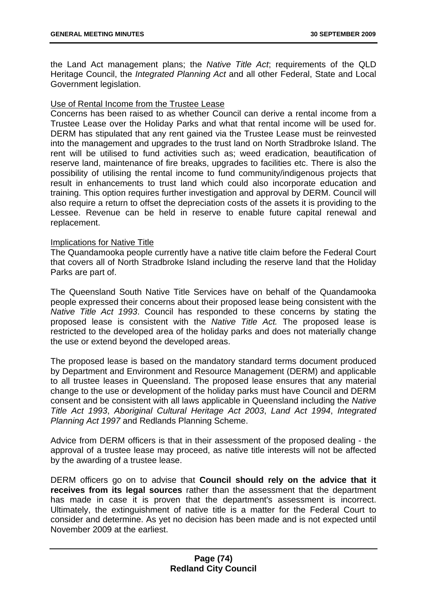the Land Act management plans; the *Native Title Act*; requirements of the QLD Heritage Council, the *Integrated Planning Act* and all other Federal, State and Local Government legislation.

# Use of Rental Income from the Trustee Lease

Concerns has been raised to as whether Council can derive a rental income from a Trustee Lease over the Holiday Parks and what that rental income will be used for. DERM has stipulated that any rent gained via the Trustee Lease must be reinvested into the management and upgrades to the trust land on North Stradbroke Island. The rent will be utilised to fund activities such as; weed eradication, beautification of reserve land, maintenance of fire breaks, upgrades to facilities etc. There is also the possibility of utilising the rental income to fund community/indigenous projects that result in enhancements to trust land which could also incorporate education and training. This option requires further investigation and approval by DERM. Council will also require a return to offset the depreciation costs of the assets it is providing to the Lessee. Revenue can be held in reserve to enable future capital renewal and replacement.

## Implications for Native Title

The Quandamooka people currently have a native title claim before the Federal Court that covers all of North Stradbroke Island including the reserve land that the Holiday Parks are part of.

The Queensland South Native Title Services have on behalf of the Quandamooka people expressed their concerns about their proposed lease being consistent with the *Native Title Act 1993*. Council has responded to these concerns by stating the proposed lease is consistent with the *Native Title Act.* The proposed lease is restricted to the developed area of the holiday parks and does not materially change the use or extend beyond the developed areas.

The proposed lease is based on the mandatory standard terms document produced by Department and Environment and Resource Management (DERM) and applicable to all trustee leases in Queensland. The proposed lease ensures that any material change to the use or development of the holiday parks must have Council and DERM consent and be consistent with all laws applicable in Queensland including the *Native Title Act 1993*, *Aboriginal Cultural Heritage Act 2003*, *Land Act 1994*, *Integrated Planning Act 1997* and Redlands Planning Scheme.

Advice from DERM officers is that in their assessment of the proposed dealing - the approval of a trustee lease may proceed, as native title interests will not be affected by the awarding of a trustee lease.

DERM officers go on to advise that **Council should rely on the advice that it receives from its legal sources** rather than the assessment that the department has made in case it is proven that the department's assessment is incorrect. Ultimately, the extinguishment of native title is a matter for the Federal Court to consider and determine. As yet no decision has been made and is not expected until November 2009 at the earliest.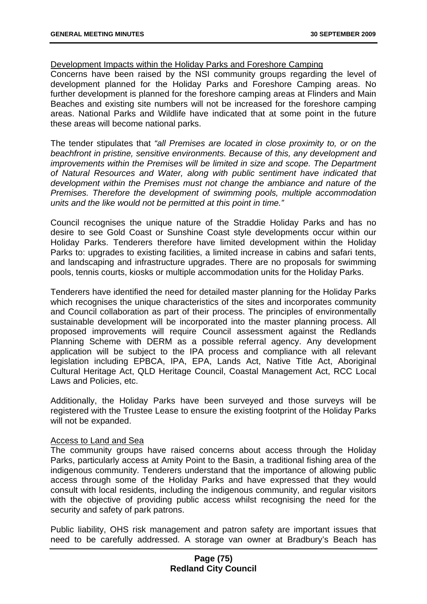## Development Impacts within the Holiday Parks and Foreshore Camping

Concerns have been raised by the NSI community groups regarding the level of development planned for the Holiday Parks and Foreshore Camping areas. No further development is planned for the foreshore camping areas at Flinders and Main Beaches and existing site numbers will not be increased for the foreshore camping areas. National Parks and Wildlife have indicated that at some point in the future these areas will become national parks.

The tender stipulates that *"all Premises are located in close proximity to, or on the beachfront in pristine, sensitive environments. Because of this, any development and improvements within the Premises will be limited in size and scope. The Department of Natural Resources and Water, along with public sentiment have indicated that development within the Premises must not change the ambiance and nature of the Premises. Therefore the development of swimming pools, multiple accommodation units and the like would not be permitted at this point in time."*

Council recognises the unique nature of the Straddie Holiday Parks and has no desire to see Gold Coast or Sunshine Coast style developments occur within our Holiday Parks. Tenderers therefore have limited development within the Holiday Parks to: upgrades to existing facilities, a limited increase in cabins and safari tents, and landscaping and infrastructure upgrades. There are no proposals for swimming pools, tennis courts, kiosks or multiple accommodation units for the Holiday Parks.

Tenderers have identified the need for detailed master planning for the Holiday Parks which recognises the unique characteristics of the sites and incorporates community and Council collaboration as part of their process. The principles of environmentally sustainable development will be incorporated into the master planning process. All proposed improvements will require Council assessment against the Redlands Planning Scheme with DERM as a possible referral agency. Any development application will be subject to the IPA process and compliance with all relevant legislation including EPBCA, IPA, EPA, Lands Act, Native Title Act, Aboriginal Cultural Heritage Act, QLD Heritage Council, Coastal Management Act, RCC Local Laws and Policies, etc.

Additionally, the Holiday Parks have been surveyed and those surveys will be registered with the Trustee Lease to ensure the existing footprint of the Holiday Parks will not be expanded.

## Access to Land and Sea

The community groups have raised concerns about access through the Holiday Parks, particularly access at Amity Point to the Basin, a traditional fishing area of the indigenous community. Tenderers understand that the importance of allowing public access through some of the Holiday Parks and have expressed that they would consult with local residents, including the indigenous community, and regular visitors with the objective of providing public access whilst recognising the need for the security and safety of park patrons.

Public liability, OHS risk management and patron safety are important issues that need to be carefully addressed. A storage van owner at Bradbury's Beach has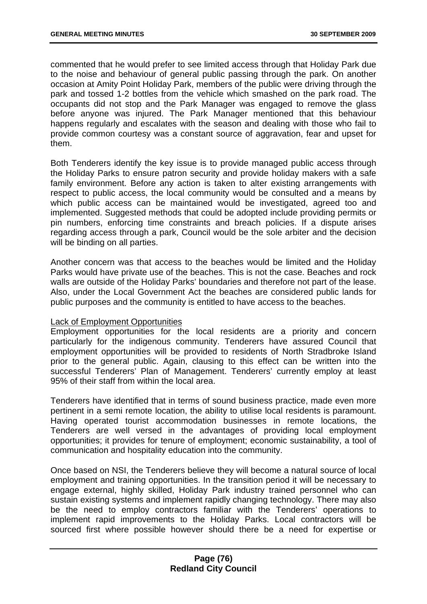commented that he would prefer to see limited access through that Holiday Park due to the noise and behaviour of general public passing through the park. On another occasion at Amity Point Holiday Park, members of the public were driving through the park and tossed 1-2 bottles from the vehicle which smashed on the park road. The occupants did not stop and the Park Manager was engaged to remove the glass before anyone was injured. The Park Manager mentioned that this behaviour happens regularly and escalates with the season and dealing with those who fail to provide common courtesy was a constant source of aggravation, fear and upset for them.

Both Tenderers identify the key issue is to provide managed public access through the Holiday Parks to ensure patron security and provide holiday makers with a safe family environment. Before any action is taken to alter existing arrangements with respect to public access, the local community would be consulted and a means by which public access can be maintained would be investigated, agreed too and implemented. Suggested methods that could be adopted include providing permits or pin numbers, enforcing time constraints and breach policies. If a dispute arises regarding access through a park, Council would be the sole arbiter and the decision will be binding on all parties.

Another concern was that access to the beaches would be limited and the Holiday Parks would have private use of the beaches. This is not the case. Beaches and rock walls are outside of the Holiday Parks' boundaries and therefore not part of the lease. Also, under the Local Government Act the beaches are considered public lands for public purposes and the community is entitled to have access to the beaches.

## Lack of Employment Opportunities

Employment opportunities for the local residents are a priority and concern particularly for the indigenous community. Tenderers have assured Council that employment opportunities will be provided to residents of North Stradbroke Island prior to the general public. Again, clausing to this effect can be written into the successful Tenderers' Plan of Management. Tenderers' currently employ at least 95% of their staff from within the local area.

Tenderers have identified that in terms of sound business practice, made even more pertinent in a semi remote location, the ability to utilise local residents is paramount. Having operated tourist accommodation businesses in remote locations, the Tenderers are well versed in the advantages of providing local employment opportunities; it provides for tenure of employment; economic sustainability, a tool of communication and hospitality education into the community.

Once based on NSI, the Tenderers believe they will become a natural source of local employment and training opportunities. In the transition period it will be necessary to engage external, highly skilled, Holiday Park industry trained personnel who can sustain existing systems and implement rapidly changing technology. There may also be the need to employ contractors familiar with the Tenderers' operations to implement rapid improvements to the Holiday Parks. Local contractors will be sourced first where possible however should there be a need for expertise or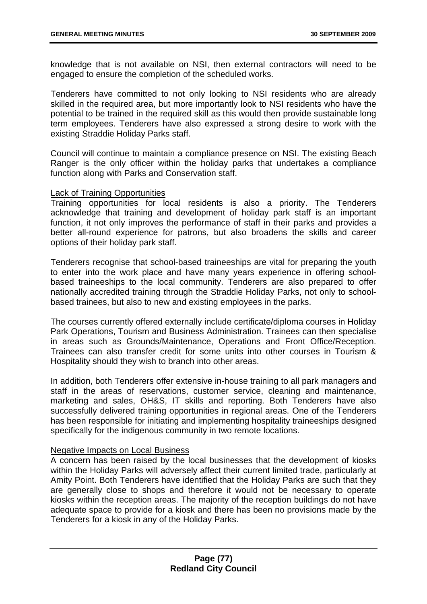knowledge that is not available on NSI, then external contractors will need to be engaged to ensure the completion of the scheduled works.

Tenderers have committed to not only looking to NSI residents who are already skilled in the required area, but more importantly look to NSI residents who have the potential to be trained in the required skill as this would then provide sustainable long term employees. Tenderers have also expressed a strong desire to work with the existing Straddie Holiday Parks staff.

Council will continue to maintain a compliance presence on NSI. The existing Beach Ranger is the only officer within the holiday parks that undertakes a compliance function along with Parks and Conservation staff.

## Lack of Training Opportunities

Training opportunities for local residents is also a priority. The Tenderers acknowledge that training and development of holiday park staff is an important function, it not only improves the performance of staff in their parks and provides a better all-round experience for patrons, but also broadens the skills and career options of their holiday park staff.

Tenderers recognise that school-based traineeships are vital for preparing the youth to enter into the work place and have many years experience in offering schoolbased traineeships to the local community. Tenderers are also prepared to offer nationally accredited training through the Straddie Holiday Parks, not only to schoolbased trainees, but also to new and existing employees in the parks.

The courses currently offered externally include certificate/diploma courses in Holiday Park Operations, Tourism and Business Administration. Trainees can then specialise in areas such as Grounds/Maintenance, Operations and Front Office/Reception. Trainees can also transfer credit for some units into other courses in Tourism & Hospitality should they wish to branch into other areas.

In addition, both Tenderers offer extensive in-house training to all park managers and staff in the areas of reservations, customer service, cleaning and maintenance, marketing and sales, OH&S, IT skills and reporting. Both Tenderers have also successfully delivered training opportunities in regional areas. One of the Tenderers has been responsible for initiating and implementing hospitality traineeships designed specifically for the indigenous community in two remote locations.

## Negative Impacts on Local Business

A concern has been raised by the local businesses that the development of kiosks within the Holiday Parks will adversely affect their current limited trade, particularly at Amity Point. Both Tenderers have identified that the Holiday Parks are such that they are generally close to shops and therefore it would not be necessary to operate kiosks within the reception areas. The majority of the reception buildings do not have adequate space to provide for a kiosk and there has been no provisions made by the Tenderers for a kiosk in any of the Holiday Parks.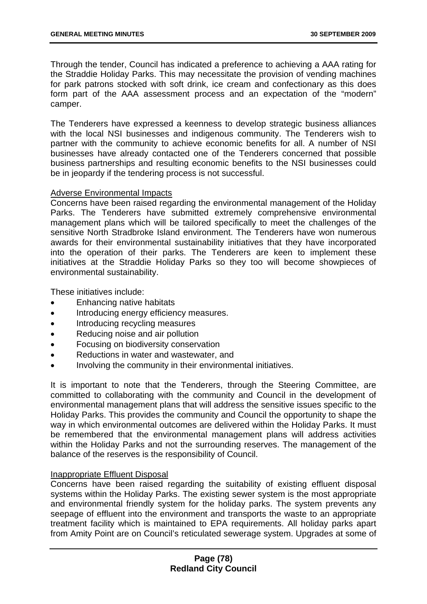Through the tender, Council has indicated a preference to achieving a AAA rating for the Straddie Holiday Parks. This may necessitate the provision of vending machines for park patrons stocked with soft drink, ice cream and confectionary as this does form part of the AAA assessment process and an expectation of the "modern" camper.

The Tenderers have expressed a keenness to develop strategic business alliances with the local NSI businesses and indigenous community. The Tenderers wish to partner with the community to achieve economic benefits for all. A number of NSI businesses have already contacted one of the Tenderers concerned that possible business partnerships and resulting economic benefits to the NSI businesses could be in jeopardy if the tendering process is not successful.

## Adverse Environmental Impacts

Concerns have been raised regarding the environmental management of the Holiday Parks. The Tenderers have submitted extremely comprehensive environmental management plans which will be tailored specifically to meet the challenges of the sensitive North Stradbroke Island environment. The Tenderers have won numerous awards for their environmental sustainability initiatives that they have incorporated into the operation of their parks. The Tenderers are keen to implement these initiatives at the Straddie Holiday Parks so they too will become showpieces of environmental sustainability.

These initiatives include:

- Enhancing native habitats
- Introducing energy efficiency measures.
- Introducing recycling measures
- Reducing noise and air pollution
- Focusing on biodiversity conservation
- Reductions in water and wastewater, and
- Involving the community in their environmental initiatives.

It is important to note that the Tenderers, through the Steering Committee, are committed to collaborating with the community and Council in the development of environmental management plans that will address the sensitive issues specific to the Holiday Parks. This provides the community and Council the opportunity to shape the way in which environmental outcomes are delivered within the Holiday Parks. It must be remembered that the environmental management plans will address activities within the Holiday Parks and not the surrounding reserves. The management of the balance of the reserves is the responsibility of Council.

# Inappropriate Effluent Disposal

Concerns have been raised regarding the suitability of existing effluent disposal systems within the Holiday Parks. The existing sewer system is the most appropriate and environmental friendly system for the holiday parks. The system prevents any seepage of effluent into the environment and transports the waste to an appropriate treatment facility which is maintained to EPA requirements. All holiday parks apart from Amity Point are on Council's reticulated sewerage system. Upgrades at some of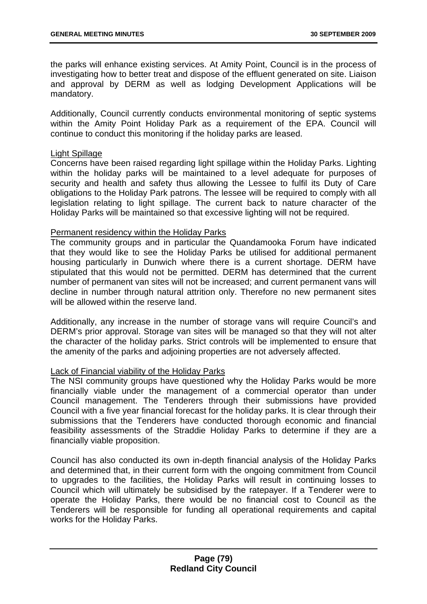the parks will enhance existing services. At Amity Point, Council is in the process of investigating how to better treat and dispose of the effluent generated on site. Liaison and approval by DERM as well as lodging Development Applications will be mandatory.

Additionally, Council currently conducts environmental monitoring of septic systems within the Amity Point Holiday Park as a requirement of the EPA. Council will continue to conduct this monitoring if the holiday parks are leased.

## Light Spillage

Concerns have been raised regarding light spillage within the Holiday Parks. Lighting within the holiday parks will be maintained to a level adequate for purposes of security and health and safety thus allowing the Lessee to fulfil its Duty of Care obligations to the Holiday Park patrons. The lessee will be required to comply with all legislation relating to light spillage. The current back to nature character of the Holiday Parks will be maintained so that excessive lighting will not be required.

## Permanent residency within the Holiday Parks

The community groups and in particular the Quandamooka Forum have indicated that they would like to see the Holiday Parks be utilised for additional permanent housing particularly in Dunwich where there is a current shortage. DERM have stipulated that this would not be permitted. DERM has determined that the current number of permanent van sites will not be increased; and current permanent vans will decline in number through natural attrition only. Therefore no new permanent sites will be allowed within the reserve land.

Additionally, any increase in the number of storage vans will require Council's and DERM's prior approval. Storage van sites will be managed so that they will not alter the character of the holiday parks. Strict controls will be implemented to ensure that the amenity of the parks and adjoining properties are not adversely affected.

## Lack of Financial viability of the Holiday Parks

The NSI community groups have questioned why the Holiday Parks would be more financially viable under the management of a commercial operator than under Council management. The Tenderers through their submissions have provided Council with a five year financial forecast for the holiday parks. It is clear through their submissions that the Tenderers have conducted thorough economic and financial feasibility assessments of the Straddie Holiday Parks to determine if they are a financially viable proposition.

Council has also conducted its own in-depth financial analysis of the Holiday Parks and determined that, in their current form with the ongoing commitment from Council to upgrades to the facilities, the Holiday Parks will result in continuing losses to Council which will ultimately be subsidised by the ratepayer. If a Tenderer were to operate the Holiday Parks, there would be no financial cost to Council as the Tenderers will be responsible for funding all operational requirements and capital works for the Holiday Parks.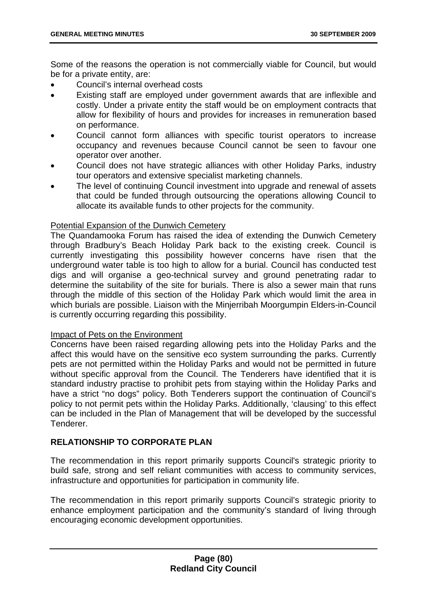Some of the reasons the operation is not commercially viable for Council, but would be for a private entity, are:

- Council's internal overhead costs
- Existing staff are employed under government awards that are inflexible and costly. Under a private entity the staff would be on employment contracts that allow for flexibility of hours and provides for increases in remuneration based on performance.
- Council cannot form alliances with specific tourist operators to increase occupancy and revenues because Council cannot be seen to favour one operator over another.
- Council does not have strategic alliances with other Holiday Parks, industry tour operators and extensive specialist marketing channels.
- The level of continuing Council investment into upgrade and renewal of assets that could be funded through outsourcing the operations allowing Council to allocate its available funds to other projects for the community.

## Potential Expansion of the Dunwich Cemetery

The Quandamooka Forum has raised the idea of extending the Dunwich Cemetery through Bradbury's Beach Holiday Park back to the existing creek. Council is currently investigating this possibility however concerns have risen that the underground water table is too high to allow for a burial. Council has conducted test digs and will organise a geo-technical survey and ground penetrating radar to determine the suitability of the site for burials. There is also a sewer main that runs through the middle of this section of the Holiday Park which would limit the area in which burials are possible. Liaison with the Minjerribah Moorgumpin Elders-in-Council is currently occurring regarding this possibility.

## Impact of Pets on the Environment

Concerns have been raised regarding allowing pets into the Holiday Parks and the affect this would have on the sensitive eco system surrounding the parks. Currently pets are not permitted within the Holiday Parks and would not be permitted in future without specific approval from the Council. The Tenderers have identified that it is standard industry practise to prohibit pets from staying within the Holiday Parks and have a strict "no dogs" policy. Both Tenderers support the continuation of Council's policy to not permit pets within the Holiday Parks. Additionally, 'clausing' to this effect can be included in the Plan of Management that will be developed by the successful Tenderer.

# **RELATIONSHIP TO CORPORATE PLAN**

The recommendation in this report primarily supports Council's strategic priority to build safe, strong and self reliant communities with access to community services, infrastructure and opportunities for participation in community life.

The recommendation in this report primarily supports Council's strategic priority to enhance employment participation and the community's standard of living through encouraging economic development opportunities.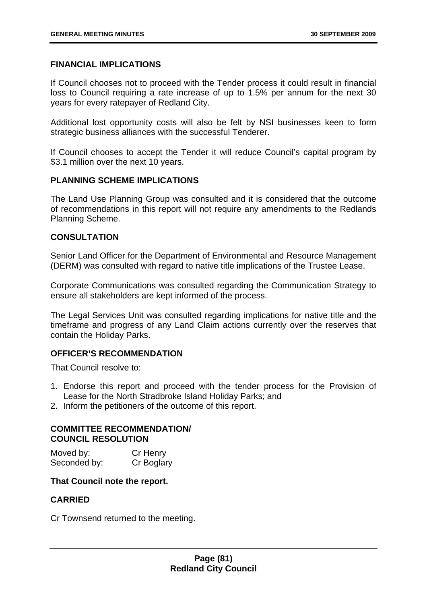## **FINANCIAL IMPLICATIONS**

If Council chooses not to proceed with the Tender process it could result in financial loss to Council requiring a rate increase of up to 1.5% per annum for the next 30 years for every ratepayer of Redland City.

Additional lost opportunity costs will also be felt by NSI businesses keen to form strategic business alliances with the successful Tenderer.

If Council chooses to accept the Tender it will reduce Council's capital program by \$3.1 million over the next 10 years.

## **PLANNING SCHEME IMPLICATIONS**

The Land Use Planning Group was consulted and it is considered that the outcome of recommendations in this report will not require any amendments to the Redlands Planning Scheme.

# **CONSULTATION**

Senior Land Officer for the Department of Environmental and Resource Management (DERM) was consulted with regard to native title implications of the Trustee Lease.

Corporate Communications was consulted regarding the Communication Strategy to ensure all stakeholders are kept informed of the process.

The Legal Services Unit was consulted regarding implications for native title and the timeframe and progress of any Land Claim actions currently over the reserves that contain the Holiday Parks.

# **OFFICER'S RECOMMENDATION**

That Council resolve to:

- 1. Endorse this report and proceed with the tender process for the Provision of Lease for the North Stradbroke Island Holiday Parks; and
- 2. Inform the petitioners of the outcome of this report.

## **COMMITTEE RECOMMENDATION/ COUNCIL RESOLUTION**

| Moved by:    | Cr Henry   |
|--------------|------------|
| Seconded by: | Cr Boglary |

## **That Council note the report.**

# **CARRIED**

Cr Townsend returned to the meeting.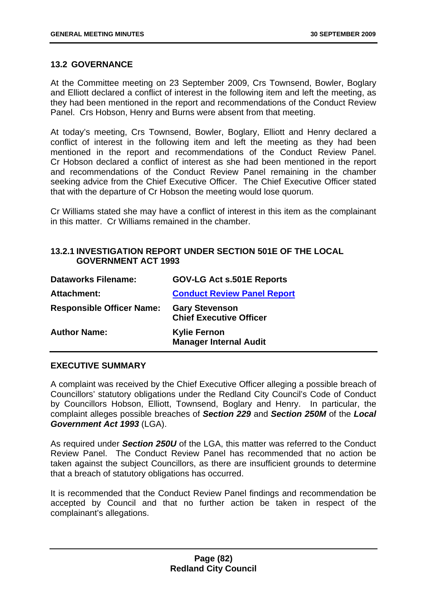## **13.2 GOVERNANCE**

At the Committee meeting on 23 September 2009, Crs Townsend, Bowler, Boglary and Elliott declared a conflict of interest in the following item and left the meeting, as they had been mentioned in the report and recommendations of the Conduct Review Panel. Crs Hobson, Henry and Burns were absent from that meeting.

At today's meeting, Crs Townsend, Bowler, Boglary, Elliott and Henry declared a conflict of interest in the following item and left the meeting as they had been mentioned in the report and recommendations of the Conduct Review Panel. Cr Hobson declared a conflict of interest as she had been mentioned in the report and recommendations of the Conduct Review Panel remaining in the chamber seeking advice from the Chief Executive Officer. The Chief Executive Officer stated that with the departure of Cr Hobson the meeting would lose quorum.

Cr Williams stated she may have a conflict of interest in this item as the complainant in this matter. Cr Williams remained in the chamber.

# **13.2.1 INVESTIGATION REPORT UNDER SECTION 501E OF THE LOCAL GOVERNMENT ACT 1993**

| <b>Dataworks Filename:</b>       | <b>GOV-LG Act s.501E Reports</b>                        |
|----------------------------------|---------------------------------------------------------|
| Attachment:                      | <b>Conduct Review Panel Report</b>                      |
| <b>Responsible Officer Name:</b> | <b>Gary Stevenson</b><br><b>Chief Executive Officer</b> |
| <b>Author Name:</b>              | <b>Kylie Fernon</b><br><b>Manager Internal Audit</b>    |

## **EXECUTIVE SUMMARY**

A complaint was received by the Chief Executive Officer alleging a possible breach of Councillors' statutory obligations under the Redland City Council's Code of Conduct by Councillors Hobson, Elliott, Townsend, Boglary and Henry. In particular, the complaint alleges possible breaches of *Section 229* and *Section 250M* of the *Local Government Act 1993* (LGA).

As required under *Section 250U* of the LGA, this matter was referred to the Conduct Review Panel. The Conduct Review Panel has recommended that no action be taken against the subject Councillors, as there are insufficient grounds to determine that a breach of statutory obligations has occurred.

It is recommended that the Conduct Review Panel findings and recommendation be accepted by Council and that no further action be taken in respect of the complainant's allegations.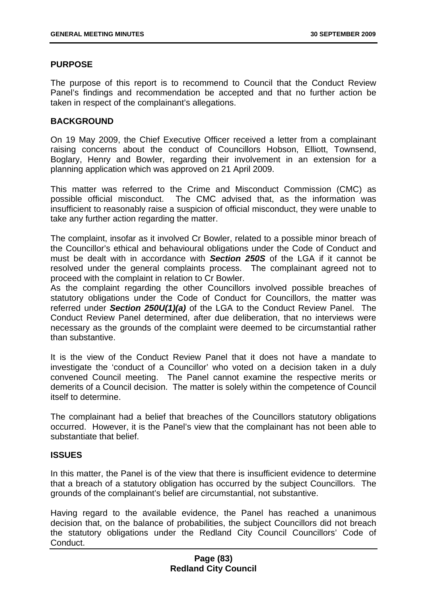## **PURPOSE**

The purpose of this report is to recommend to Council that the Conduct Review Panel's findings and recommendation be accepted and that no further action be taken in respect of the complainant's allegations.

## **BACKGROUND**

On 19 May 2009, the Chief Executive Officer received a letter from a complainant raising concerns about the conduct of Councillors Hobson, Elliott, Townsend, Boglary, Henry and Bowler, regarding their involvement in an extension for a planning application which was approved on 21 April 2009.

This matter was referred to the Crime and Misconduct Commission (CMC) as possible official misconduct. The CMC advised that, as the information was insufficient to reasonably raise a suspicion of official misconduct, they were unable to take any further action regarding the matter.

The complaint, insofar as it involved Cr Bowler, related to a possible minor breach of the Councillor's ethical and behavioural obligations under the Code of Conduct and must be dealt with in accordance with *Section 250S* of the LGA if it cannot be resolved under the general complaints process. The complainant agreed not to proceed with the complaint in relation to Cr Bowler.

As the complaint regarding the other Councillors involved possible breaches of statutory obligations under the Code of Conduct for Councillors, the matter was referred under *Section 250U(1)(a)* of the LGA to the Conduct Review Panel. The Conduct Review Panel determined, after due deliberation, that no interviews were necessary as the grounds of the complaint were deemed to be circumstantial rather than substantive.

It is the view of the Conduct Review Panel that it does not have a mandate to investigate the 'conduct of a Councillor' who voted on a decision taken in a duly convened Council meeting. The Panel cannot examine the respective merits or demerits of a Council decision. The matter is solely within the competence of Council itself to determine.

The complainant had a belief that breaches of the Councillors statutory obligations occurred. However, it is the Panel's view that the complainant has not been able to substantiate that belief.

# **ISSUES**

In this matter, the Panel is of the view that there is insufficient evidence to determine that a breach of a statutory obligation has occurred by the subject Councillors. The grounds of the complainant's belief are circumstantial, not substantive.

Having regard to the available evidence, the Panel has reached a unanimous decision that, on the balance of probabilities, the subject Councillors did not breach the statutory obligations under the Redland City Council Councillors' Code of Conduct.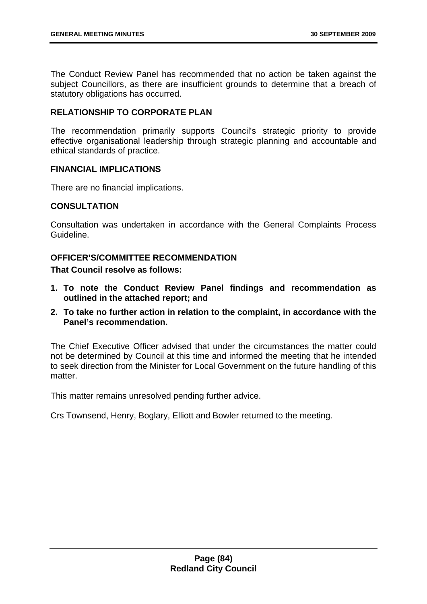The Conduct Review Panel has recommended that no action be taken against the subject Councillors, as there are insufficient grounds to determine that a breach of statutory obligations has occurred.

# **RELATIONSHIP TO CORPORATE PLAN**

The recommendation primarily supports Council's strategic priority to provide effective organisational leadership through strategic planning and accountable and ethical standards of practice.

## **FINANCIAL IMPLICATIONS**

There are no financial implications.

## **CONSULTATION**

Consultation was undertaken in accordance with the General Complaints Process Guideline.

# **OFFICER'S/COMMITTEE RECOMMENDATION**

**That Council resolve as follows:** 

- **1. To note the Conduct Review Panel findings and recommendation as outlined in the attached report; and**
- **2. To take no further action in relation to the complaint, in accordance with the Panel's recommendation.**

The Chief Executive Officer advised that under the circumstances the matter could not be determined by Council at this time and informed the meeting that he intended to seek direction from the Minister for Local Government on the future handling of this matter

This matter remains unresolved pending further advice.

Crs Townsend, Henry, Boglary, Elliott and Bowler returned to the meeting.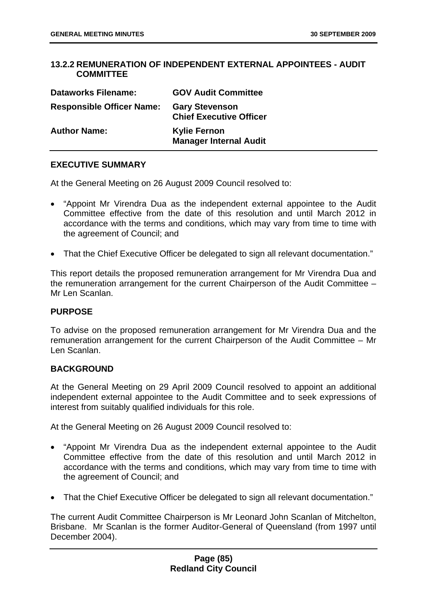## **13.2.2 REMUNERATION OF INDEPENDENT EXTERNAL APPOINTEES - AUDIT COMMITTEE**

| <b>Dataworks Filename:</b>       | <b>GOV Audit Committee</b>                              |
|----------------------------------|---------------------------------------------------------|
| <b>Responsible Officer Name:</b> | <b>Gary Stevenson</b><br><b>Chief Executive Officer</b> |
| <b>Author Name:</b>              | <b>Kylie Fernon</b><br><b>Manager Internal Audit</b>    |

## **EXECUTIVE SUMMARY**

At the General Meeting on 26 August 2009 Council resolved to:

- "Appoint Mr Virendra Dua as the independent external appointee to the Audit Committee effective from the date of this resolution and until March 2012 in accordance with the terms and conditions, which may vary from time to time with the agreement of Council; and
- That the Chief Executive Officer be delegated to sign all relevant documentation."

This report details the proposed remuneration arrangement for Mr Virendra Dua and the remuneration arrangement for the current Chairperson of the Audit Committee – Mr Len Scanlan.

## **PURPOSE**

To advise on the proposed remuneration arrangement for Mr Virendra Dua and the remuneration arrangement for the current Chairperson of the Audit Committee – Mr Len Scanlan.

# **BACKGROUND**

At the General Meeting on 29 April 2009 Council resolved to appoint an additional independent external appointee to the Audit Committee and to seek expressions of interest from suitably qualified individuals for this role.

At the General Meeting on 26 August 2009 Council resolved to:

- "Appoint Mr Virendra Dua as the independent external appointee to the Audit Committee effective from the date of this resolution and until March 2012 in accordance with the terms and conditions, which may vary from time to time with the agreement of Council; and
- That the Chief Executive Officer be delegated to sign all relevant documentation."

The current Audit Committee Chairperson is Mr Leonard John Scanlan of Mitchelton, Brisbane. Mr Scanlan is the former Auditor-General of Queensland (from 1997 until December 2004).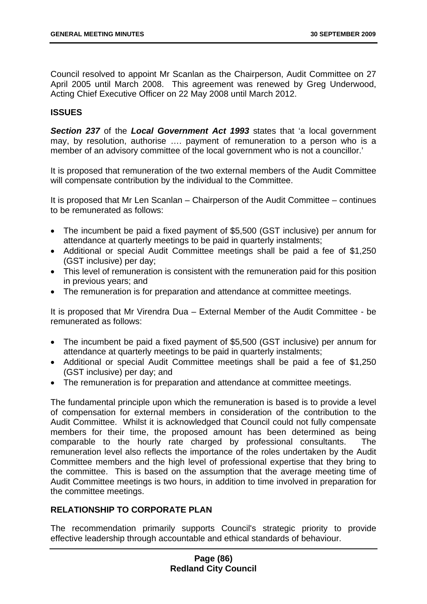Council resolved to appoint Mr Scanlan as the Chairperson, Audit Committee on 27 April 2005 until March 2008. This agreement was renewed by Greg Underwood, Acting Chief Executive Officer on 22 May 2008 until March 2012.

## **ISSUES**

*Section 237* of the *Local Government Act 1993* states that 'a local government may, by resolution, authorise …. payment of remuneration to a person who is a member of an advisory committee of the local government who is not a councillor.'

It is proposed that remuneration of the two external members of the Audit Committee will compensate contribution by the individual to the Committee.

It is proposed that Mr Len Scanlan – Chairperson of the Audit Committee – continues to be remunerated as follows:

- The incumbent be paid a fixed payment of \$5,500 (GST inclusive) per annum for attendance at quarterly meetings to be paid in quarterly instalments;
- Additional or special Audit Committee meetings shall be paid a fee of \$1,250 (GST inclusive) per day;
- This level of remuneration is consistent with the remuneration paid for this position in previous years; and
- The remuneration is for preparation and attendance at committee meetings.

It is proposed that Mr Virendra Dua – External Member of the Audit Committee - be remunerated as follows:

- The incumbent be paid a fixed payment of \$5,500 (GST inclusive) per annum for attendance at quarterly meetings to be paid in quarterly instalments;
- Additional or special Audit Committee meetings shall be paid a fee of \$1,250 (GST inclusive) per day; and
- The remuneration is for preparation and attendance at committee meetings.

The fundamental principle upon which the remuneration is based is to provide a level of compensation for external members in consideration of the contribution to the Audit Committee. Whilst it is acknowledged that Council could not fully compensate members for their time, the proposed amount has been determined as being comparable to the hourly rate charged by professional consultants. The remuneration level also reflects the importance of the roles undertaken by the Audit Committee members and the high level of professional expertise that they bring to the committee. This is based on the assumption that the average meeting time of Audit Committee meetings is two hours, in addition to time involved in preparation for the committee meetings.

## **RELATIONSHIP TO CORPORATE PLAN**

The recommendation primarily supports Council's strategic priority to provide effective leadership through accountable and ethical standards of behaviour.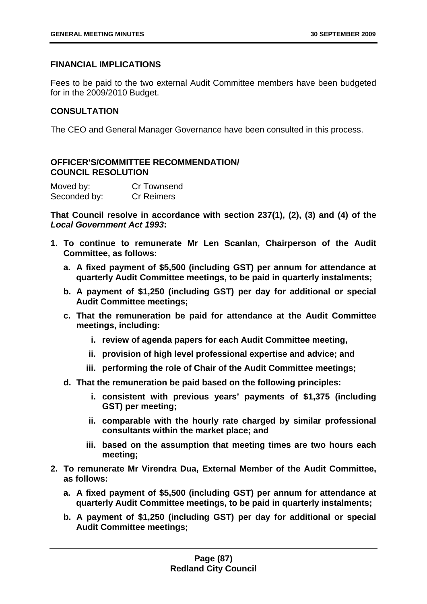# **FINANCIAL IMPLICATIONS**

Fees to be paid to the two external Audit Committee members have been budgeted for in the 2009/2010 Budget.

# **CONSULTATION**

The CEO and General Manager Governance have been consulted in this process.

# **OFFICER'S/COMMITTEE RECOMMENDATION/ COUNCIL RESOLUTION**

| Moved by:    | <b>Cr Townsend</b> |
|--------------|--------------------|
| Seconded by: | <b>Cr Reimers</b>  |

**That Council resolve in accordance with section 237(1), (2), (3) and (4) of the**  *Local Government Act 1993***:** 

- **1. To continue to remunerate Mr Len Scanlan, Chairperson of the Audit Committee, as follows:** 
	- **a. A fixed payment of \$5,500 (including GST) per annum for attendance at quarterly Audit Committee meetings, to be paid in quarterly instalments;**
	- **b. A payment of \$1,250 (including GST) per day for additional or special Audit Committee meetings;**
	- **c. That the remuneration be paid for attendance at the Audit Committee meetings, including:** 
		- **i. review of agenda papers for each Audit Committee meeting,**
		- **ii. provision of high level professional expertise and advice; and**
		- **iii. performing the role of Chair of the Audit Committee meetings;**
	- **d. That the remuneration be paid based on the following principles:** 
		- **i. consistent with previous years' payments of \$1,375 (including GST) per meeting;**
		- **ii. comparable with the hourly rate charged by similar professional consultants within the market place; and**
		- **iii. based on the assumption that meeting times are two hours each meeting;**
- **2. To remunerate Mr Virendra Dua, External Member of the Audit Committee, as follows:** 
	- **a. A fixed payment of \$5,500 (including GST) per annum for attendance at quarterly Audit Committee meetings, to be paid in quarterly instalments;**
	- **b. A payment of \$1,250 (including GST) per day for additional or special Audit Committee meetings;**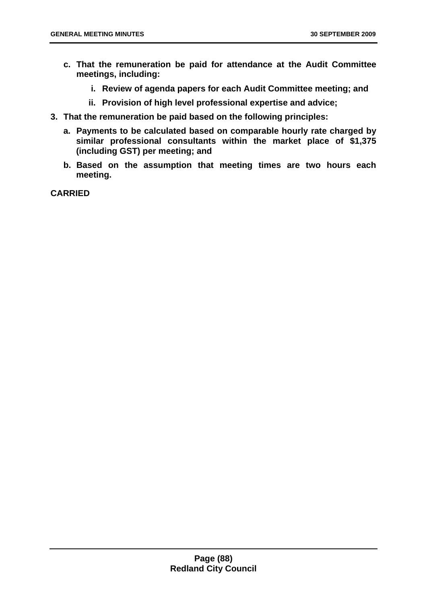- **c. That the remuneration be paid for attendance at the Audit Committee meetings, including:** 
	- **i. Review of agenda papers for each Audit Committee meeting; and**
	- **ii. Provision of high level professional expertise and advice;**
- **3. That the remuneration be paid based on the following principles:** 
	- **a. Payments to be calculated based on comparable hourly rate charged by similar professional consultants within the market place of \$1,375 (including GST) per meeting; and**
	- **b. Based on the assumption that meeting times are two hours each meeting.**

**CARRIED**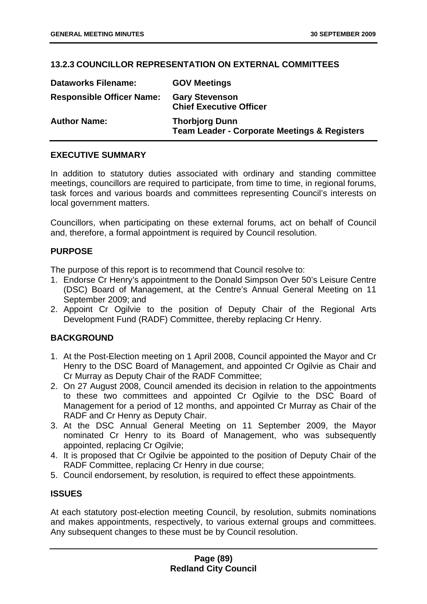# **13.2.3 COUNCILLOR REPRESENTATION ON EXTERNAL COMMITTEES**

| <b>Dataworks Filename:</b>       | <b>GOV Meetings</b>                                                              |
|----------------------------------|----------------------------------------------------------------------------------|
| <b>Responsible Officer Name:</b> | <b>Gary Stevenson</b><br><b>Chief Executive Officer</b>                          |
| <b>Author Name:</b>              | <b>Thorbjorg Dunn</b><br><b>Team Leader - Corporate Meetings &amp; Registers</b> |

## **EXECUTIVE SUMMARY**

In addition to statutory duties associated with ordinary and standing committee meetings, councillors are required to participate, from time to time, in regional forums, task forces and various boards and committees representing Council's interests on local government matters.

Councillors, when participating on these external forums, act on behalf of Council and, therefore, a formal appointment is required by Council resolution.

# **PURPOSE**

The purpose of this report is to recommend that Council resolve to:

- 1. Endorse Cr Henry's appointment to the Donald Simpson Over 50's Leisure Centre (DSC) Board of Management, at the Centre's Annual General Meeting on 11 September 2009; and
- 2. Appoint Cr Ogilvie to the position of Deputy Chair of the Regional Arts Development Fund (RADF) Committee, thereby replacing Cr Henry.

# **BACKGROUND**

- 1. At the Post-Election meeting on 1 April 2008, Council appointed the Mayor and Cr Henry to the DSC Board of Management, and appointed Cr Ogilvie as Chair and Cr Murray as Deputy Chair of the RADF Committee;
- 2. On 27 August 2008, Council amended its decision in relation to the appointments to these two committees and appointed Cr Ogilvie to the DSC Board of Management for a period of 12 months, and appointed Cr Murray as Chair of the RADF and Cr Henry as Deputy Chair.
- 3. At the DSC Annual General Meeting on 11 September 2009, the Mayor nominated Cr Henry to its Board of Management, who was subsequently appointed, replacing Cr Ogilvie;
- 4. It is proposed that Cr Ogilvie be appointed to the position of Deputy Chair of the RADF Committee, replacing Cr Henry in due course;
- 5. Council endorsement, by resolution, is required to effect these appointments.

# **ISSUES**

At each statutory post-election meeting Council, by resolution, submits nominations and makes appointments, respectively, to various external groups and committees. Any subsequent changes to these must be by Council resolution.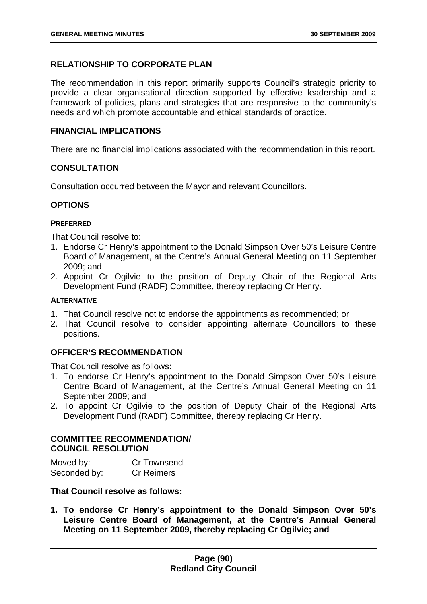# **RELATIONSHIP TO CORPORATE PLAN**

The recommendation in this report primarily supports Council's strategic priority to provide a clear organisational direction supported by effective leadership and a framework of policies, plans and strategies that are responsive to the community's needs and which promote accountable and ethical standards of practice.

## **FINANCIAL IMPLICATIONS**

There are no financial implications associated with the recommendation in this report.

# **CONSULTATION**

Consultation occurred between the Mayor and relevant Councillors.

# **OPTIONS**

## **PREFERRED**

That Council resolve to:

- 1. Endorse Cr Henry's appointment to the Donald Simpson Over 50's Leisure Centre Board of Management, at the Centre's Annual General Meeting on 11 September 2009; and
- 2. Appoint Cr Ogilvie to the position of Deputy Chair of the Regional Arts Development Fund (RADF) Committee, thereby replacing Cr Henry.

## **ALTERNATIVE**

- 1. That Council resolve not to endorse the appointments as recommended; or
- 2. That Council resolve to consider appointing alternate Councillors to these positions.

# **OFFICER'S RECOMMENDATION**

That Council resolve as follows:

- 1. To endorse Cr Henry's appointment to the Donald Simpson Over 50's Leisure Centre Board of Management, at the Centre's Annual General Meeting on 11 September 2009; and
- 2. To appoint Cr Ogilvie to the position of Deputy Chair of the Regional Arts Development Fund (RADF) Committee, thereby replacing Cr Henry.

# **COMMITTEE RECOMMENDATION/ COUNCIL RESOLUTION**

| Moved by:    | Cr Townsend       |
|--------------|-------------------|
| Seconded by: | <b>Cr Reimers</b> |

## **That Council resolve as follows:**

**1. To endorse Cr Henry's appointment to the Donald Simpson Over 50's Leisure Centre Board of Management, at the Centre's Annual General Meeting on 11 September 2009, thereby replacing Cr Ogilvie; and**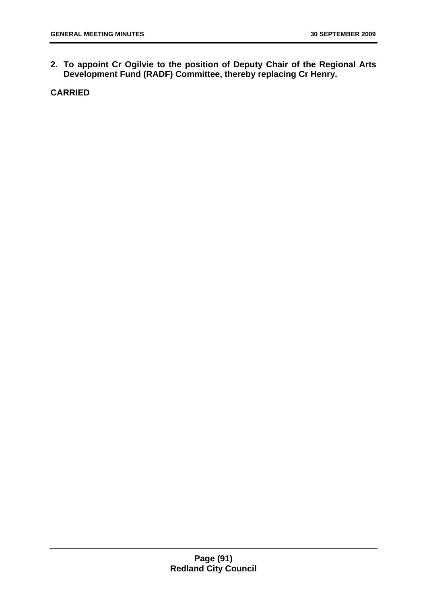**2. To appoint Cr Ogilvie to the position of Deputy Chair of the Regional Arts Development Fund (RADF) Committee, thereby replacing Cr Henry.** 

**CARRIED**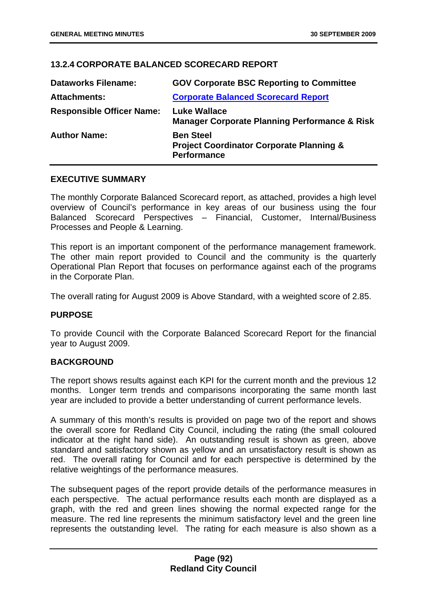# **13.2.4 CORPORATE BALANCED SCORECARD REPORT**

| <b>Dataworks Filename:</b>       | <b>GOV Corporate BSC Reporting to Committee</b>                                               |
|----------------------------------|-----------------------------------------------------------------------------------------------|
| <b>Attachments:</b>              | <b>Corporate Balanced Scorecard Report</b>                                                    |
| <b>Responsible Officer Name:</b> | <b>Luke Wallace</b><br><b>Manager Corporate Planning Performance &amp; Risk</b>               |
| <b>Author Name:</b>              | <b>Ben Steel</b><br><b>Project Coordinator Corporate Planning &amp;</b><br><b>Performance</b> |

#### **EXECUTIVE SUMMARY**

The monthly Corporate Balanced Scorecard report, as attached, provides a high level overview of Council's performance in key areas of our business using the four Balanced Scorecard Perspectives – Financial, Customer, Internal/Business Processes and People & Learning.

This report is an important component of the performance management framework. The other main report provided to Council and the community is the quarterly Operational Plan Report that focuses on performance against each of the programs in the Corporate Plan.

The overall rating for August 2009 is Above Standard, with a weighted score of 2.85.

#### **PURPOSE**

To provide Council with the Corporate Balanced Scorecard Report for the financial year to August 2009.

## **BACKGROUND**

The report shows results against each KPI for the current month and the previous 12 months. Longer term trends and comparisons incorporating the same month last year are included to provide a better understanding of current performance levels.

A summary of this month's results is provided on page two of the report and shows the overall score for Redland City Council, including the rating (the small coloured indicator at the right hand side). An outstanding result is shown as green, above standard and satisfactory shown as yellow and an unsatisfactory result is shown as red. The overall rating for Council and for each perspective is determined by the relative weightings of the performance measures.

The subsequent pages of the report provide details of the performance measures in each perspective. The actual performance results each month are displayed as a graph, with the red and green lines showing the normal expected range for the measure. The red line represents the minimum satisfactory level and the green line represents the outstanding level. The rating for each measure is also shown as a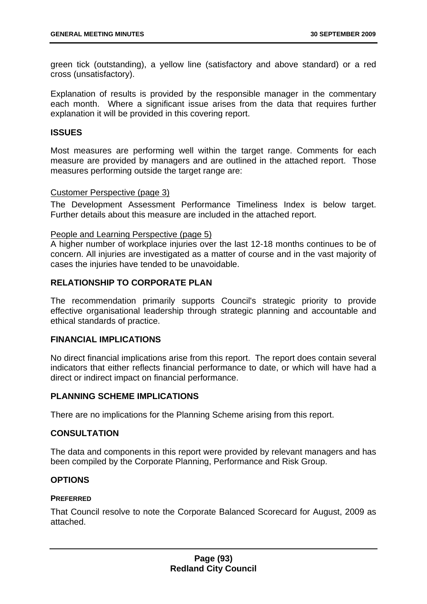green tick (outstanding), a yellow line (satisfactory and above standard) or a red cross (unsatisfactory).

Explanation of results is provided by the responsible manager in the commentary each month. Where a significant issue arises from the data that requires further explanation it will be provided in this covering report.

## **ISSUES**

Most measures are performing well within the target range. Comments for each measure are provided by managers and are outlined in the attached report. Those measures performing outside the target range are:

## Customer Perspective (page 3)

The Development Assessment Performance Timeliness Index is below target. Further details about this measure are included in the attached report.

## People and Learning Perspective (page 5)

A higher number of workplace injuries over the last 12-18 months continues to be of concern. All injuries are investigated as a matter of course and in the vast majority of cases the injuries have tended to be unavoidable.

## **RELATIONSHIP TO CORPORATE PLAN**

The recommendation primarily supports Council's strategic priority to provide effective organisational leadership through strategic planning and accountable and ethical standards of practice.

## **FINANCIAL IMPLICATIONS**

No direct financial implications arise from this report. The report does contain several indicators that either reflects financial performance to date, or which will have had a direct or indirect impact on financial performance.

## **PLANNING SCHEME IMPLICATIONS**

There are no implications for the Planning Scheme arising from this report.

## **CONSULTATION**

The data and components in this report were provided by relevant managers and has been compiled by the Corporate Planning, Performance and Risk Group.

## **OPTIONS**

## **PREFERRED**

That Council resolve to note the Corporate Balanced Scorecard for August, 2009 as attached.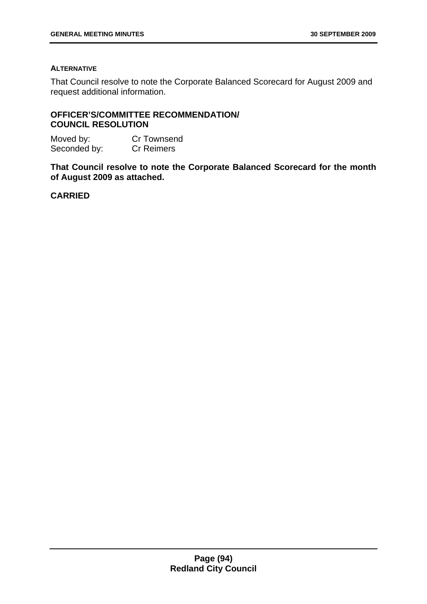### **ALTERNATIVE**

That Council resolve to note the Corporate Balanced Scorecard for August 2009 and request additional information.

# **OFFICER'S/COMMITTEE RECOMMENDATION/ COUNCIL RESOLUTION**

| Moved by:    | Cr Townsend       |
|--------------|-------------------|
| Seconded by: | <b>Cr Reimers</b> |

**That Council resolve to note the Corporate Balanced Scorecard for the month of August 2009 as attached.** 

**CARRIED**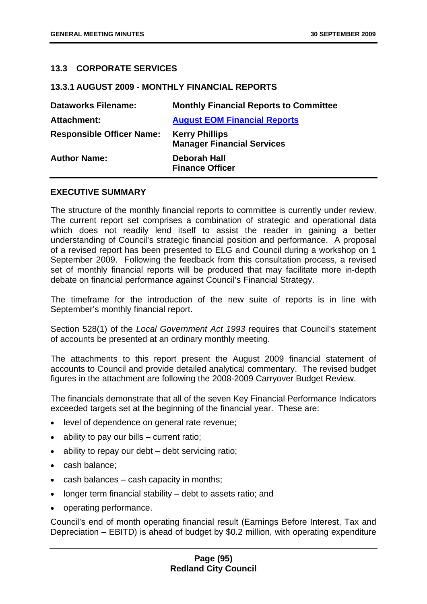## **13.3 CORPORATE SERVICES**

### **13.3.1 AUGUST 2009 - MONTHLY FINANCIAL REPORTS**

| <b>Dataworks Filename:</b>       | <b>Monthly Financial Reports to Committee</b>              |
|----------------------------------|------------------------------------------------------------|
| <b>Attachment:</b>               | <b>August EOM Financial Reports</b>                        |
| <b>Responsible Officer Name:</b> | <b>Kerry Phillips</b><br><b>Manager Financial Services</b> |
| <b>Author Name:</b>              | <b>Deborah Hall</b><br><b>Finance Officer</b>              |

## **EXECUTIVE SUMMARY**

The structure of the monthly financial reports to committee is currently under review. The current report set comprises a combination of strategic and operational data which does not readily lend itself to assist the reader in gaining a better understanding of Council's strategic financial position and performance. A proposal of a revised report has been presented to ELG and Council during a workshop on 1 September 2009. Following the feedback from this consultation process, a revised set of monthly financial reports will be produced that may facilitate more in-depth debate on financial performance against Council's Financial Strategy.

The timeframe for the introduction of the new suite of reports is in line with September's monthly financial report.

Section 528(1) of the *Local Government Act 1993* requires that Council's statement of accounts be presented at an ordinary monthly meeting.

The attachments to this report present the August 2009 financial statement of accounts to Council and provide detailed analytical commentary. The revised budget figures in the attachment are following the 2008-2009 Carryover Budget Review.

The financials demonstrate that all of the seven Key Financial Performance Indicators exceeded targets set at the beginning of the financial year. These are:

- level of dependence on general rate revenue;
- ability to pay our bills  $-$  current ratio;
- ability to repay our debt debt servicing ratio;
- cash balance;
- cash balances cash capacity in months;
- longer term financial stability  $-$  debt to assets ratio; and
- operating performance.

Council's end of month operating financial result (Earnings Before Interest, Tax and Depreciation – EBITD) is ahead of budget by \$0.2 million, with operating expenditure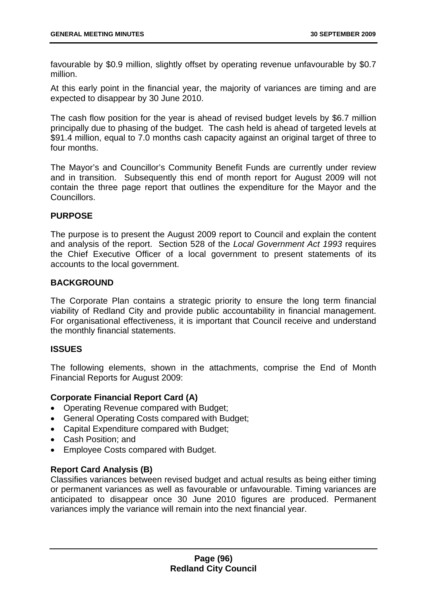favourable by \$0.9 million, slightly offset by operating revenue unfavourable by \$0.7 million.

At this early point in the financial year, the majority of variances are timing and are expected to disappear by 30 June 2010.

The cash flow position for the year is ahead of revised budget levels by \$6.7 million principally due to phasing of the budget. The cash held is ahead of targeted levels at \$91.4 million, equal to 7.0 months cash capacity against an original target of three to four months.

The Mayor's and Councillor's Community Benefit Funds are currently under review and in transition. Subsequently this end of month report for August 2009 will not contain the three page report that outlines the expenditure for the Mayor and the Councillors.

## **PURPOSE**

The purpose is to present the August 2009 report to Council and explain the content and analysis of the report. Section 528 of the *Local Government Act 1993* requires the Chief Executive Officer of a local government to present statements of its accounts to the local government.

## **BACKGROUND**

The Corporate Plan contains a strategic priority to ensure the long term financial viability of Redland City and provide public accountability in financial management. For organisational effectiveness, it is important that Council receive and understand the monthly financial statements.

## **ISSUES**

The following elements, shown in the attachments, comprise the End of Month Financial Reports for August 2009:

# **Corporate Financial Report Card (A)**

- Operating Revenue compared with Budget;
- General Operating Costs compared with Budget;
- Capital Expenditure compared with Budget;
- Cash Position; and
- Employee Costs compared with Budget.

# **Report Card Analysis (B)**

Classifies variances between revised budget and actual results as being either timing or permanent variances as well as favourable or unfavourable. Timing variances are anticipated to disappear once 30 June 2010 figures are produced. Permanent variances imply the variance will remain into the next financial year.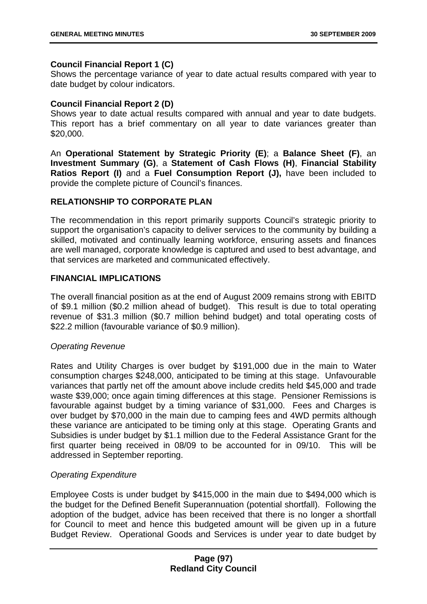# **Council Financial Report 1 (C)**

Shows the percentage variance of year to date actual results compared with year to date budget by colour indicators.

## **Council Financial Report 2 (D)**

Shows year to date actual results compared with annual and year to date budgets. This report has a brief commentary on all year to date variances greater than \$20,000.

An **Operational Statement by Strategic Priority (E)**; a **Balance Sheet (F)**, an **Investment Summary (G)**, a **Statement of Cash Flows (H)**, **Financial Stability Ratios Report (I)** and a **Fuel Consumption Report (J),** have been included to provide the complete picture of Council's finances.

# **RELATIONSHIP TO CORPORATE PLAN**

The recommendation in this report primarily supports Council's strategic priority to support the organisation's capacity to deliver services to the community by building a skilled, motivated and continually learning workforce, ensuring assets and finances are well managed, corporate knowledge is captured and used to best advantage, and that services are marketed and communicated effectively.

## **FINANCIAL IMPLICATIONS**

The overall financial position as at the end of August 2009 remains strong with EBITD of \$9.1 million (\$0.2 million ahead of budget). This result is due to total operating revenue of \$31.3 million (\$0.7 million behind budget) and total operating costs of \$22.2 million (favourable variance of \$0.9 million).

# *Operating Revenue*

Rates and Utility Charges is over budget by \$191,000 due in the main to Water consumption charges \$248,000, anticipated to be timing at this stage. Unfavourable variances that partly net off the amount above include credits held \$45,000 and trade waste \$39,000; once again timing differences at this stage. Pensioner Remissions is favourable against budget by a timing variance of \$31,000. Fees and Charges is over budget by \$70,000 in the main due to camping fees and 4WD permits although these variance are anticipated to be timing only at this stage. Operating Grants and Subsidies is under budget by \$1.1 million due to the Federal Assistance Grant for the first quarter being received in 08/09 to be accounted for in 09/10. This will be addressed in September reporting.

# *Operating Expenditure*

Employee Costs is under budget by \$415,000 in the main due to \$494,000 which is the budget for the Defined Benefit Superannuation (potential shortfall). Following the adoption of the budget, advice has been received that there is no longer a shortfall for Council to meet and hence this budgeted amount will be given up in a future Budget Review. Operational Goods and Services is under year to date budget by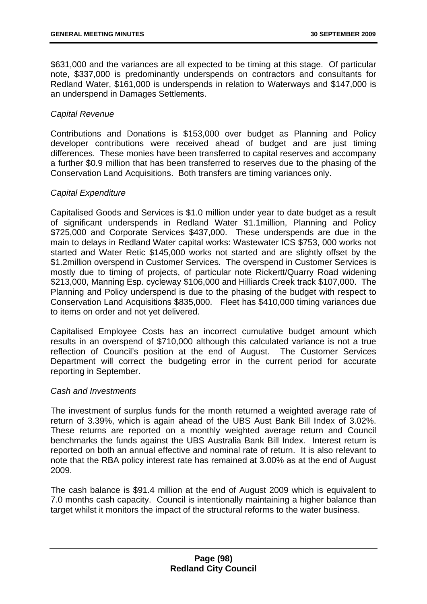\$631,000 and the variances are all expected to be timing at this stage. Of particular note, \$337,000 is predominantly underspends on contractors and consultants for Redland Water, \$161,000 is underspends in relation to Waterways and \$147,000 is an underspend in Damages Settlements.

## *Capital Revenue*

Contributions and Donations is \$153,000 over budget as Planning and Policy developer contributions were received ahead of budget and are just timing differences. These monies have been transferred to capital reserves and accompany a further \$0.9 million that has been transferred to reserves due to the phasing of the Conservation Land Acquisitions. Both transfers are timing variances only.

## *Capital Expenditure*

Capitalised Goods and Services is \$1.0 million under year to date budget as a result of significant underspends in Redland Water \$1.1million, Planning and Policy \$725,000 and Corporate Services \$437,000. These underspends are due in the main to delays in Redland Water capital works: Wastewater ICS \$753, 000 works not started and Water Retic \$145,000 works not started and are slightly offset by the \$1.2million overspend in Customer Services. The overspend in Customer Services is mostly due to timing of projects, of particular note Rickertt/Quarry Road widening \$213,000, Manning Esp. cycleway \$106,000 and Hilliards Creek track \$107,000. The Planning and Policy underspend is due to the phasing of the budget with respect to Conservation Land Acquisitions \$835,000. Fleet has \$410,000 timing variances due to items on order and not yet delivered.

Capitalised Employee Costs has an incorrect cumulative budget amount which results in an overspend of \$710,000 although this calculated variance is not a true reflection of Council's position at the end of August. The Customer Services Department will correct the budgeting error in the current period for accurate reporting in September.

## *Cash and Investments*

The investment of surplus funds for the month returned a weighted average rate of return of 3.39%, which is again ahead of the UBS Aust Bank Bill Index of 3.02%. These returns are reported on a monthly weighted average return and Council benchmarks the funds against the UBS Australia Bank Bill Index. Interest return is reported on both an annual effective and nominal rate of return. It is also relevant to note that the RBA policy interest rate has remained at 3.00% as at the end of August 2009.

The cash balance is \$91.4 million at the end of August 2009 which is equivalent to 7.0 months cash capacity. Council is intentionally maintaining a higher balance than target whilst it monitors the impact of the structural reforms to the water business.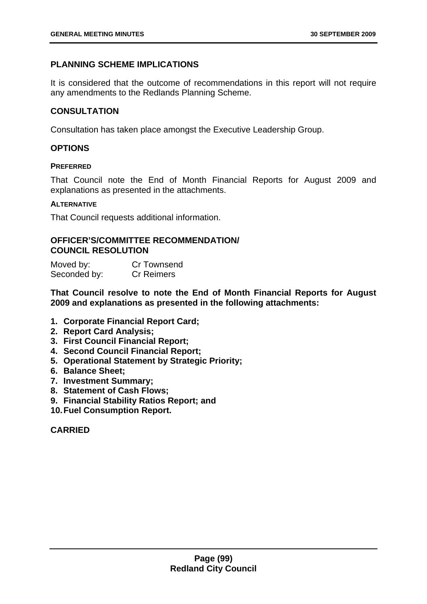# **PLANNING SCHEME IMPLICATIONS**

It is considered that the outcome of recommendations in this report will not require any amendments to the Redlands Planning Scheme.

# **CONSULTATION**

Consultation has taken place amongst the Executive Leadership Group.

# **OPTIONS**

## **PREFERRED**

That Council note the End of Month Financial Reports for August 2009 and explanations as presented in the attachments.

#### **ALTERNATIVE**

That Council requests additional information.

## **OFFICER'S/COMMITTEE RECOMMENDATION/ COUNCIL RESOLUTION**

| Moved by:    | Cr Townsend       |
|--------------|-------------------|
| Seconded by: | <b>Cr Reimers</b> |

**That Council resolve to note the End of Month Financial Reports for August 2009 and explanations as presented in the following attachments:** 

- **1. Corporate Financial Report Card;**
- **2. Report Card Analysis;**
- **3. First Council Financial Report;**
- **4. Second Council Financial Report;**
- **5. Operational Statement by Strategic Priority;**
- **6. Balance Sheet;**
- **7. Investment Summary;**
- **8. Statement of Cash Flows;**
- **9. Financial Stability Ratios Report; and**
- **10. Fuel Consumption Report.**

**CARRIED**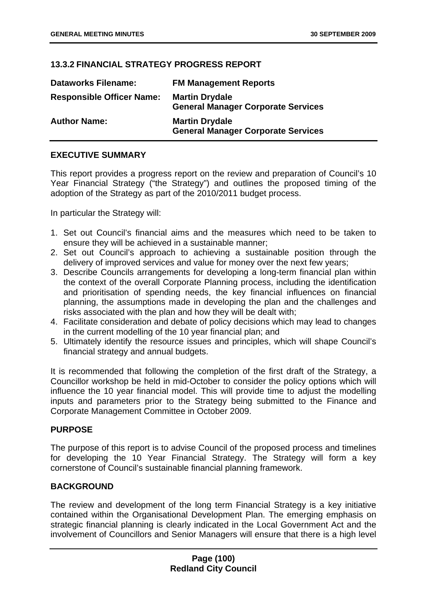# **13.3.2 FINANCIAL STRATEGY PROGRESS REPORT**

| <b>Dataworks Filename:</b>       | <b>FM Management Reports</b>                                       |
|----------------------------------|--------------------------------------------------------------------|
| <b>Responsible Officer Name:</b> | <b>Martin Drydale</b><br><b>General Manager Corporate Services</b> |
| <b>Author Name:</b>              | <b>Martin Drydale</b><br><b>General Manager Corporate Services</b> |

# **EXECUTIVE SUMMARY**

This report provides a progress report on the review and preparation of Council's 10 Year Financial Strategy ("the Strategy") and outlines the proposed timing of the adoption of the Strategy as part of the 2010/2011 budget process.

In particular the Strategy will:

- 1. Set out Council's financial aims and the measures which need to be taken to ensure they will be achieved in a sustainable manner;
- 2. Set out Council's approach to achieving a sustainable position through the delivery of improved services and value for money over the next few years;
- 3. Describe Councils arrangements for developing a long-term financial plan within the context of the overall Corporate Planning process, including the identification and prioritisation of spending needs, the key financial influences on financial planning, the assumptions made in developing the plan and the challenges and risks associated with the plan and how they will be dealt with;
- 4. Facilitate consideration and debate of policy decisions which may lead to changes in the current modelling of the 10 year financial plan; and
- 5. Ultimately identify the resource issues and principles, which will shape Council's financial strategy and annual budgets.

It is recommended that following the completion of the first draft of the Strategy, a Councillor workshop be held in mid-October to consider the policy options which will influence the 10 year financial model. This will provide time to adjust the modelling inputs and parameters prior to the Strategy being submitted to the Finance and Corporate Management Committee in October 2009.

# **PURPOSE**

The purpose of this report is to advise Council of the proposed process and timelines for developing the 10 Year Financial Strategy. The Strategy will form a key cornerstone of Council's sustainable financial planning framework.

# **BACKGROUND**

The review and development of the long term Financial Strategy is a key initiative contained within the Organisational Development Plan. The emerging emphasis on strategic financial planning is clearly indicated in the Local Government Act and the involvement of Councillors and Senior Managers will ensure that there is a high level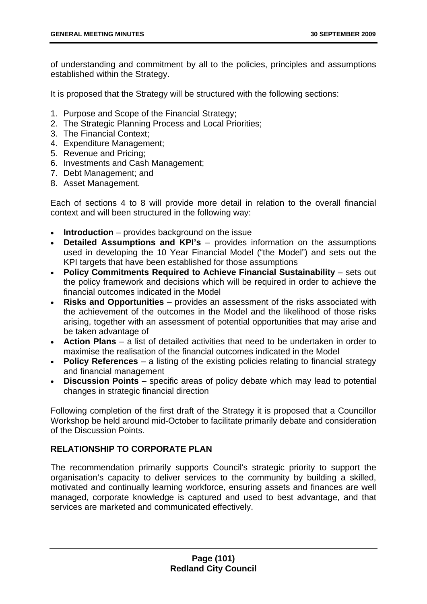of understanding and commitment by all to the policies, principles and assumptions established within the Strategy.

It is proposed that the Strategy will be structured with the following sections:

- 1. Purpose and Scope of the Financial Strategy;
- 2. The Strategic Planning Process and Local Priorities;
- 3. The Financial Context;
- 4. Expenditure Management;
- 5. Revenue and Pricing;
- 6. Investments and Cash Management;
- 7. Debt Management; and
- 8. Asset Management.

Each of sections 4 to 8 will provide more detail in relation to the overall financial context and will been structured in the following way:

- **Introduction** provides background on the issue
- **Detailed Assumptions and KPI's** provides information on the assumptions used in developing the 10 Year Financial Model ("the Model") and sets out the KPI targets that have been established for those assumptions
- **Policy Commitments Required to Achieve Financial Sustainability** sets out the policy framework and decisions which will be required in order to achieve the financial outcomes indicated in the Model
- **Risks and Opportunities** provides an assessment of the risks associated with the achievement of the outcomes in the Model and the likelihood of those risks arising, together with an assessment of potential opportunities that may arise and be taken advantage of
- **Action Plans** a list of detailed activities that need to be undertaken in order to maximise the realisation of the financial outcomes indicated in the Model
- **Policy References** a listing of the existing policies relating to financial strategy and financial management
- **Discussion Points** specific areas of policy debate which may lead to potential changes in strategic financial direction

Following completion of the first draft of the Strategy it is proposed that a Councillor Workshop be held around mid-October to facilitate primarily debate and consideration of the Discussion Points.

# **RELATIONSHIP TO CORPORATE PLAN**

The recommendation primarily supports Council's strategic priority to support the organisation's capacity to deliver services to the community by building a skilled, motivated and continually learning workforce, ensuring assets and finances are well managed, corporate knowledge is captured and used to best advantage, and that services are marketed and communicated effectively.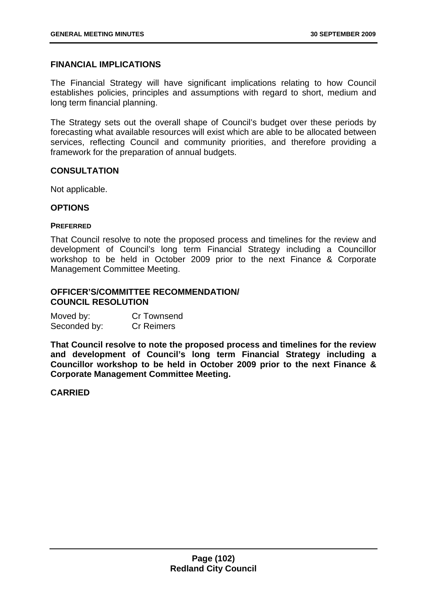## **FINANCIAL IMPLICATIONS**

The Financial Strategy will have significant implications relating to how Council establishes policies, principles and assumptions with regard to short, medium and long term financial planning.

The Strategy sets out the overall shape of Council's budget over these periods by forecasting what available resources will exist which are able to be allocated between services, reflecting Council and community priorities, and therefore providing a framework for the preparation of annual budgets.

## **CONSULTATION**

Not applicable.

#### **OPTIONS**

#### **PREFERRED**

That Council resolve to note the proposed process and timelines for the review and development of Council's long term Financial Strategy including a Councillor workshop to be held in October 2009 prior to the next Finance & Corporate Management Committee Meeting.

### **OFFICER'S/COMMITTEE RECOMMENDATION/ COUNCIL RESOLUTION**

| Moved by:    | Cr Townsend       |
|--------------|-------------------|
| Seconded by: | <b>Cr Reimers</b> |

**That Council resolve to note the proposed process and timelines for the review and development of Council's long term Financial Strategy including a Councillor workshop to be held in October 2009 prior to the next Finance & Corporate Management Committee Meeting.** 

## **CARRIED**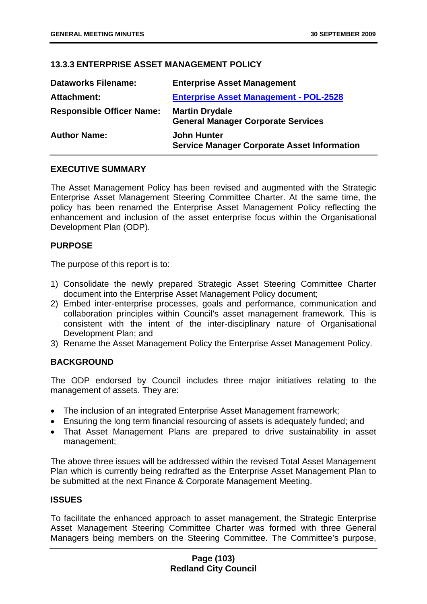# **13.3.3 ENTERPRISE ASSET MANAGEMENT POLICY**

| <b>Dataworks Filename:</b>       | <b>Enterprise Asset Management</b>                                       |
|----------------------------------|--------------------------------------------------------------------------|
| Attachment:                      | <b>Enterprise Asset Management - POL-2528</b>                            |
| <b>Responsible Officer Name:</b> | <b>Martin Drydale</b><br><b>General Manager Corporate Services</b>       |
| <b>Author Name:</b>              | <b>John Hunter</b><br><b>Service Manager Corporate Asset Information</b> |

## **EXECUTIVE SUMMARY**

The Asset Management Policy has been revised and augmented with the Strategic Enterprise Asset Management Steering Committee Charter. At the same time, the policy has been renamed the Enterprise Asset Management Policy reflecting the enhancement and inclusion of the asset enterprise focus within the Organisational Development Plan (ODP).

## **PURPOSE**

The purpose of this report is to:

- 1) Consolidate the newly prepared Strategic Asset Steering Committee Charter document into the Enterprise Asset Management Policy document;
- 2) Embed inter-enterprise processes, goals and performance, communication and collaboration principles within Council's asset management framework. This is consistent with the intent of the inter-disciplinary nature of Organisational Development Plan; and
- 3) Rename the Asset Management Policy the Enterprise Asset Management Policy.

# **BACKGROUND**

The ODP endorsed by Council includes three major initiatives relating to the management of assets. They are:

- The inclusion of an integrated Enterprise Asset Management framework;
- Ensuring the long term financial resourcing of assets is adequately funded; and
- That Asset Management Plans are prepared to drive sustainability in asset management;

The above three issues will be addressed within the revised Total Asset Management Plan which is currently being redrafted as the Enterprise Asset Management Plan to be submitted at the next Finance & Corporate Management Meeting.

## **ISSUES**

To facilitate the enhanced approach to asset management, the Strategic Enterprise Asset Management Steering Committee Charter was formed with three General Managers being members on the Steering Committee. The Committee's purpose,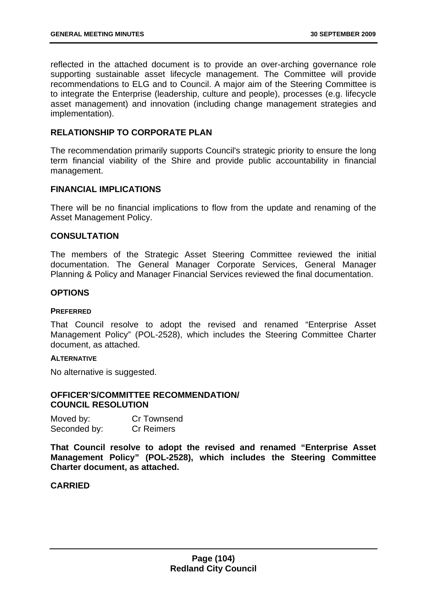reflected in the attached document is to provide an over-arching governance role supporting sustainable asset lifecycle management. The Committee will provide recommendations to ELG and to Council. A major aim of the Steering Committee is to integrate the Enterprise (leadership, culture and people), processes (e.g. lifecycle asset management) and innovation (including change management strategies and implementation).

## **RELATIONSHIP TO CORPORATE PLAN**

The recommendation primarily supports Council's strategic priority to ensure the long term financial viability of the Shire and provide public accountability in financial management.

## **FINANCIAL IMPLICATIONS**

There will be no financial implications to flow from the update and renaming of the Asset Management Policy.

## **CONSULTATION**

The members of the Strategic Asset Steering Committee reviewed the initial documentation. The General Manager Corporate Services, General Manager Planning & Policy and Manager Financial Services reviewed the final documentation.

#### **OPTIONS**

#### **PREFERRED**

That Council resolve to adopt the revised and renamed "Enterprise Asset Management Policy" (POL-2528), which includes the Steering Committee Charter document, as attached.

#### **ALTERNATIVE**

No alternative is suggested.

#### **OFFICER'S/COMMITTEE RECOMMENDATION/ COUNCIL RESOLUTION**

| Moved by:    | Cr Townsend       |
|--------------|-------------------|
| Seconded by: | <b>Cr Reimers</b> |

**That Council resolve to adopt the revised and renamed "Enterprise Asset Management Policy" (POL-2528), which includes the Steering Committee Charter document, as attached.** 

## **CARRIED**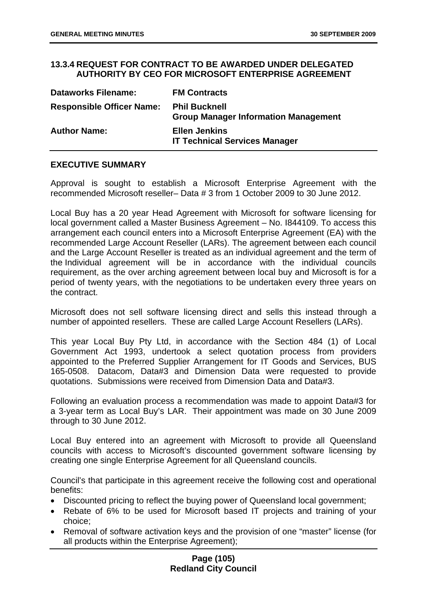## **13.3.4 REQUEST FOR CONTRACT TO BE AWARDED UNDER DELEGATED AUTHORITY BY CEO FOR MICROSOFT ENTERPRISE AGREEMENT**

| <b>Dataworks Filename:</b>       | <b>FM Contracts</b>                                                 |
|----------------------------------|---------------------------------------------------------------------|
| <b>Responsible Officer Name:</b> | <b>Phil Bucknell</b><br><b>Group Manager Information Management</b> |
| <b>Author Name:</b>              | <b>Ellen Jenkins</b><br><b>IT Technical Services Manager</b>        |

## **EXECUTIVE SUMMARY**

Approval is sought to establish a Microsoft Enterprise Agreement with the recommended Microsoft reseller– Data # 3 from 1 October 2009 to 30 June 2012.

Local Buy has a 20 year Head Agreement with Microsoft for software licensing for local government called a Master Business Agreement – No. I844109. To access this arrangement each council enters into a Microsoft Enterprise Agreement (EA) with the recommended Large Account Reseller (LARs). The agreement between each council and the Large Account Reseller is treated as an individual agreement and the term of the Individual agreement will be in accordance with the individual councils requirement, as the over arching agreement between local buy and Microsoft is for a period of twenty years, with the negotiations to be undertaken every three years on the contract.

Microsoft does not sell software licensing direct and sells this instead through a number of appointed resellers. These are called Large Account Resellers (LARs).

This year Local Buy Pty Ltd, in accordance with the Section 484 (1) of Local Government Act 1993, undertook a select quotation process from providers appointed to the Preferred Supplier Arrangement for IT Goods and Services, BUS 165-0508. Datacom, Data#3 and Dimension Data were requested to provide quotations. Submissions were received from Dimension Data and Data#3.

Following an evaluation process a recommendation was made to appoint Data#3 for a 3-year term as Local Buy's LAR. Their appointment was made on 30 June 2009 through to 30 June 2012.

Local Buy entered into an agreement with Microsoft to provide all Queensland councils with access to Microsoft's discounted government software licensing by creating one single Enterprise Agreement for all Queensland councils.

Council's that participate in this agreement receive the following cost and operational benefits:

- Discounted pricing to reflect the buying power of Queensland local government;
- Rebate of 6% to be used for Microsoft based IT projects and training of your choice;
- Removal of software activation keys and the provision of one "master" license (for all products within the Enterprise Agreement);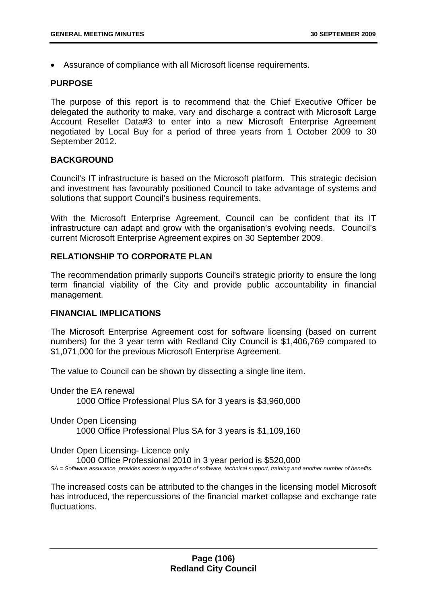• Assurance of compliance with all Microsoft license requirements.

## **PURPOSE**

The purpose of this report is to recommend that the Chief Executive Officer be delegated the authority to make, vary and discharge a contract with Microsoft Large Account Reseller Data#3 to enter into a new Microsoft Enterprise Agreement negotiated by Local Buy for a period of three years from 1 October 2009 to 30 September 2012.

# **BACKGROUND**

Council's IT infrastructure is based on the Microsoft platform. This strategic decision and investment has favourably positioned Council to take advantage of systems and solutions that support Council's business requirements.

With the Microsoft Enterprise Agreement, Council can be confident that its IT infrastructure can adapt and grow with the organisation's evolving needs. Council's current Microsoft Enterprise Agreement expires on 30 September 2009.

# **RELATIONSHIP TO CORPORATE PI AN**

The recommendation primarily supports Council's strategic priority to ensure the long term financial viability of the City and provide public accountability in financial management.

## **FINANCIAL IMPLICATIONS**

The Microsoft Enterprise Agreement cost for software licensing (based on current numbers) for the 3 year term with Redland City Council is \$1,406,769 compared to \$1,071,000 for the previous Microsoft Enterprise Agreement.

The value to Council can be shown by dissecting a single line item.

Under the EA renewal 1000 Office Professional Plus SA for 3 years is \$3,960,000

Under Open Licensing 1000 Office Professional Plus SA for 3 years is \$1,109,160

Under Open Licensing- Licence only 1000 Office Professional 2010 in 3 year period is \$520,000 *SA = Software assurance, provides access to upgrades of software, technical support, training and another number of benefits.* 

The increased costs can be attributed to the changes in the licensing model Microsoft has introduced, the repercussions of the financial market collapse and exchange rate fluctuations.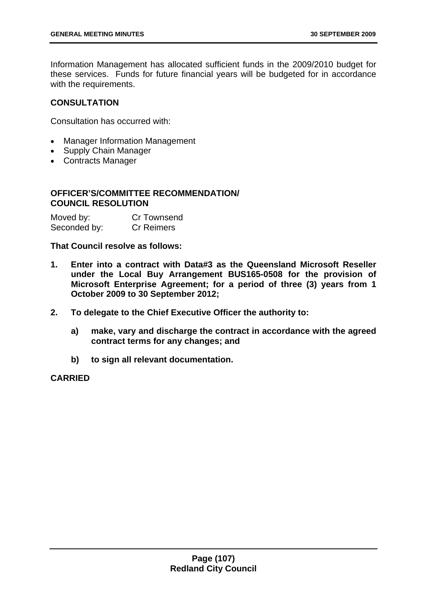Information Management has allocated sufficient funds in the 2009/2010 budget for these services. Funds for future financial years will be budgeted for in accordance with the requirements.

## **CONSULTATION**

Consultation has occurred with:

- Manager Information Management
- Supply Chain Manager
- Contracts Manager

# **OFFICER'S/COMMITTEE RECOMMENDATION/ COUNCIL RESOLUTION**

| Moved by:    | Cr Townsend       |
|--------------|-------------------|
| Seconded by: | <b>Cr Reimers</b> |

## **That Council resolve as follows:**

- **1. Enter into a contract with Data#3 as the Queensland Microsoft Reseller under the Local Buy Arrangement BUS165-0508 for the provision of Microsoft Enterprise Agreement; for a period of three (3) years from 1 October 2009 to 30 September 2012;**
- **2. To delegate to the Chief Executive Officer the authority to:** 
	- **a) make, vary and discharge the contract in accordance with the agreed contract terms for any changes; and**
	- **b) to sign all relevant documentation.**

## **CARRIED**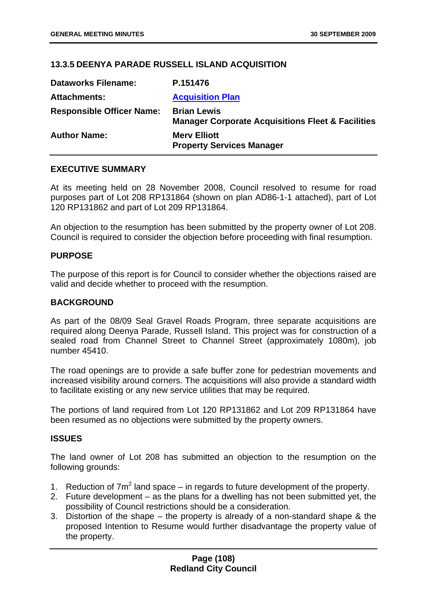# **13.3.5 DEENYA PARADE RUSSELL ISLAND ACQUISITION**

| <b>Dataworks Filename:</b>       | P.151476                                                                           |
|----------------------------------|------------------------------------------------------------------------------------|
| <b>Attachments:</b>              | <b>Acquisition Plan</b>                                                            |
| <b>Responsible Officer Name:</b> | <b>Brian Lewis</b><br><b>Manager Corporate Acquisitions Fleet &amp; Facilities</b> |
| <b>Author Name:</b>              | <b>Mery Elliott</b><br><b>Property Services Manager</b>                            |

### **EXECUTIVE SUMMARY**

At its meeting held on 28 November 2008, Council resolved to resume for road purposes part of Lot 208 RP131864 (shown on plan AD86-1-1 attached), part of Lot 120 RP131862 and part of Lot 209 RP131864.

An objection to the resumption has been submitted by the property owner of Lot 208. Council is required to consider the objection before proceeding with final resumption.

### **PURPOSE**

The purpose of this report is for Council to consider whether the objections raised are valid and decide whether to proceed with the resumption.

### **BACKGROUND**

As part of the 08/09 Seal Gravel Roads Program, three separate acquisitions are required along Deenya Parade, Russell Island. This project was for construction of a sealed road from Channel Street to Channel Street (approximately 1080m), job number 45410.

The road openings are to provide a safe buffer zone for pedestrian movements and increased visibility around corners. The acquisitions will also provide a standard width to facilitate existing or any new service utilities that may be required.

The portions of land required from Lot 120 RP131862 and Lot 209 RP131864 have been resumed as no objections were submitted by the property owners.

#### **ISSUES**

The land owner of Lot 208 has submitted an objection to the resumption on the following grounds:

- 1. Reduction of  $7m^2$  land space in regards to future development of the property.
- 2. Future development as the plans for a dwelling has not been submitted yet, the possibility of Council restrictions should be a consideration.
- 3. Distortion of the shape the property is already of a non-standard shape & the proposed Intention to Resume would further disadvantage the property value of the property.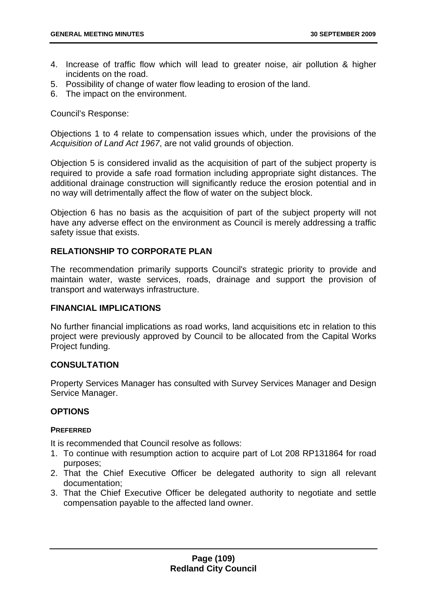- 4. Increase of traffic flow which will lead to greater noise, air pollution & higher incidents on the road.
- 5. Possibility of change of water flow leading to erosion of the land.
- 6. The impact on the environment.

Council's Response:

Objections 1 to 4 relate to compensation issues which, under the provisions of the *Acquisition of Land Act 1967*, are not valid grounds of objection.

Objection 5 is considered invalid as the acquisition of part of the subject property is required to provide a safe road formation including appropriate sight distances. The additional drainage construction will significantly reduce the erosion potential and in no way will detrimentally affect the flow of water on the subject block.

Objection 6 has no basis as the acquisition of part of the subject property will not have any adverse effect on the environment as Council is merely addressing a traffic safety issue that exists.

# **RELATIONSHIP TO CORPORATE PLAN**

The recommendation primarily supports Council's strategic priority to provide and maintain water, waste services, roads, drainage and support the provision of transport and waterways infrastructure.

#### **FINANCIAL IMPLICATIONS**

No further financial implications as road works, land acquisitions etc in relation to this project were previously approved by Council to be allocated from the Capital Works Project funding.

# **CONSULTATION**

Property Services Manager has consulted with Survey Services Manager and Design Service Manager.

# **OPTIONS**

#### **PREFERRED**

It is recommended that Council resolve as follows:

- 1. To continue with resumption action to acquire part of Lot 208 RP131864 for road purposes;
- 2. That the Chief Executive Officer be delegated authority to sign all relevant documentation;
- 3. That the Chief Executive Officer be delegated authority to negotiate and settle compensation payable to the affected land owner.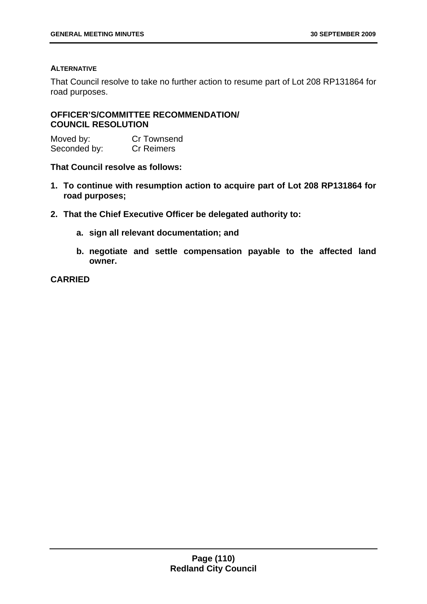#### **ALTERNATIVE**

That Council resolve to take no further action to resume part of Lot 208 RP131864 for road purposes.

### **OFFICER'S/COMMITTEE RECOMMENDATION/ COUNCIL RESOLUTION**

Moved by: Cr Townsend Seconded by: Cr Reimers

#### **That Council resolve as follows:**

- **1. To continue with resumption action to acquire part of Lot 208 RP131864 for road purposes;**
- **2. That the Chief Executive Officer be delegated authority to:** 
	- **a. sign all relevant documentation; and**
	- **b. negotiate and settle compensation payable to the affected land owner.**

**CARRIED**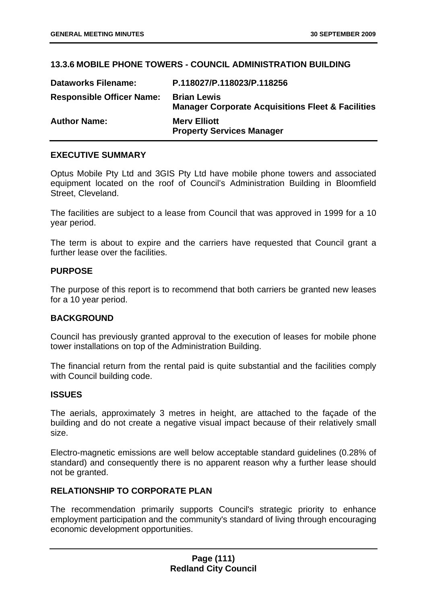# **13.3.6 MOBILE PHONE TOWERS - COUNCIL ADMINISTRATION BUILDING**

| <b>Dataworks Filename:</b>       | P.118027/P.118023/P.118256                                                         |
|----------------------------------|------------------------------------------------------------------------------------|
| <b>Responsible Officer Name:</b> | <b>Brian Lewis</b><br><b>Manager Corporate Acquisitions Fleet &amp; Facilities</b> |
| <b>Author Name:</b>              | <b>Mery Elliott</b><br><b>Property Services Manager</b>                            |

### **EXECUTIVE SUMMARY**

Optus Mobile Pty Ltd and 3GIS Pty Ltd have mobile phone towers and associated equipment located on the roof of Council's Administration Building in Bloomfield Street, Cleveland.

The facilities are subject to a lease from Council that was approved in 1999 for a 10 year period.

The term is about to expire and the carriers have requested that Council grant a further lease over the facilities.

### **PURPOSE**

The purpose of this report is to recommend that both carriers be granted new leases for a 10 year period.

#### **BACKGROUND**

Council has previously granted approval to the execution of leases for mobile phone tower installations on top of the Administration Building.

The financial return from the rental paid is quite substantial and the facilities comply with Council building code.

#### **ISSUES**

The aerials, approximately 3 metres in height, are attached to the façade of the building and do not create a negative visual impact because of their relatively small size.

Electro-magnetic emissions are well below acceptable standard guidelines (0.28% of standard) and consequently there is no apparent reason why a further lease should not be granted.

# **RELATIONSHIP TO CORPORATE PLAN**

The recommendation primarily supports Council's strategic priority to enhance employment participation and the community's standard of living through encouraging economic development opportunities.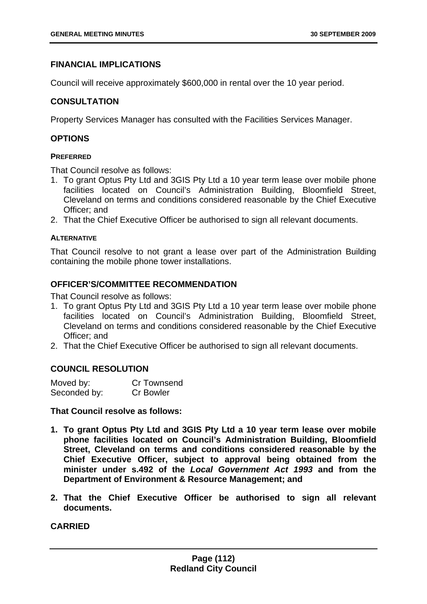### **FINANCIAL IMPLICATIONS**

Council will receive approximately \$600,000 in rental over the 10 year period.

### **CONSULTATION**

Property Services Manager has consulted with the Facilities Services Manager.

### **OPTIONS**

#### **PREFERRED**

That Council resolve as follows:

- 1. To grant Optus Pty Ltd and 3GIS Pty Ltd a 10 year term lease over mobile phone facilities located on Council's Administration Building, Bloomfield Street, Cleveland on terms and conditions considered reasonable by the Chief Executive Officer; and
- 2. That the Chief Executive Officer be authorised to sign all relevant documents.

#### **ALTERNATIVE**

That Council resolve to not grant a lease over part of the Administration Building containing the mobile phone tower installations.

#### **OFFICER'S/COMMITTEE RECOMMENDATION**

That Council resolve as follows:

- 1. To grant Optus Pty Ltd and 3GIS Pty Ltd a 10 year term lease over mobile phone facilities located on Council's Administration Building, Bloomfield Street, Cleveland on terms and conditions considered reasonable by the Chief Executive Officer; and
- 2. That the Chief Executive Officer be authorised to sign all relevant documents.

#### **COUNCIL RESOLUTION**

| Moved by:    | Cr Townsend      |
|--------------|------------------|
| Seconded by: | <b>Cr Bowler</b> |

#### **That Council resolve as follows:**

- **1. To grant Optus Pty Ltd and 3GIS Pty Ltd a 10 year term lease over mobile phone facilities located on Council's Administration Building, Bloomfield Street, Cleveland on terms and conditions considered reasonable by the Chief Executive Officer, subject to approval being obtained from the minister under s.492 of the** *Local Government Act 1993* **and from the Department of Environment & Resource Management; and**
- **2. That the Chief Executive Officer be authorised to sign all relevant documents.**

**CARRIED**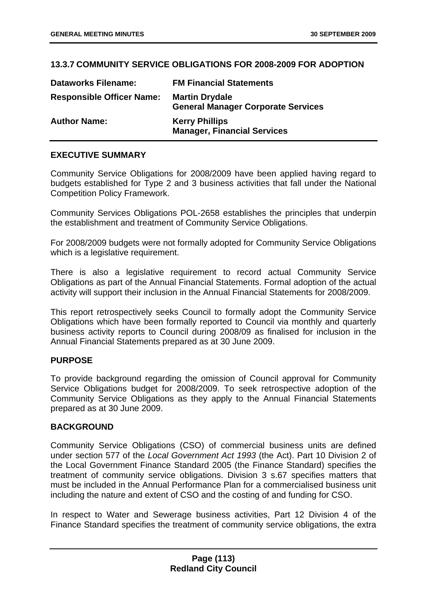# **13.3.7 COMMUNITY SERVICE OBLIGATIONS FOR 2008-2009 FOR ADOPTION**

| <b>Dataworks Filename:</b>       | <b>FM Financial Statements</b>                                     |
|----------------------------------|--------------------------------------------------------------------|
| <b>Responsible Officer Name:</b> | <b>Martin Drydale</b><br><b>General Manager Corporate Services</b> |
| <b>Author Name:</b>              | <b>Kerry Phillips</b><br><b>Manager, Financial Services</b>        |

### **EXECUTIVE SUMMARY**

Community Service Obligations for 2008/2009 have been applied having regard to budgets established for Type 2 and 3 business activities that fall under the National Competition Policy Framework.

Community Services Obligations POL-2658 establishes the principles that underpin the establishment and treatment of Community Service Obligations.

For 2008/2009 budgets were not formally adopted for Community Service Obligations which is a legislative requirement.

There is also a legislative requirement to record actual Community Service Obligations as part of the Annual Financial Statements. Formal adoption of the actual activity will support their inclusion in the Annual Financial Statements for 2008/2009.

This report retrospectively seeks Council to formally adopt the Community Service Obligations which have been formally reported to Council via monthly and quarterly business activity reports to Council during 2008/09 as finalised for inclusion in the Annual Financial Statements prepared as at 30 June 2009.

#### **PURPOSE**

To provide background regarding the omission of Council approval for Community Service Obligations budget for 2008/2009. To seek retrospective adoption of the Community Service Obligations as they apply to the Annual Financial Statements prepared as at 30 June 2009.

#### **BACKGROUND**

Community Service Obligations (CSO) of commercial business units are defined under section 577 of the *Local Government Act 1993* (the Act). Part 10 Division 2 of the Local Government Finance Standard 2005 (the Finance Standard) specifies the treatment of community service obligations. Division 3 s.67 specifies matters that must be included in the Annual Performance Plan for a commercialised business unit including the nature and extent of CSO and the costing of and funding for CSO.

In respect to Water and Sewerage business activities, Part 12 Division 4 of the Finance Standard specifies the treatment of community service obligations, the extra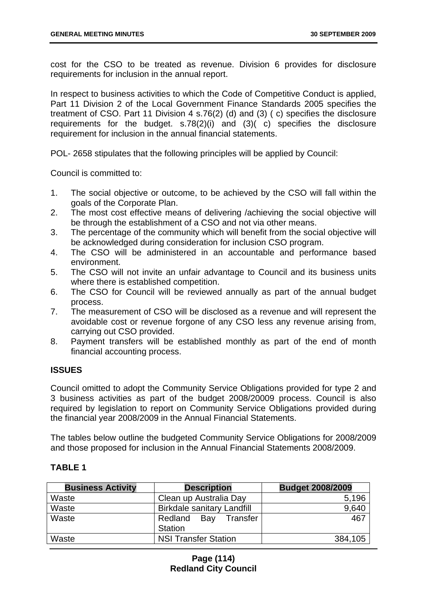cost for the CSO to be treated as revenue. Division 6 provides for disclosure requirements for inclusion in the annual report.

In respect to business activities to which the Code of Competitive Conduct is applied, Part 11 Division 2 of the Local Government Finance Standards 2005 specifies the treatment of CSO. Part 11 Division 4 s.76(2) (d) and (3) ( c) specifies the disclosure requirements for the budget. s.78(2)(i) and (3)( c) specifies the disclosure requirement for inclusion in the annual financial statements.

POL- 2658 stipulates that the following principles will be applied by Council:

Council is committed to:

- 1. The social objective or outcome, to be achieved by the CSO will fall within the goals of the Corporate Plan.
- 2. The most cost effective means of delivering /achieving the social objective will be through the establishment of a CSO and not via other means.
- 3. The percentage of the community which will benefit from the social objective will be acknowledged during consideration for inclusion CSO program.
- 4. The CSO will be administered in an accountable and performance based environment.
- 5. The CSO will not invite an unfair advantage to Council and its business units where there is established competition.
- 6. The CSO for Council will be reviewed annually as part of the annual budget process.
- 7. The measurement of CSO will be disclosed as a revenue and will represent the avoidable cost or revenue forgone of any CSO less any revenue arising from, carrying out CSO provided.
- 8. Payment transfers will be established monthly as part of the end of month financial accounting process.

# **ISSUES**

Council omitted to adopt the Community Service Obligations provided for type 2 and 3 business activities as part of the budget 2008/20009 process. Council is also required by legislation to report on Community Service Obligations provided during the financial year 2008/2009 in the Annual Financial Statements.

The tables below outline the budgeted Community Service Obligations for 2008/2009 and those proposed for inclusion in the Annual Financial Statements 2008/2009.

# **TABLE 1**

| <b>Business Activity</b> | <b>Description</b>                | <b>Budget 2008/2009</b> |
|--------------------------|-----------------------------------|-------------------------|
| Waste                    | Clean up Australia Day            | 5,196                   |
| Waste                    | <b>Birkdale sanitary Landfill</b> | 9,640                   |
| Waste                    | Transfer<br>Redland Bay           | 467                     |
|                          | <b>Station</b>                    |                         |
| Waste                    | <b>NSI Transfer Station</b>       | 384,105                 |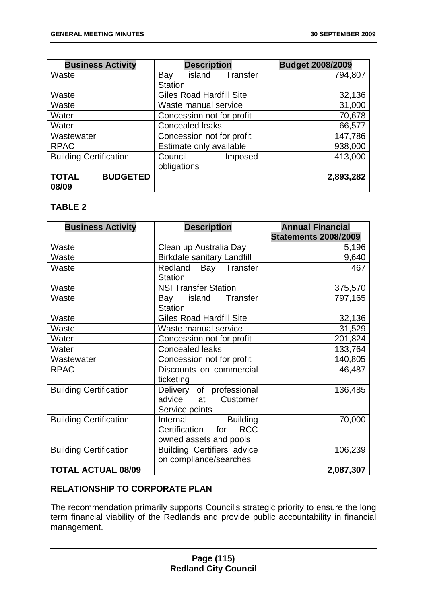| <b>Business Activity</b>        | <b>Description</b>              | <b>Budget 2008/2009</b> |
|---------------------------------|---------------------------------|-------------------------|
| Waste                           | Transfer<br>island<br>Bay       | 794,807                 |
|                                 | <b>Station</b>                  |                         |
| Waste                           | <b>Giles Road Hardfill Site</b> | 32,136                  |
| Waste                           | Waste manual service            | 31,000                  |
| Water                           | Concession not for profit       | 70,678                  |
| Water                           | <b>Concealed leaks</b>          | 66,577                  |
| Wastewater                      | Concession not for profit       | 147,786                 |
| <b>RPAC</b>                     | Estimate only available         | 938,000                 |
| <b>Building Certification</b>   | Council<br>Imposed              | 413,000                 |
|                                 | obligations                     |                         |
| <b>TOTAL</b><br><b>BUDGETED</b> |                                 | 2,893,282               |
| 08/09                           |                                 |                         |

# **TABLE 2**

| <b>Business Activity</b>      | <b>Description</b>                 | <b>Annual Financial</b>     |
|-------------------------------|------------------------------------|-----------------------------|
|                               |                                    | <b>Statements 2008/2009</b> |
| Waste                         | Clean up Australia Day             | 5,196                       |
| Waste                         | <b>Birkdale sanitary Landfill</b>  | 9,640                       |
| Waste                         | Bay Transfer<br>Redland            | 467                         |
|                               | <b>Station</b>                     |                             |
| Waste                         | <b>NSI Transfer Station</b>        | 375,570                     |
| Waste                         | Transfer<br>island<br>Bay          | 797,165                     |
|                               | <b>Station</b>                     |                             |
| Waste                         | <b>Giles Road Hardfill Site</b>    | 32,136                      |
| Waste                         | Waste manual service               | 31,529                      |
| Water                         | Concession not for profit          | 201,824                     |
| Water                         | <b>Concealed leaks</b>             | 133,764                     |
| Wastewater                    | Concession not for profit          | 140,805                     |
| <b>RPAC</b>                   | Discounts on commercial            | 46,487                      |
|                               | ticketing                          |                             |
| <b>Building Certification</b> | Delivery of professional           | 136,485                     |
|                               | advice<br>Customer<br>at           |                             |
|                               | Service points                     |                             |
| <b>Building Certification</b> | <b>Building</b><br>Internal        | 70,000                      |
|                               | <b>RCC</b><br>Certification<br>for |                             |
|                               | owned assets and pools             |                             |
| <b>Building Certification</b> | <b>Building Certifiers advice</b>  | 106,239                     |
|                               | on compliance/searches             |                             |
| <b>TOTAL ACTUAL 08/09</b>     |                                    | 2,087,307                   |

# **RELATIONSHIP TO CORPORATE PLAN**

The recommendation primarily supports Council's strategic priority to ensure the long term financial viability of the Redlands and provide public accountability in financial management.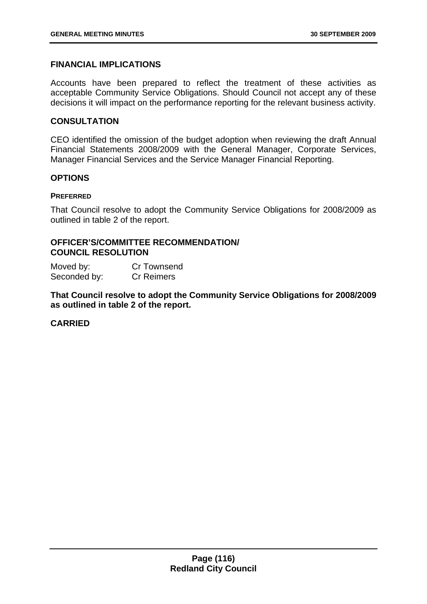### **FINANCIAL IMPLICATIONS**

Accounts have been prepared to reflect the treatment of these activities as acceptable Community Service Obligations. Should Council not accept any of these decisions it will impact on the performance reporting for the relevant business activity.

### **CONSULTATION**

CEO identified the omission of the budget adoption when reviewing the draft Annual Financial Statements 2008/2009 with the General Manager, Corporate Services, Manager Financial Services and the Service Manager Financial Reporting.

### **OPTIONS**

#### **PREFERRED**

That Council resolve to adopt the Community Service Obligations for 2008/2009 as outlined in table 2 of the report.

# **OFFICER'S/COMMITTEE RECOMMENDATION/ COUNCIL RESOLUTION**

Moved by: Cr Townsend Seconded by: Cr Reimers

**That Council resolve to adopt the Community Service Obligations for 2008/2009 as outlined in table 2 of the report.** 

# **CARRIED**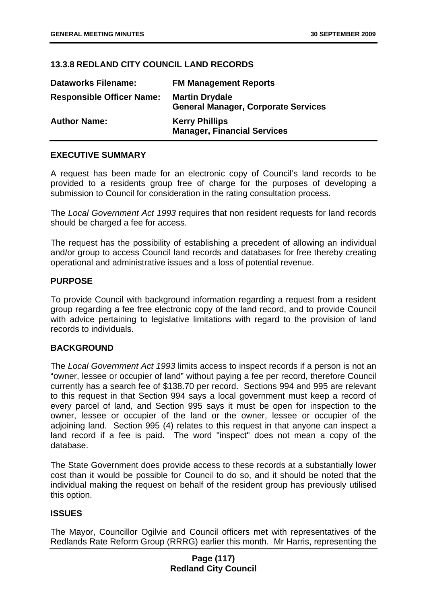# **13.3.8 REDLAND CITY COUNCIL LAND RECORDS**

| <b>Dataworks Filename:</b>       | <b>FM Management Reports</b>                                        |
|----------------------------------|---------------------------------------------------------------------|
| <b>Responsible Officer Name:</b> | <b>Martin Drydale</b><br><b>General Manager, Corporate Services</b> |
| <b>Author Name:</b>              | <b>Kerry Phillips</b><br><b>Manager, Financial Services</b>         |

### **EXECUTIVE SUMMARY**

A request has been made for an electronic copy of Council's land records to be provided to a residents group free of charge for the purposes of developing a submission to Council for consideration in the rating consultation process.

The *Local Government Act 1993* requires that non resident requests for land records should be charged a fee for access.

The request has the possibility of establishing a precedent of allowing an individual and/or group to access Council land records and databases for free thereby creating operational and administrative issues and a loss of potential revenue.

#### **PURPOSE**

To provide Council with background information regarding a request from a resident group regarding a fee free electronic copy of the land record, and to provide Council with advice pertaining to legislative limitations with regard to the provision of land records to individuals.

# **BACKGROUND**

The *Local Government Act 1993* limits access to inspect records if a person is not an "owner, lessee or occupier of land" without paying a fee per record, therefore Council currently has a search fee of \$138.70 per record. Sections 994 and 995 are relevant to this request in that Section 994 says a local government must keep a record of every parcel of land, and Section 995 says it must be open for inspection to the owner, lessee or occupier of the land or the owner, lessee or occupier of the adjoining land. Section 995 (4) relates to this request in that anyone can inspect a land record if a fee is paid. The word "inspect" does not mean a copy of the database.

The State Government does provide access to these records at a substantially lower cost than it would be possible for Council to do so, and it should be noted that the individual making the request on behalf of the resident group has previously utilised this option.

# **ISSUES**

The Mayor, Councillor Ogilvie and Council officers met with representatives of the Redlands Rate Reform Group (RRRG) earlier this month. Mr Harris, representing the

### **Page (117) Redland City Council**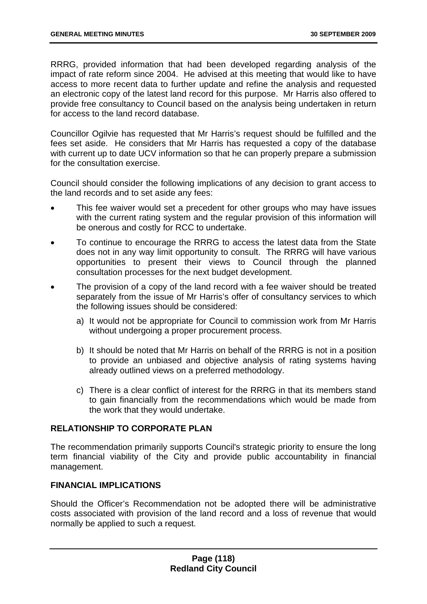RRRG, provided information that had been developed regarding analysis of the impact of rate reform since 2004. He advised at this meeting that would like to have access to more recent data to further update and refine the analysis and requested an electronic copy of the latest land record for this purpose. Mr Harris also offered to provide free consultancy to Council based on the analysis being undertaken in return for access to the land record database.

Councillor Ogilvie has requested that Mr Harris's request should be fulfilled and the fees set aside. He considers that Mr Harris has requested a copy of the database with current up to date UCV information so that he can properly prepare a submission for the consultation exercise.

Council should consider the following implications of any decision to grant access to the land records and to set aside any fees:

- This fee waiver would set a precedent for other groups who may have issues with the current rating system and the regular provision of this information will be onerous and costly for RCC to undertake.
- To continue to encourage the RRRG to access the latest data from the State does not in any way limit opportunity to consult. The RRRG will have various opportunities to present their views to Council through the planned consultation processes for the next budget development.
- The provision of a copy of the land record with a fee waiver should be treated separately from the issue of Mr Harris's offer of consultancy services to which the following issues should be considered:
	- a) It would not be appropriate for Council to commission work from Mr Harris without undergoing a proper procurement process.
	- b) It should be noted that Mr Harris on behalf of the RRRG is not in a position to provide an unbiased and objective analysis of rating systems having already outlined views on a preferred methodology.
	- c) There is a clear conflict of interest for the RRRG in that its members stand to gain financially from the recommendations which would be made from the work that they would undertake.

# **RELATIONSHIP TO CORPORATE PLAN**

The recommendation primarily supports Council's strategic priority to ensure the long term financial viability of the City and provide public accountability in financial management.

# **FINANCIAL IMPLICATIONS**

Should the Officer's Recommendation not be adopted there will be administrative costs associated with provision of the land record and a loss of revenue that would normally be applied to such a request.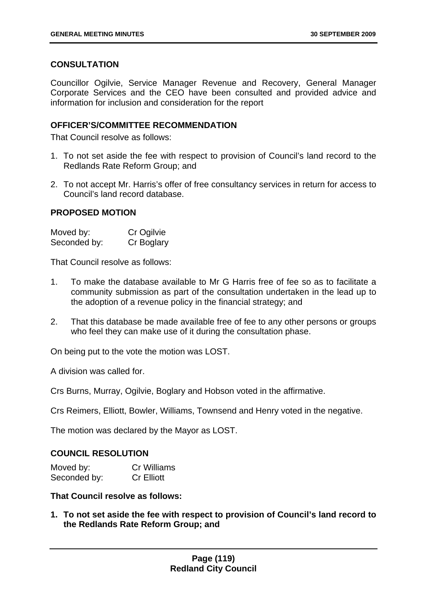# **CONSULTATION**

Councillor Ogilvie, Service Manager Revenue and Recovery, General Manager Corporate Services and the CEO have been consulted and provided advice and information for inclusion and consideration for the report

### **OFFICER'S/COMMITTEE RECOMMENDATION**

That Council resolve as follows:

- 1. To not set aside the fee with respect to provision of Council's land record to the Redlands Rate Reform Group; and
- 2. To not accept Mr. Harris's offer of free consultancy services in return for access to Council's land record database.

### **PROPOSED MOTION**

| Moved by:    | Cr Ogilvie |
|--------------|------------|
| Seconded by: | Cr Boglary |

That Council resolve as follows:

- 1. To make the database available to Mr G Harris free of fee so as to facilitate a community submission as part of the consultation undertaken in the lead up to the adoption of a revenue policy in the financial strategy; and
- 2. That this database be made available free of fee to any other persons or groups who feel they can make use of it during the consultation phase.

On being put to the vote the motion was LOST.

A division was called for.

Crs Burns, Murray, Ogilvie, Boglary and Hobson voted in the affirmative.

Crs Reimers, Elliott, Bowler, Williams, Townsend and Henry voted in the negative.

The motion was declared by the Mayor as LOST.

# **COUNCIL RESOLUTION**

| Moved by:    | <b>Cr Williams</b> |
|--------------|--------------------|
| Seconded by: | <b>Cr Elliott</b>  |

### **That Council resolve as follows:**

**1. To not set aside the fee with respect to provision of Council's land record to the Redlands Rate Reform Group; and**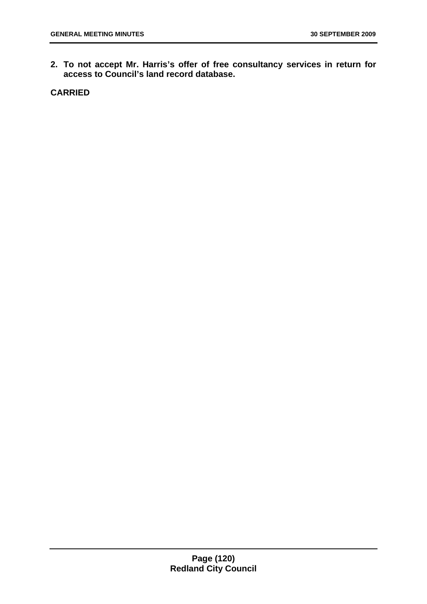**2. To not accept Mr. Harris's offer of free consultancy services in return for access to Council's land record database.** 

**CARRIED**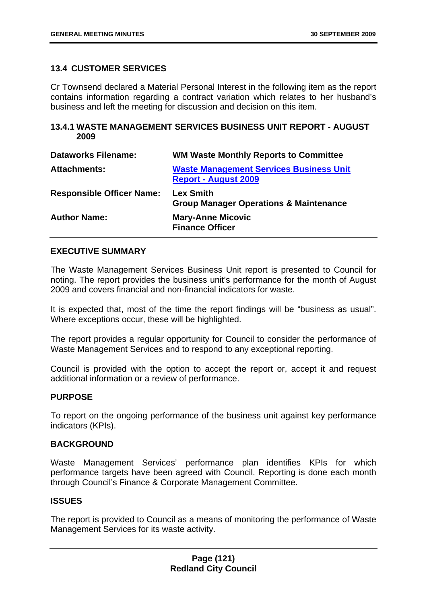### **13.4 CUSTOMER SERVICES**

Cr Townsend declared a Material Personal Interest in the following item as the report contains information regarding a contract variation which relates to her husband's business and left the meeting for discussion and decision on this item.

### **13.4.1 WASTE MANAGEMENT SERVICES BUSINESS UNIT REPORT - AUGUST 2009**

| <b>Dataworks Filename:</b>       | <b>WM Waste Monthly Reports to Committee</b>                                  |
|----------------------------------|-------------------------------------------------------------------------------|
| <b>Attachments:</b>              | <b>Waste Management Services Business Unit</b><br><b>Report - August 2009</b> |
| <b>Responsible Officer Name:</b> | <b>Lex Smith</b><br><b>Group Manager Operations &amp; Maintenance</b>         |
| <b>Author Name:</b>              | <b>Mary-Anne Micovic</b><br><b>Finance Officer</b>                            |

### **EXECUTIVE SUMMARY**

The Waste Management Services Business Unit report is presented to Council for noting. The report provides the business unit's performance for the month of August 2009 and covers financial and non-financial indicators for waste.

It is expected that, most of the time the report findings will be "business as usual". Where exceptions occur, these will be highlighted.

The report provides a regular opportunity for Council to consider the performance of Waste Management Services and to respond to any exceptional reporting.

Council is provided with the option to accept the report or, accept it and request additional information or a review of performance.

#### **PURPOSE**

To report on the ongoing performance of the business unit against key performance indicators (KPIs).

# **BACKGROUND**

Waste Management Services' performance plan identifies KPIs for which performance targets have been agreed with Council. Reporting is done each month through Council's Finance & Corporate Management Committee.

### **ISSUES**

The report is provided to Council as a means of monitoring the performance of Waste Management Services for its waste activity.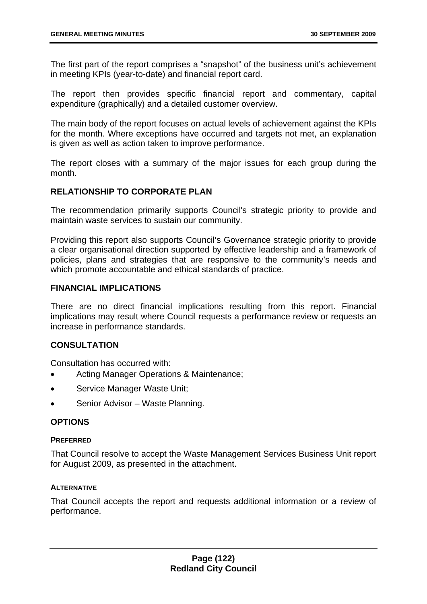The first part of the report comprises a "snapshot" of the business unit's achievement in meeting KPIs (year-to-date) and financial report card.

The report then provides specific financial report and commentary, capital expenditure (graphically) and a detailed customer overview.

The main body of the report focuses on actual levels of achievement against the KPIs for the month. Where exceptions have occurred and targets not met, an explanation is given as well as action taken to improve performance.

The report closes with a summary of the major issues for each group during the month.

# **RELATIONSHIP TO CORPORATE PLAN**

The recommendation primarily supports Council's strategic priority to provide and maintain waste services to sustain our community.

Providing this report also supports Council's Governance strategic priority to provide a clear organisational direction supported by effective leadership and a framework of policies, plans and strategies that are responsive to the community's needs and which promote accountable and ethical standards of practice.

### **FINANCIAL IMPLICATIONS**

There are no direct financial implications resulting from this report. Financial implications may result where Council requests a performance review or requests an increase in performance standards.

# **CONSULTATION**

Consultation has occurred with:

- Acting Manager Operations & Maintenance;
- Service Manager Waste Unit;
- Senior Advisor Waste Planning.

#### **OPTIONS**

#### **PREFERRED**

That Council resolve to accept the Waste Management Services Business Unit report for August 2009, as presented in the attachment.

#### **ALTERNATIVE**

That Council accepts the report and requests additional information or a review of performance.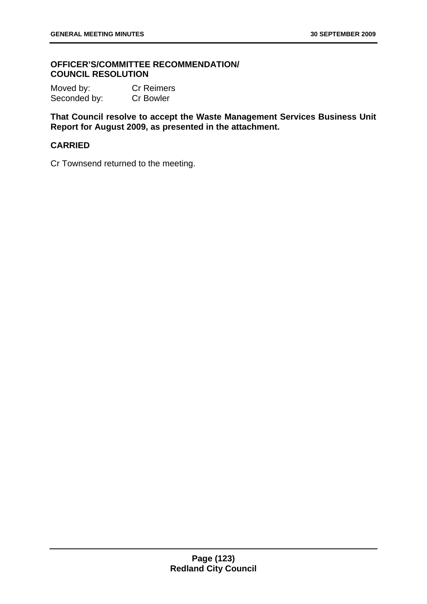### **OFFICER'S/COMMITTEE RECOMMENDATION/ COUNCIL RESOLUTION**

Moved by: Cr Reimers Seconded by: Cr Bowler

**That Council resolve to accept the Waste Management Services Business Unit Report for August 2009, as presented in the attachment.** 

### **CARRIED**

Cr Townsend returned to the meeting.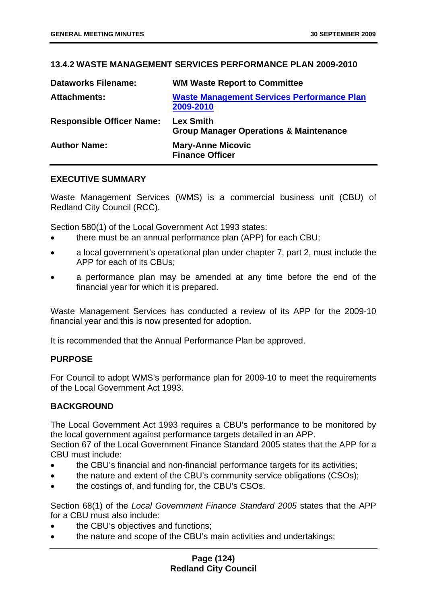# **13.4.2 WASTE MANAGEMENT SERVICES PERFORMANCE PLAN 2009-2010**

| <b>Dataworks Filename:</b>       | <b>WM Waste Report to Committee</b>                                   |
|----------------------------------|-----------------------------------------------------------------------|
| <b>Attachments:</b>              | <b>Waste Management Services Performance Plan</b><br>2009-2010        |
| <b>Responsible Officer Name:</b> | <b>Lex Smith</b><br><b>Group Manager Operations &amp; Maintenance</b> |
| <b>Author Name:</b>              | <b>Mary-Anne Micovic</b><br><b>Finance Officer</b>                    |

### **EXECUTIVE SUMMARY**

Waste Management Services (WMS) is a commercial business unit (CBU) of Redland City Council (RCC).

Section 580(1) of the Local Government Act 1993 states:

- there must be an annual performance plan (APP) for each CBU;
- a local government's operational plan under chapter 7, part 2, must include the APP for each of its CBUs;
- a performance plan may be amended at any time before the end of the financial year for which it is prepared.

Waste Management Services has conducted a review of its APP for the 2009-10 financial year and this is now presented for adoption.

It is recommended that the Annual Performance Plan be approved.

#### **PURPOSE**

For Council to adopt WMS's performance plan for 2009-10 to meet the requirements of the Local Government Act 1993.

#### **BACKGROUND**

The Local Government Act 1993 requires a CBU's performance to be monitored by the local government against performance targets detailed in an APP.

Section 67 of the Local Government Finance Standard 2005 states that the APP for a CBU must include:

- the CBU's financial and non-financial performance targets for its activities;
- the nature and extent of the CBU's community service obligations (CSOs);
- the costings of, and funding for, the CBU's CSOs.

Section 68(1) of the *Local Government Finance Standard 2005* states that the APP for a CBU must also include:

- the CBU's objectives and functions;
- the nature and scope of the CBU's main activities and undertakings;

### **Page (124) Redland City Council**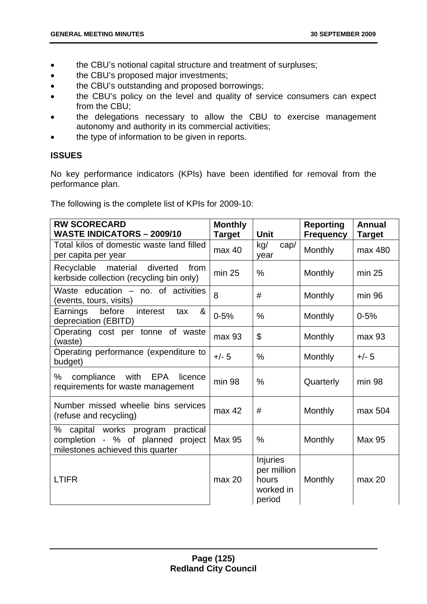- the CBU's notional capital structure and treatment of surpluses;
- the CBU's proposed major investments;
- the CBU's outstanding and proposed borrowings;
- the CBU's policy on the level and quality of service consumers can expect from the CBU;
- the delegations necessary to allow the CBU to exercise management autonomy and authority in its commercial activities;
- the type of information to be given in reports.

# **ISSUES**

No key performance indicators (KPIs) have been identified for removal from the performance plan.

The following is the complete list of KPIs for 2009-10:

| <b>RW SCORECARD</b><br><b>WASTE INDICATORS - 2009/10</b>                                                         | <b>Monthly</b><br><b>Target</b> | <b>Unit</b>                                             | <b>Reporting</b><br><b>Frequency</b> | <b>Annual</b><br><b>Target</b> |
|------------------------------------------------------------------------------------------------------------------|---------------------------------|---------------------------------------------------------|--------------------------------------|--------------------------------|
| Total kilos of domestic waste land filled<br>per capita per year                                                 | max 40                          | kg/<br>cap/<br>year                                     | Monthly                              | max 480                        |
| Recyclable material<br>diverted<br>from<br>kerbside collection (recycling bin only)                              | min 25                          | $\frac{0}{0}$                                           | Monthly                              | min 25                         |
| Waste education - no. of activities<br>(events, tours, visits)                                                   | 8                               | #                                                       | Monthly                              | min 96                         |
| before<br>Earnings<br>interest<br>&<br>tax<br>depreciation (EBITD)                                               | $0 - 5%$                        | %                                                       | Monthly                              | $0 - 5%$                       |
| Operating cost per tonne of waste<br>(waste)                                                                     | max 93                          | \$                                                      | Monthly                              | max 93                         |
| Operating performance (expenditure to<br>budget)                                                                 | $+/- 5$                         | $\frac{0}{0}$                                           | Monthly                              | $+/- 5$                        |
| ℅<br>compliance<br>with<br>EPA<br>licence<br>requirements for waste management                                   | $min$ 98                        | $\frac{0}{0}$                                           | Quarterly                            | $min$ 98                       |
| Number missed wheelie bins services<br>(refuse and recycling)                                                    | max 42                          | #                                                       | Monthly                              | max 504                        |
| ℅<br>capital works program<br>practical<br>completion - % of planned project<br>milestones achieved this quarter | <b>Max 95</b>                   | $\%$                                                    | Monthly                              | Max 95                         |
| <b>LTIFR</b>                                                                                                     | max 20                          | Injuries<br>per million<br>hours<br>worked in<br>period | Monthly                              | max 20                         |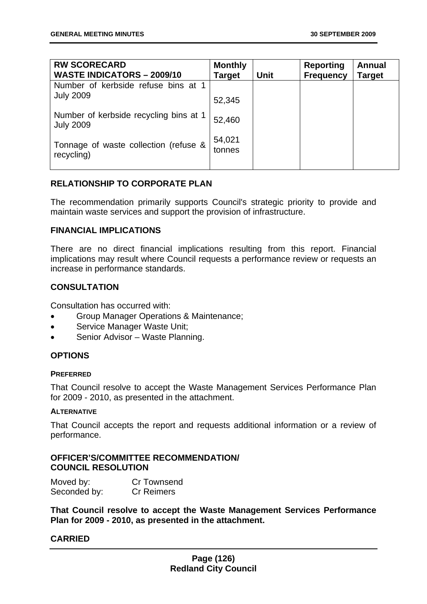| <b>RW SCORECARD</b><br><b>WASTE INDICATORS - 2009/10</b>   | <b>Monthly</b><br>Target | <b>Unit</b> | <b>Reporting</b><br><b>Frequency</b> | Annual<br><b>Target</b> |
|------------------------------------------------------------|--------------------------|-------------|--------------------------------------|-------------------------|
| Number of kerbside refuse bins at 1<br><b>July 2009</b>    | 52,345                   |             |                                      |                         |
| Number of kerbside recycling bins at 1<br><b>July 2009</b> | 52,460                   |             |                                      |                         |
| Tonnage of waste collection (refuse &<br>recycling)        | 54,021<br>tonnes         |             |                                      |                         |

### **RELATIONSHIP TO CORPORATE PLAN**

The recommendation primarily supports Council's strategic priority to provide and maintain waste services and support the provision of infrastructure.

#### **FINANCIAL IMPLICATIONS**

There are no direct financial implications resulting from this report. Financial implications may result where Council requests a performance review or requests an increase in performance standards.

# **CONSULTATION**

Consultation has occurred with:

- Group Manager Operations & Maintenance;
- Service Manager Waste Unit;
- Senior Advisor Waste Planning.

# **OPTIONS**

#### **PREFERRED**

That Council resolve to accept the Waste Management Services Performance Plan for 2009 - 2010, as presented in the attachment.

#### **ALTERNATIVE**

That Council accepts the report and requests additional information or a review of performance.

### **OFFICER'S/COMMITTEE RECOMMENDATION/ COUNCIL RESOLUTION**

| Moved by:    | Cr Townsend       |
|--------------|-------------------|
| Seconded by: | <b>Cr Reimers</b> |

**That Council resolve to accept the Waste Management Services Performance Plan for 2009 - 2010, as presented in the attachment.** 

# **CARRIED**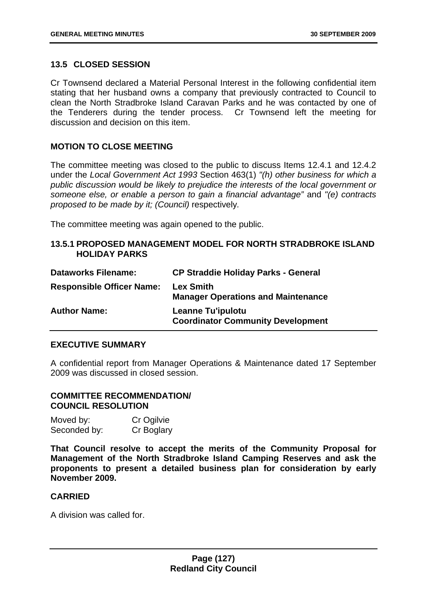### **13.5 CLOSED SESSION**

Cr Townsend declared a Material Personal Interest in the following confidential item stating that her husband owns a company that previously contracted to Council to clean the North Stradbroke Island Caravan Parks and he was contacted by one of the Tenderers during the tender process. Cr Townsend left the meeting for discussion and decision on this item.

### **MOTION TO CLOSE MEETING**

The committee meeting was closed to the public to discuss Items 12.4.1 and 12.4.2 under the *Local Government Act 1993* Section 463(1) *"(h) other business for which a public discussion would be likely to prejudice the interests of the local government or someone else, or enable a person to gain a financial advantage"* and *"(e) contracts proposed to be made by it; (Council)* respectively*.* 

The committee meeting was again opened to the public.

#### **13.5.1 PROPOSED MANAGEMENT MODEL FOR NORTH STRADBROKE ISLAND HOLIDAY PARKS**

| <b>Dataworks Filename:</b>       | <b>CP Straddie Holiday Parks - General</b>                           |
|----------------------------------|----------------------------------------------------------------------|
| <b>Responsible Officer Name:</b> | <b>Lex Smith</b><br><b>Manager Operations and Maintenance</b>        |
| <b>Author Name:</b>              | <b>Leanne Tu'ipulotu</b><br><b>Coordinator Community Development</b> |

### **EXECUTIVE SUMMARY**

A confidential report from Manager Operations & Maintenance dated 17 September 2009 was discussed in closed session.

### **COMMITTEE RECOMMENDATION/ COUNCIL RESOLUTION**

| Moved by:    | Cr Ogilvie |
|--------------|------------|
| Seconded by: | Cr Boglary |

**That Council resolve to accept the merits of the Community Proposal for Management of the North Stradbroke Island Camping Reserves and ask the proponents to present a detailed business plan for consideration by early November 2009.** 

### **CARRIED**

A division was called for.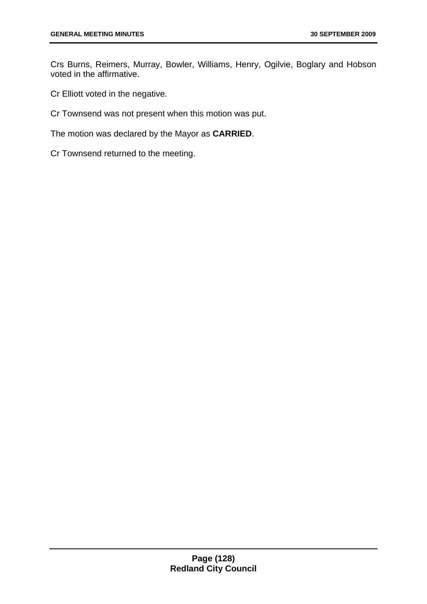Crs Burns, Reimers, Murray, Bowler, Williams, Henry, Ogilvie, Boglary and Hobson voted in the affirmative.

Cr Elliott voted in the negative.

Cr Townsend was not present when this motion was put.

The motion was declared by the Mayor as **CARRIED**.

Cr Townsend returned to the meeting.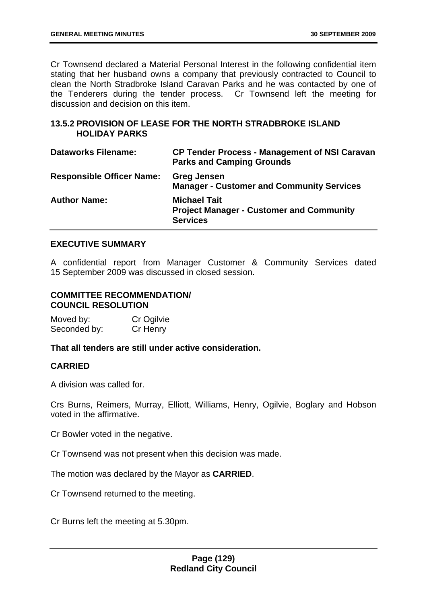Cr Townsend declared a Material Personal Interest in the following confidential item stating that her husband owns a company that previously contracted to Council to clean the North Stradbroke Island Caravan Parks and he was contacted by one of the Tenderers during the tender process. Cr Townsend left the meeting for discussion and decision on this item.

### **13.5.2 PROVISION OF LEASE FOR THE NORTH STRADBROKE ISLAND HOLIDAY PARKS**

| <b>Dataworks Filename:</b>       | <b>CP Tender Process - Management of NSI Caravan</b><br><b>Parks and Camping Grounds</b>  |
|----------------------------------|-------------------------------------------------------------------------------------------|
| <b>Responsible Officer Name:</b> | <b>Greg Jensen</b><br><b>Manager - Customer and Community Services</b>                    |
| <b>Author Name:</b>              | <b>Michael Tait</b><br><b>Project Manager - Customer and Community</b><br><b>Services</b> |

### **EXECUTIVE SUMMARY**

A confidential report from Manager Customer & Community Services dated 15 September 2009 was discussed in closed session.

# **COMMITTEE RECOMMENDATION/ COUNCIL RESOLUTION**

Moved by: Cr Ogilvie Seconded by: Cr Henry

**That all tenders are still under active consideration.** 

# **CARRIED**

A division was called for.

Crs Burns, Reimers, Murray, Elliott, Williams, Henry, Ogilvie, Boglary and Hobson voted in the affirmative.

Cr Bowler voted in the negative.

Cr Townsend was not present when this decision was made.

The motion was declared by the Mayor as **CARRIED**.

Cr Townsend returned to the meeting.

Cr Burns left the meeting at 5.30pm.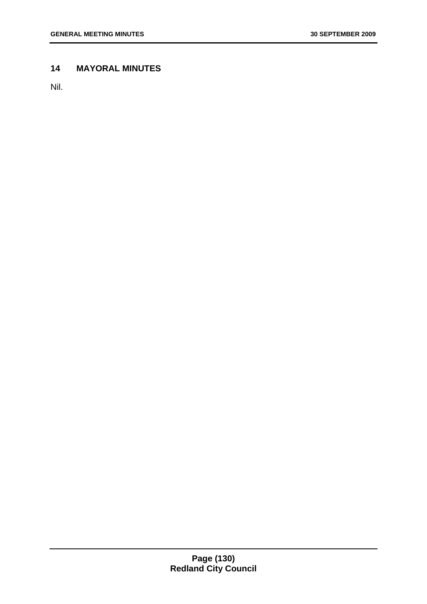# **14 MAYORAL MINUTES**

Nil.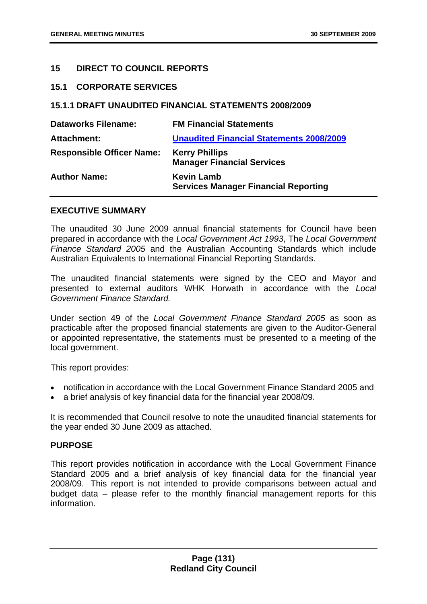### **15 DIRECT TO COUNCIL REPORTS**

#### **15.1 CORPORATE SERVICES**

### **15.1.1 DRAFT UNAUDITED FINANCIAL STATEMENTS 2008/2009**

| <b>Dataworks Filename:</b>       | <b>FM Financial Statements</b>                                   |
|----------------------------------|------------------------------------------------------------------|
| <b>Attachment:</b>               | <b>Unaudited Financial Statements 2008/2009</b>                  |
| <b>Responsible Officer Name:</b> | <b>Kerry Phillips</b><br><b>Manager Financial Services</b>       |
| <b>Author Name:</b>              | <b>Kevin Lamb</b><br><b>Services Manager Financial Reporting</b> |

#### **EXECUTIVE SUMMARY**

The unaudited 30 June 2009 annual financial statements for Council have been prepared in accordance with the *Local Government Act 1993*, The *Local Government Finance Standard 2005* and the Australian Accounting Standards which include Australian Equivalents to International Financial Reporting Standards.

The unaudited financial statements were signed by the CEO and Mayor and presented to external auditors WHK Horwath in accordance with the *Local Government Finance Standard.*

Under section 49 of the *Local Government Finance Standard 2005* as soon as practicable after the proposed financial statements are given to the Auditor-General or appointed representative, the statements must be presented to a meeting of the local government.

This report provides:

- notification in accordance with the Local Government Finance Standard 2005 and
- a brief analysis of key financial data for the financial year 2008/09.

It is recommended that Council resolve to note the unaudited financial statements for the year ended 30 June 2009 as attached.

#### **PURPOSE**

This report provides notification in accordance with the Local Government Finance Standard 2005 and a brief analysis of key financial data for the financial year 2008/09. This report is not intended to provide comparisons between actual and budget data – please refer to the monthly financial management reports for this information.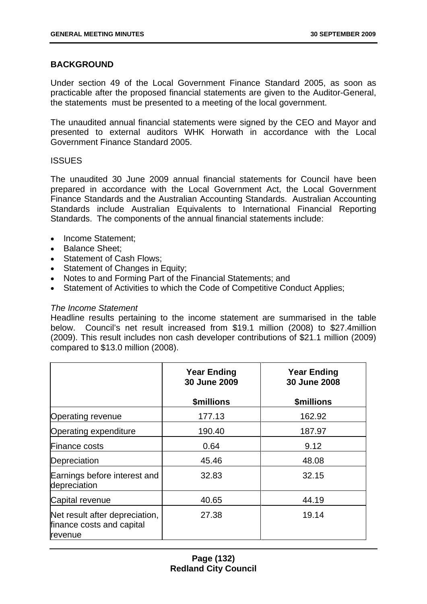### **BACKGROUND**

Under section 49 of the Local Government Finance Standard 2005, as soon as practicable after the proposed financial statements are given to the Auditor-General, the statements must be presented to a meeting of the local government.

The unaudited annual financial statements were signed by the CEO and Mayor and presented to external auditors WHK Horwath in accordance with the Local Government Finance Standard 2005.

#### **ISSUES**

The unaudited 30 June 2009 annual financial statements for Council have been prepared in accordance with the Local Government Act, the Local Government Finance Standards and the Australian Accounting Standards. Australian Accounting Standards include Australian Equivalents to International Financial Reporting Standards. The components of the annual financial statements include:

- Income Statement:
- Balance Sheet;
- Statement of Cash Flows;
- Statement of Changes in Equity:
- Notes to and Forming Part of the Financial Statements; and
- Statement of Activities to which the Code of Competitive Conduct Applies;

#### *The Income Statement*

Headline results pertaining to the income statement are summarised in the table below. Council's net result increased from \$19.1 million (2008) to \$27.4million (2009). This result includes non cash developer contributions of \$21.1 million (2009) compared to \$13.0 million (2008).

|                                                                               | <b>Year Ending</b><br>30 June 2009 | <b>Year Ending</b><br>30 June 2008 |
|-------------------------------------------------------------------------------|------------------------------------|------------------------------------|
|                                                                               | <b>\$millions</b>                  | \$millions                         |
| <b>Operating revenue</b>                                                      | 177.13                             | 162.92                             |
| Operating expenditure                                                         | 190.40                             | 187.97                             |
| <b>Finance costs</b>                                                          | 0.64                               | 9.12                               |
| Depreciation                                                                  | 45.46                              | 48.08                              |
| Earnings before interest and<br>depreciation                                  | 32.83                              | 32.15                              |
| Capital revenue                                                               | 40.65                              | 44.19                              |
| Net result after depreciation,<br>finance costs and capital<br><b>revenue</b> | 27.38                              | 19.14                              |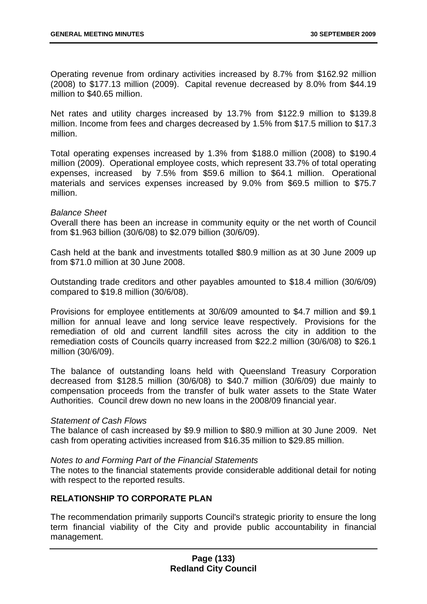Operating revenue from ordinary activities increased by 8.7% from \$162.92 million (2008) to \$177.13 million (2009). Capital revenue decreased by 8.0% from \$44.19 million to \$40.65 million.

Net rates and utility charges increased by 13.7% from \$122.9 million to \$139.8 million. Income from fees and charges decreased by 1.5% from \$17.5 million to \$17.3 million.

Total operating expenses increased by 1.3% from \$188.0 million (2008) to \$190.4 million (2009). Operational employee costs, which represent 33.7% of total operating expenses, increased by 7.5% from \$59.6 million to \$64.1 million. Operational materials and services expenses increased by 9.0% from \$69.5 million to \$75.7 million.

#### *Balance Sheet*

Overall there has been an increase in community equity or the net worth of Council from \$1.963 billion (30/6/08) to \$2.079 billion (30/6/09).

Cash held at the bank and investments totalled \$80.9 million as at 30 June 2009 up from \$71.0 million at 30 June 2008.

Outstanding trade creditors and other payables amounted to \$18.4 million (30/6/09) compared to \$19.8 million (30/6/08).

Provisions for employee entitlements at 30/6/09 amounted to \$4.7 million and \$9.1 million for annual leave and long service leave respectively. Provisions for the remediation of old and current landfill sites across the city in addition to the remediation costs of Councils quarry increased from \$22.2 million (30/6/08) to \$26.1 million (30/6/09).

The balance of outstanding loans held with Queensland Treasury Corporation decreased from \$128.5 million (30/6/08) to \$40.7 million (30/6/09) due mainly to compensation proceeds from the transfer of bulk water assets to the State Water Authorities. Council drew down no new loans in the 2008/09 financial year.

#### *Statement of Cash Flows*

The balance of cash increased by \$9.9 million to \$80.9 million at 30 June 2009. Net cash from operating activities increased from \$16.35 million to \$29.85 million.

#### *Notes to and Forming Part of the Financial Statements*

The notes to the financial statements provide considerable additional detail for noting with respect to the reported results.

# **RELATIONSHIP TO CORPORATE PLAN**

The recommendation primarily supports Council's strategic priority to ensure the long term financial viability of the City and provide public accountability in financial management.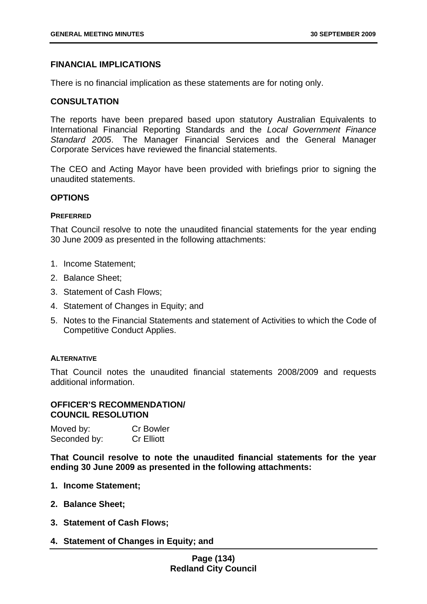#### **FINANCIAL IMPLICATIONS**

There is no financial implication as these statements are for noting only.

#### **CONSULTATION**

The reports have been prepared based upon statutory Australian Equivalents to International Financial Reporting Standards and the *Local Government Finance Standard 2005*. The Manager Financial Services and the General Manager Corporate Services have reviewed the financial statements.

The CEO and Acting Mayor have been provided with briefings prior to signing the unaudited statements.

#### **OPTIONS**

#### **PREFERRED**

That Council resolve to note the unaudited financial statements for the year ending 30 June 2009 as presented in the following attachments:

- 1. Income Statement;
- 2. Balance Sheet;
- 3. Statement of Cash Flows;
- 4. Statement of Changes in Equity; and
- 5. Notes to the Financial Statements and statement of Activities to which the Code of Competitive Conduct Applies.

#### **ALTERNATIVE**

That Council notes the unaudited financial statements 2008/2009 and requests additional information.

### **OFFICER'S RECOMMENDATION/ COUNCIL RESOLUTION**

| Moved by:    | <b>Cr Bowler</b>  |
|--------------|-------------------|
| Seconded by: | <b>Cr Elliott</b> |

**That Council resolve to note the unaudited financial statements for the year ending 30 June 2009 as presented in the following attachments:** 

- **1. Income Statement;**
- **2. Balance Sheet;**
- **3. Statement of Cash Flows;**
- **4. Statement of Changes in Equity; and**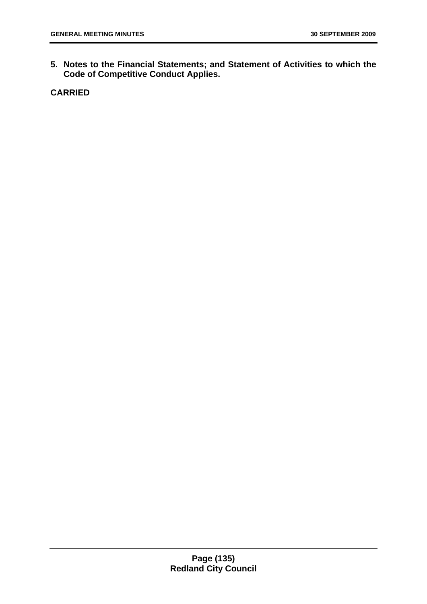**5. Notes to the Financial Statements; and Statement of Activities to which the Code of Competitive Conduct Applies.** 

**CARRIED**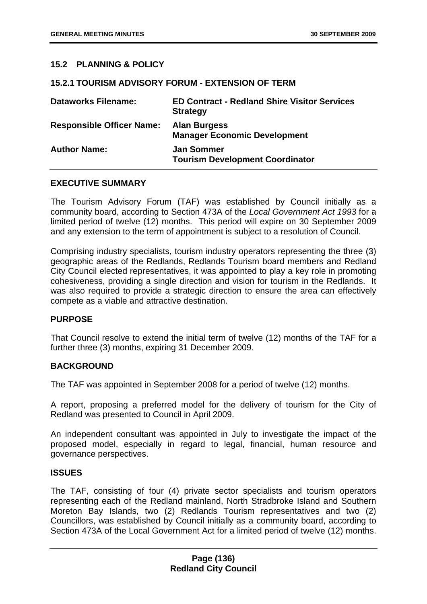# **15.2 PLANNING & POLICY**

#### **15.2.1 TOURISM ADVISORY FORUM - EXTENSION OF TERM**

| <b>Dataworks Filename:</b>       | <b>ED Contract - Redland Shire Visitor Services</b><br><b>Strategy</b> |
|----------------------------------|------------------------------------------------------------------------|
| <b>Responsible Officer Name:</b> | <b>Alan Burgess</b><br><b>Manager Economic Development</b>             |
| <b>Author Name:</b>              | <b>Jan Sommer</b><br><b>Tourism Development Coordinator</b>            |

#### **EXECUTIVE SUMMARY**

The Tourism Advisory Forum (TAF) was established by Council initially as a community board, according to Section 473A of the *Local Government Act 1993* for a limited period of twelve (12) months. This period will expire on 30 September 2009 and any extension to the term of appointment is subject to a resolution of Council.

Comprising industry specialists, tourism industry operators representing the three (3) geographic areas of the Redlands, Redlands Tourism board members and Redland City Council elected representatives, it was appointed to play a key role in promoting cohesiveness, providing a single direction and vision for tourism in the Redlands. It was also required to provide a strategic direction to ensure the area can effectively compete as a viable and attractive destination.

#### **PURPOSE**

That Council resolve to extend the initial term of twelve (12) months of the TAF for a further three (3) months, expiring 31 December 2009.

#### **BACKGROUND**

The TAF was appointed in September 2008 for a period of twelve (12) months.

A report, proposing a preferred model for the delivery of tourism for the City of Redland was presented to Council in April 2009.

An independent consultant was appointed in July to investigate the impact of the proposed model, especially in regard to legal, financial, human resource and governance perspectives.

#### **ISSUES**

The TAF, consisting of four (4) private sector specialists and tourism operators representing each of the Redland mainland, North Stradbroke Island and Southern Moreton Bay Islands, two (2) Redlands Tourism representatives and two (2) Councillors, was established by Council initially as a community board, according to Section 473A of the Local Government Act for a limited period of twelve (12) months.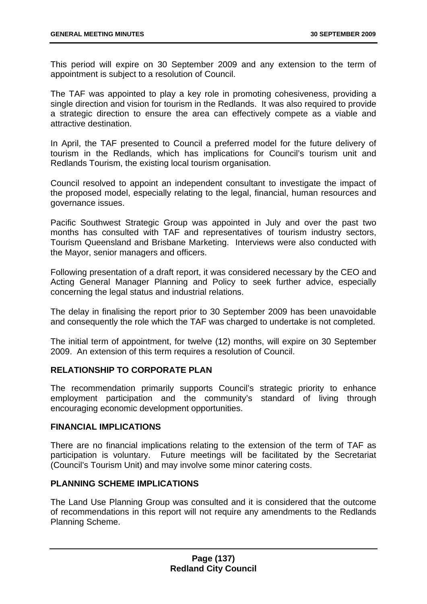This period will expire on 30 September 2009 and any extension to the term of appointment is subject to a resolution of Council.

The TAF was appointed to play a key role in promoting cohesiveness, providing a single direction and vision for tourism in the Redlands. It was also required to provide a strategic direction to ensure the area can effectively compete as a viable and attractive destination.

In April, the TAF presented to Council a preferred model for the future delivery of tourism in the Redlands, which has implications for Council's tourism unit and Redlands Tourism, the existing local tourism organisation.

Council resolved to appoint an independent consultant to investigate the impact of the proposed model, especially relating to the legal, financial, human resources and governance issues.

Pacific Southwest Strategic Group was appointed in July and over the past two months has consulted with TAF and representatives of tourism industry sectors, Tourism Queensland and Brisbane Marketing. Interviews were also conducted with the Mayor, senior managers and officers.

Following presentation of a draft report, it was considered necessary by the CEO and Acting General Manager Planning and Policy to seek further advice, especially concerning the legal status and industrial relations.

The delay in finalising the report prior to 30 September 2009 has been unavoidable and consequently the role which the TAF was charged to undertake is not completed.

The initial term of appointment, for twelve (12) months, will expire on 30 September 2009. An extension of this term requires a resolution of Council.

# **RELATIONSHIP TO CORPORATE PLAN**

The recommendation primarily supports Council's strategic priority to enhance employment participation and the community's standard of living through encouraging economic development opportunities.

#### **FINANCIAL IMPLICATIONS**

There are no financial implications relating to the extension of the term of TAF as participation is voluntary. Future meetings will be facilitated by the Secretariat (Council's Tourism Unit) and may involve some minor catering costs.

# **PLANNING SCHEME IMPLICATIONS**

The Land Use Planning Group was consulted and it is considered that the outcome of recommendations in this report will not require any amendments to the Redlands Planning Scheme.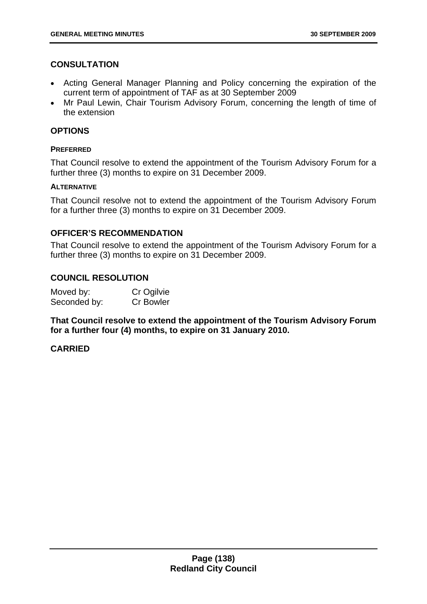# **CONSULTATION**

- Acting General Manager Planning and Policy concerning the expiration of the current term of appointment of TAF as at 30 September 2009
- Mr Paul Lewin, Chair Tourism Advisory Forum, concerning the length of time of the extension

### **OPTIONS**

#### **PREFERRED**

That Council resolve to extend the appointment of the Tourism Advisory Forum for a further three (3) months to expire on 31 December 2009.

### **ALTERNATIVE**

That Council resolve not to extend the appointment of the Tourism Advisory Forum for a further three (3) months to expire on 31 December 2009.

### **OFFICER'S RECOMMENDATION**

That Council resolve to extend the appointment of the Tourism Advisory Forum for a further three (3) months to expire on 31 December 2009.

### **COUNCIL RESOLUTION**

| Moved by:    | Cr Ogilvie       |
|--------------|------------------|
| Seconded by: | <b>Cr Bowler</b> |

**That Council resolve to extend the appointment of the Tourism Advisory Forum for a further four (4) months, to expire on 31 January 2010.** 

# **CARRIED**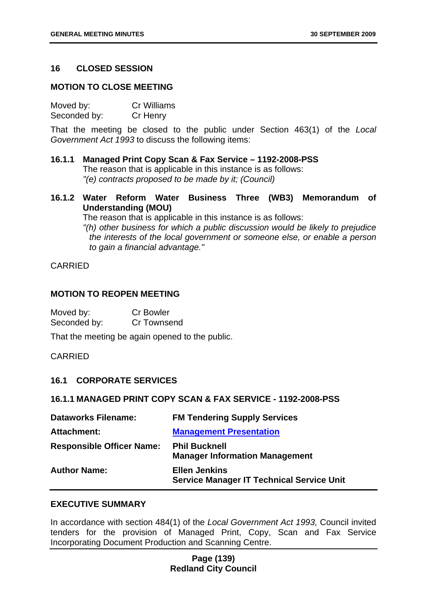### **16 CLOSED SESSION**

#### **MOTION TO CLOSE MEETING**

Moved by: Cr Williams Seconded by: Cr Henry

That the meeting be closed to the public under Section 463(1) of the *Local Government Act 1993* to discuss the following items:

**16.1.1 Managed Print Copy Scan & Fax Service – 1192-2008-PSS**  The reason that is applicable in this instance is as follows: *"(e) contracts proposed to be made by it; (Council)* 

**16.1.2 Water Reform Water Business Three (WB3) Memorandum of Understanding (MOU)** 

The reason that is applicable in this instance is as follows:

*"(h) other business for which a public discussion would be likely to prejudice the interests of the local government or someone else, or enable a person to gain a financial advantage."* 

### CARRIED

#### **MOTION TO REOPEN MEETING**

| Moved by:    | <b>Cr Bowler</b> |
|--------------|------------------|
| Seconded by: | Cr Townsend      |

That the meeting be again opened to the public.

#### CARRIED

#### **16.1 CORPORATE SERVICES**

#### **16.1.1 MANAGED PRINT COPY SCAN & FAX SERVICE - 1192-2008-PSS**

| <b>Dataworks Filename:</b>       | <b>FM Tendering Supply Services</b>                                      |
|----------------------------------|--------------------------------------------------------------------------|
| Attachment:                      | <b>Management Presentation</b>                                           |
| <b>Responsible Officer Name:</b> | <b>Phil Bucknell</b><br><b>Manager Information Management</b>            |
| <b>Author Name:</b>              | <b>Ellen Jenkins</b><br><b>Service Manager IT Technical Service Unit</b> |

#### **EXECUTIVE SUMMARY**

In accordance with section 484(1) of the *Local Government Act 1993,* Council invited tenders for the provision of Managed Print, Copy, Scan and Fax Service Incorporating Document Production and Scanning Centre.

### **Page (139) Redland City Council**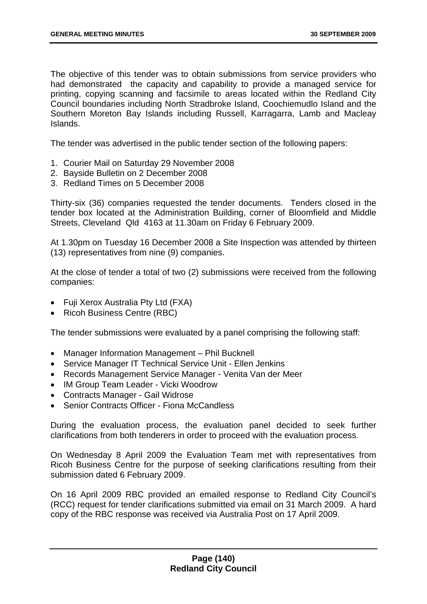The objective of this tender was to obtain submissions from service providers who had demonstrated the capacity and capability to provide a managed service for printing, copying scanning and facsimile to areas located within the Redland City Council boundaries including North Stradbroke Island, Coochiemudlo Island and the Southern Moreton Bay Islands including Russell, Karragarra, Lamb and Macleay Islands.

The tender was advertised in the public tender section of the following papers:

- 1. Courier Mail on Saturday 29 November 2008
- 2. Bayside Bulletin on 2 December 2008
- 3. Redland Times on 5 December 2008

Thirty-six (36) companies requested the tender documents. Tenders closed in the tender box located at the Administration Building, corner of Bloomfield and Middle Streets, Cleveland Qld 4163 at 11.30am on Friday 6 February 2009.

At 1.30pm on Tuesday 16 December 2008 a Site Inspection was attended by thirteen (13) representatives from nine (9) companies.

At the close of tender a total of two (2) submissions were received from the following companies:

- Fuji Xerox Australia Pty Ltd (FXA)
- Ricoh Business Centre (RBC)

The tender submissions were evaluated by a panel comprising the following staff:

- Manager Information Management Phil Bucknell
- Service Manager IT Technical Service Unit Ellen Jenkins
- Records Management Service Manager Venita Van der Meer
- IM Group Team Leader Vicki Woodrow
- Contracts Manager Gail Widrose
- Senior Contracts Officer Fiona McCandless

During the evaluation process, the evaluation panel decided to seek further clarifications from both tenderers in order to proceed with the evaluation process.

On Wednesday 8 April 2009 the Evaluation Team met with representatives from Ricoh Business Centre for the purpose of seeking clarifications resulting from their submission dated 6 February 2009.

On 16 April 2009 RBC provided an emailed response to Redland City Council's (RCC) request for tender clarifications submitted via email on 31 March 2009. A hard copy of the RBC response was received via Australia Post on 17 April 2009.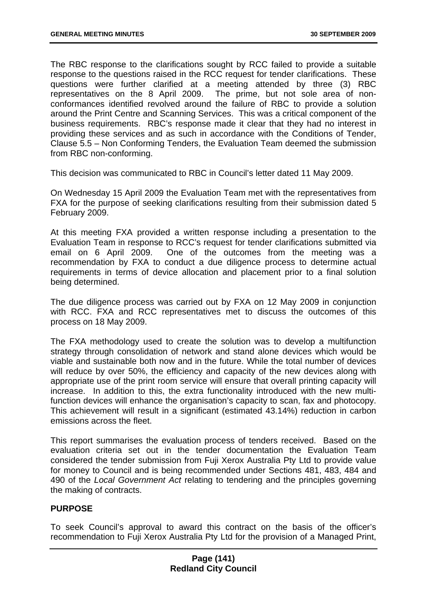The RBC response to the clarifications sought by RCC failed to provide a suitable response to the questions raised in the RCC request for tender clarifications. These questions were further clarified at a meeting attended by three (3) RBC representatives on the 8 April 2009. The prime, but not sole area of nonconformances identified revolved around the failure of RBC to provide a solution around the Print Centre and Scanning Services. This was a critical component of the business requirements. RBC's response made it clear that they had no interest in providing these services and as such in accordance with the Conditions of Tender, Clause 5.5 – Non Conforming Tenders, the Evaluation Team deemed the submission from RBC non-conforming.

This decision was communicated to RBC in Council's letter dated 11 May 2009.

On Wednesday 15 April 2009 the Evaluation Team met with the representatives from FXA for the purpose of seeking clarifications resulting from their submission dated 5 February 2009.

At this meeting FXA provided a written response including a presentation to the Evaluation Team in response to RCC's request for tender clarifications submitted via email on 6 April 2009. One of the outcomes from the meeting was a recommendation by FXA to conduct a due diligence process to determine actual requirements in terms of device allocation and placement prior to a final solution being determined.

The due diligence process was carried out by FXA on 12 May 2009 in conjunction with RCC. FXA and RCC representatives met to discuss the outcomes of this process on 18 May 2009.

The FXA methodology used to create the solution was to develop a multifunction strategy through consolidation of network and stand alone devices which would be viable and sustainable both now and in the future. While the total number of devices will reduce by over 50%, the efficiency and capacity of the new devices along with appropriate use of the print room service will ensure that overall printing capacity will increase. In addition to this, the extra functionality introduced with the new multifunction devices will enhance the organisation's capacity to scan, fax and photocopy. This achievement will result in a significant (estimated 43.14%) reduction in carbon emissions across the fleet.

This report summarises the evaluation process of tenders received. Based on the evaluation criteria set out in the tender documentation the Evaluation Team considered the tender submission from Fuji Xerox Australia Pty Ltd to provide value for money to Council and is being recommended under Sections 481, 483, 484 and 490 of the *Local Government Act* relating to tendering and the principles governing the making of contracts.

# **PURPOSE**

To seek Council's approval to award this contract on the basis of the officer's recommendation to Fuji Xerox Australia Pty Ltd for the provision of a Managed Print,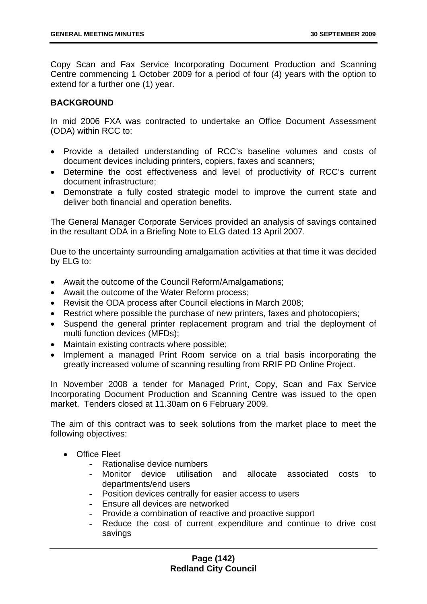Copy Scan and Fax Service Incorporating Document Production and Scanning Centre commencing 1 October 2009 for a period of four (4) years with the option to extend for a further one (1) year.

### **BACKGROUND**

In mid 2006 FXA was contracted to undertake an Office Document Assessment (ODA) within RCC to:

- Provide a detailed understanding of RCC's baseline volumes and costs of document devices including printers, copiers, faxes and scanners;
- Determine the cost effectiveness and level of productivity of RCC's current document infrastructure;
- Demonstrate a fully costed strategic model to improve the current state and deliver both financial and operation benefits.

The General Manager Corporate Services provided an analysis of savings contained in the resultant ODA in a Briefing Note to ELG dated 13 April 2007.

Due to the uncertainty surrounding amalgamation activities at that time it was decided by ELG to:

- Await the outcome of the Council Reform/Amalgamations;
- Await the outcome of the Water Reform process;
- Revisit the ODA process after Council elections in March 2008;
- Restrict where possible the purchase of new printers, faxes and photocopiers;
- Suspend the general printer replacement program and trial the deployment of multi function devices (MFDs);
- Maintain existing contracts where possible;
- Implement a managed Print Room service on a trial basis incorporating the greatly increased volume of scanning resulting from RRIF PD Online Project.

In November 2008 a tender for Managed Print, Copy, Scan and Fax Service Incorporating Document Production and Scanning Centre was issued to the open market. Tenders closed at 11.30am on 6 February 2009.

The aim of this contract was to seek solutions from the market place to meet the following objectives:

- Office Fleet
	- *-* Rationalise device numbers
	- *-* Monitor device utilisation and allocate associated costs to departments/end users
	- *-* Position devices centrally for easier access to users
	- *-* Ensure all devices are networked
	- *-* Provide a combination of reactive and proactive support
	- *-* Reduce the cost of current expenditure and continue to drive cost savings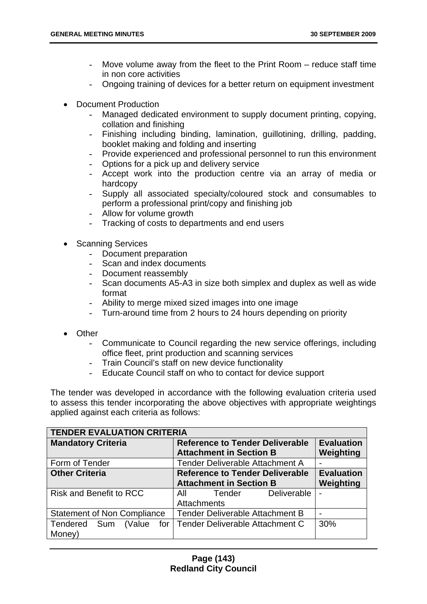- *-* Move volume away from the fleet to the Print Room reduce staff time in non core activities
- *-* Ongoing training of devices for a better return on equipment investment
- Document Production
	- *-* Managed dedicated environment to supply document printing, copying, collation and finishing
	- *-* Finishing including binding, lamination, guillotining, drilling, padding, booklet making and folding and inserting
	- *-* Provide experienced and professional personnel to run this environment
	- *-* Options for a pick up and delivery service
	- *-* Accept work into the production centre via an array of media or hardcopy
	- *-* Supply all associated specialty/coloured stock and consumables to perform a professional print/copy and finishing job
	- *-* Allow for volume growth
	- *-* Tracking of costs to departments and end users
- **Scanning Services** 
	- *-* Document preparation
	- *-* Scan and index documents
	- *-* Document reassembly
	- *-* Scan documents A5-A3 in size both simplex and duplex as well as wide format
	- *-* Ability to merge mixed sized images into one image
	- *-* Turn-around time from 2 hours to 24 hours depending on priority
- Other
	- *-* Communicate to Council regarding the new service offerings, including office fleet, print production and scanning services
	- *-* Train Council's staff on new device functionality
	- *-* Educate Council staff on who to contact for device support

The tender was developed in accordance with the following evaluation criteria used to assess this tender incorporating the above objectives with appropriate weightings applied against each criteria as follows:

| <b>TENDER EVALUATION CRITERIA</b>  |                                        |                   |  |
|------------------------------------|----------------------------------------|-------------------|--|
| <b>Mandatory Criteria</b>          | <b>Reference to Tender Deliverable</b> | <b>Evaluation</b> |  |
|                                    | <b>Attachment in Section B</b>         | Weighting         |  |
| Form of Tender                     | <b>Tender Deliverable Attachment A</b> |                   |  |
| <b>Other Criteria</b>              | <b>Reference to Tender Deliverable</b> | <b>Evaluation</b> |  |
|                                    | <b>Attachment in Section B</b>         | Weighting         |  |
| <b>Risk and Benefit to RCC</b>     | Deliverable<br>All Tender              | ۰                 |  |
|                                    | <b>Attachments</b>                     |                   |  |
| <b>Statement of Non Compliance</b> | <b>Tender Deliverable Attachment B</b> |                   |  |
| (Value<br>Tendered Sum<br>for I    | Tender Deliverable Attachment C        | 30%               |  |
| Money)                             |                                        |                   |  |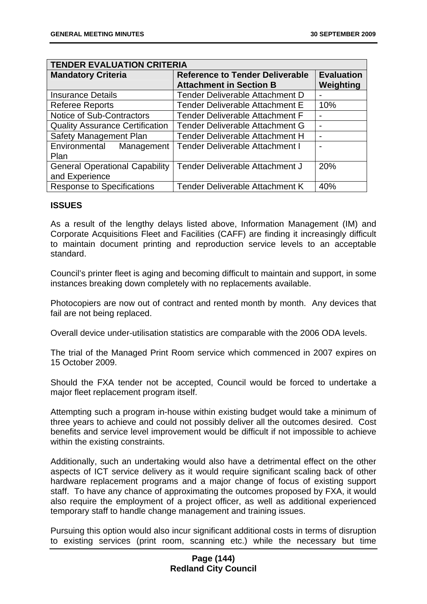| <b>TENDER EVALUATION CRITERIA</b>      |                                        |                   |
|----------------------------------------|----------------------------------------|-------------------|
| <b>Mandatory Criteria</b>              | <b>Reference to Tender Deliverable</b> | <b>Evaluation</b> |
|                                        | <b>Attachment in Section B</b>         | Weighting         |
| <b>Insurance Details</b>               | Tender Deliverable Attachment D        |                   |
| <b>Referee Reports</b>                 | <b>Tender Deliverable Attachment E</b> | 10%               |
| Notice of Sub-Contractors              | <b>Tender Deliverable Attachment F</b> |                   |
| <b>Quality Assurance Certification</b> | Tender Deliverable Attachment G        |                   |
| Safety Management Plan                 | <b>Tender Deliverable Attachment H</b> |                   |
| Environmental Management               | <b>Tender Deliverable Attachment I</b> |                   |
| Plan                                   |                                        |                   |
| <b>General Operational Capability</b>  | Tender Deliverable Attachment J        | 20%               |
| and Experience                         |                                        |                   |
| <b>Response to Specifications</b>      | Tender Deliverable Attachment K        | 40%               |

## **ISSUES**

As a result of the lengthy delays listed above, Information Management (IM) and Corporate Acquisitions Fleet and Facilities (CAFF) are finding it increasingly difficult to maintain document printing and reproduction service levels to an acceptable standard.

Council's printer fleet is aging and becoming difficult to maintain and support, in some instances breaking down completely with no replacements available.

Photocopiers are now out of contract and rented month by month. Any devices that fail are not being replaced.

Overall device under-utilisation statistics are comparable with the 2006 ODA levels.

The trial of the Managed Print Room service which commenced in 2007 expires on 15 October 2009.

Should the FXA tender not be accepted, Council would be forced to undertake a major fleet replacement program itself.

Attempting such a program in-house within existing budget would take a minimum of three years to achieve and could not possibly deliver all the outcomes desired. Cost benefits and service level improvement would be difficult if not impossible to achieve within the existing constraints.

Additionally, such an undertaking would also have a detrimental effect on the other aspects of ICT service delivery as it would require significant scaling back of other hardware replacement programs and a major change of focus of existing support staff. To have any chance of approximating the outcomes proposed by FXA, it would also require the employment of a project officer, as well as additional experienced temporary staff to handle change management and training issues.

Pursuing this option would also incur significant additional costs in terms of disruption to existing services (print room, scanning etc.) while the necessary but time

## **Page (144) Redland City Council**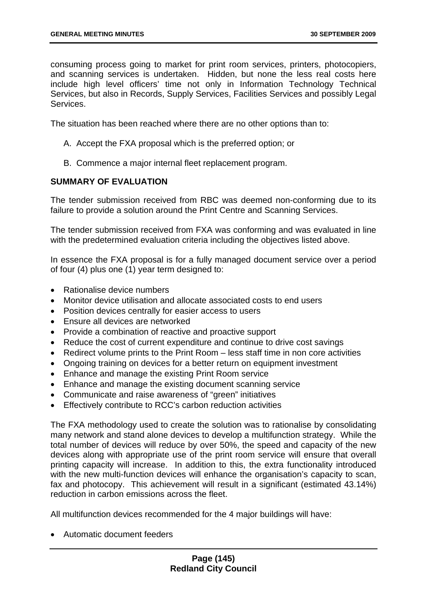consuming process going to market for print room services, printers, photocopiers, and scanning services is undertaken. Hidden, but none the less real costs here include high level officers' time not only in Information Technology Technical Services, but also in Records, Supply Services, Facilities Services and possibly Legal Services.

The situation has been reached where there are no other options than to:

- A. Accept the FXA proposal which is the preferred option; or
- B. Commence a major internal fleet replacement program.

## **SUMMARY OF EVALUATION**

The tender submission received from RBC was deemed non-conforming due to its failure to provide a solution around the Print Centre and Scanning Services.

The tender submission received from FXA was conforming and was evaluated in line with the predetermined evaluation criteria including the objectives listed above.

In essence the FXA proposal is for a fully managed document service over a period of four (4) plus one (1) year term designed to:

- Rationalise device numbers
- Monitor device utilisation and allocate associated costs to end users
- Position devices centrally for easier access to users
- Ensure all devices are networked
- Provide a combination of reactive and proactive support
- Reduce the cost of current expenditure and continue to drive cost savings
- Redirect volume prints to the Print Room less staff time in non core activities
- Ongoing training on devices for a better return on equipment investment
- Enhance and manage the existing Print Room service
- Enhance and manage the existing document scanning service
- Communicate and raise awareness of "green" initiatives
- Effectively contribute to RCC's carbon reduction activities

The FXA methodology used to create the solution was to rationalise by consolidating many network and stand alone devices to develop a multifunction strategy. While the total number of devices will reduce by over 50%, the speed and capacity of the new devices along with appropriate use of the print room service will ensure that overall printing capacity will increase. In addition to this, the extra functionality introduced with the new multi-function devices will enhance the organisation's capacity to scan, fax and photocopy. This achievement will result in a significant (estimated 43.14%) reduction in carbon emissions across the fleet.

All multifunction devices recommended for the 4 major buildings will have:

• Automatic document feeders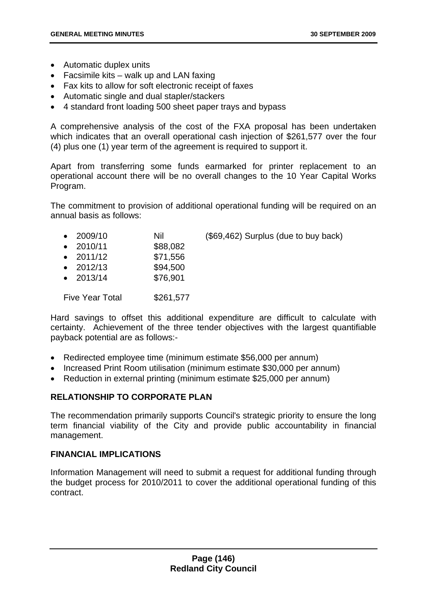- Automatic duplex units
- Facsimile kits walk up and LAN faxing
- Fax kits to allow for soft electronic receipt of faxes
- Automatic single and dual stapler/stackers
- 4 standard front loading 500 sheet paper trays and bypass

A comprehensive analysis of the cost of the FXA proposal has been undertaken which indicates that an overall operational cash injection of \$261,577 over the four (4) plus one (1) year term of the agreement is required to support it.

Apart from transferring some funds earmarked for printer replacement to an operational account there will be no overall changes to the 10 Year Capital Works Program.

The commitment to provision of additional operational funding will be required on an annual basis as follows:

| $\bullet$ 2009/10 | Nil | (\$69,462) Surplus (due to buy back) |  |  |
|-------------------|-----|--------------------------------------|--|--|
|                   | .   |                                      |  |  |

- 2010/11 \$88,082
- 2011/12 \$71,556
- $2012/13$  \$94.500
- 2013/14 \$76,901

Five Year Total \$261.577

Hard savings to offset this additional expenditure are difficult to calculate with certainty. Achievement of the three tender objectives with the largest quantifiable payback potential are as follows:-

- Redirected employee time (minimum estimate \$56,000 per annum)
- Increased Print Room utilisation (minimum estimate \$30,000 per annum)
- Reduction in external printing (minimum estimate \$25,000 per annum)

# **RELATIONSHIP TO CORPORATE PLAN**

The recommendation primarily supports Council's strategic priority to ensure the long term financial viability of the City and provide public accountability in financial management.

# **FINANCIAL IMPLICATIONS**

Information Management will need to submit a request for additional funding through the budget process for 2010/2011 to cover the additional operational funding of this contract.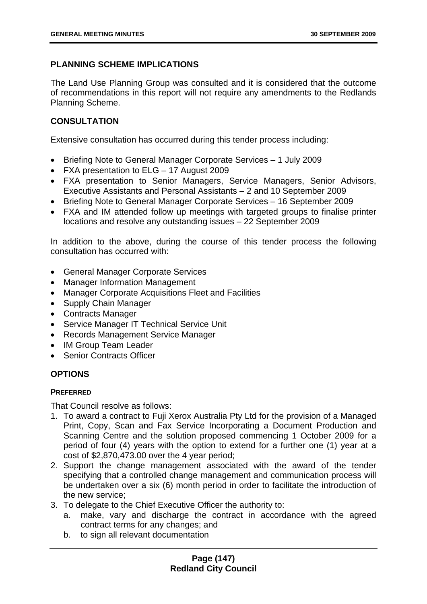# **PLANNING SCHEME IMPLICATIONS**

The Land Use Planning Group was consulted and it is considered that the outcome of recommendations in this report will not require any amendments to the Redlands Planning Scheme.

# **CONSULTATION**

Extensive consultation has occurred during this tender process including:

- Briefing Note to General Manager Corporate Services 1 July 2009
- FXA presentation to ELG 17 August 2009
- FXA presentation to Senior Managers, Service Managers, Senior Advisors, Executive Assistants and Personal Assistants – 2 and 10 September 2009
- Briefing Note to General Manager Corporate Services 16 September 2009
- FXA and IM attended follow up meetings with targeted groups to finalise printer locations and resolve any outstanding issues – 22 September 2009

In addition to the above, during the course of this tender process the following consultation has occurred with:

- General Manager Corporate Services
- Manager Information Management
- Manager Corporate Acquisitions Fleet and Facilities
- Supply Chain Manager
- Contracts Manager
- Service Manager IT Technical Service Unit
- Records Management Service Manager
- IM Group Team Leader
- Senior Contracts Officer

# **OPTIONS**

### **PREFERRED**

That Council resolve as follows:

- 1. To award a contract to Fuji Xerox Australia Pty Ltd for the provision of a Managed Print, Copy, Scan and Fax Service Incorporating a Document Production and Scanning Centre and the solution proposed commencing 1 October 2009 for a period of four (4) years with the option to extend for a further one (1) year at a cost of \$2,870,473.00 over the 4 year period;
- 2. Support the change management associated with the award of the tender specifying that a controlled change management and communication process will be undertaken over a six (6) month period in order to facilitate the introduction of the new service;
- 3. To delegate to the Chief Executive Officer the authority to:
	- a. make, vary and discharge the contract in accordance with the agreed contract terms for any changes; and
	- b. to sign all relevant documentation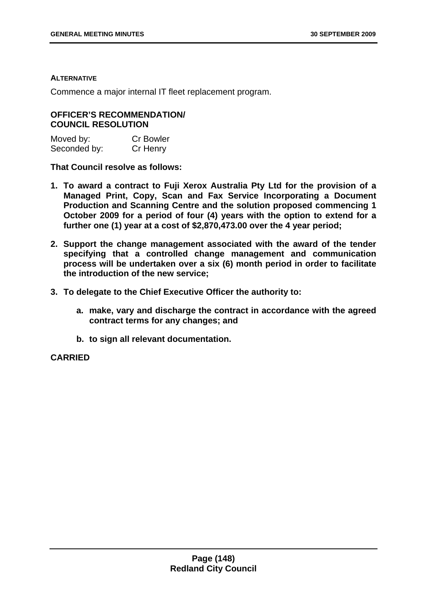#### **ALTERNATIVE**

Commence a major internal IT fleet replacement program.

## **OFFICER'S RECOMMENDATION/ COUNCIL RESOLUTION**

| Moved by:    | <b>Cr Bowler</b> |
|--------------|------------------|
| Seconded by: | Cr Henry         |

**That Council resolve as follows:** 

- **1. To award a contract to Fuji Xerox Australia Pty Ltd for the provision of a Managed Print, Copy, Scan and Fax Service Incorporating a Document Production and Scanning Centre and the solution proposed commencing 1 October 2009 for a period of four (4) years with the option to extend for a further one (1) year at a cost of \$2,870,473.00 over the 4 year period;**
- **2. Support the change management associated with the award of the tender specifying that a controlled change management and communication process will be undertaken over a six (6) month period in order to facilitate the introduction of the new service;**
- **3. To delegate to the Chief Executive Officer the authority to:** 
	- **a. make, vary and discharge the contract in accordance with the agreed contract terms for any changes; and**
	- **b. to sign all relevant documentation.**

## **CARRIED**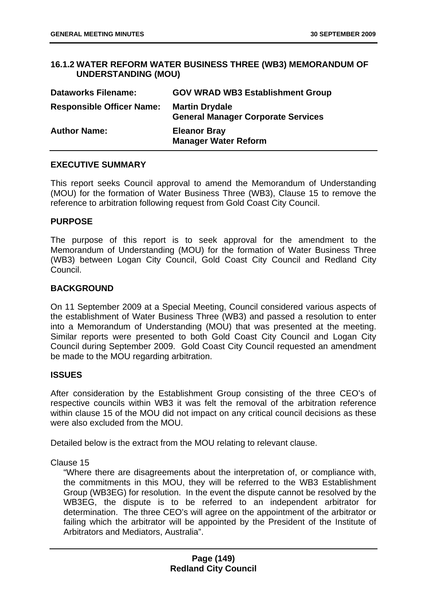## **16.1.2 WATER REFORM WATER BUSINESS THREE (WB3) MEMORANDUM OF UNDERSTANDING (MOU)**

| <b>Dataworks Filename:</b>       | <b>GOV WRAD WB3 Establishment Group</b>                            |
|----------------------------------|--------------------------------------------------------------------|
| <b>Responsible Officer Name:</b> | <b>Martin Drydale</b><br><b>General Manager Corporate Services</b> |
| <b>Author Name:</b>              | <b>Eleanor Bray</b><br><b>Manager Water Reform</b>                 |

### **EXECUTIVE SUMMARY**

This report seeks Council approval to amend the Memorandum of Understanding (MOU) for the formation of Water Business Three (WB3), Clause 15 to remove the reference to arbitration following request from Gold Coast City Council.

#### **PURPOSE**

The purpose of this report is to seek approval for the amendment to the Memorandum of Understanding (MOU) for the formation of Water Business Three (WB3) between Logan City Council, Gold Coast City Council and Redland City Council.

### **BACKGROUND**

On 11 September 2009 at a Special Meeting, Council considered various aspects of the establishment of Water Business Three (WB3) and passed a resolution to enter into a Memorandum of Understanding (MOU) that was presented at the meeting. Similar reports were presented to both Gold Coast City Council and Logan City Council during September 2009. Gold Coast City Council requested an amendment be made to the MOU regarding arbitration.

#### **ISSUES**

After consideration by the Establishment Group consisting of the three CEO's of respective councils within WB3 it was felt the removal of the arbitration reference within clause 15 of the MOU did not impact on any critical council decisions as these were also excluded from the MOU.

Detailed below is the extract from the MOU relating to relevant clause.

Clause 15

"Where there are disagreements about the interpretation of, or compliance with, the commitments in this MOU, they will be referred to the WB3 Establishment Group (WB3EG) for resolution. In the event the dispute cannot be resolved by the WB3EG, the dispute is to be referred to an independent arbitrator for determination. The three CEO's will agree on the appointment of the arbitrator or failing which the arbitrator will be appointed by the President of the Institute of Arbitrators and Mediators, Australia".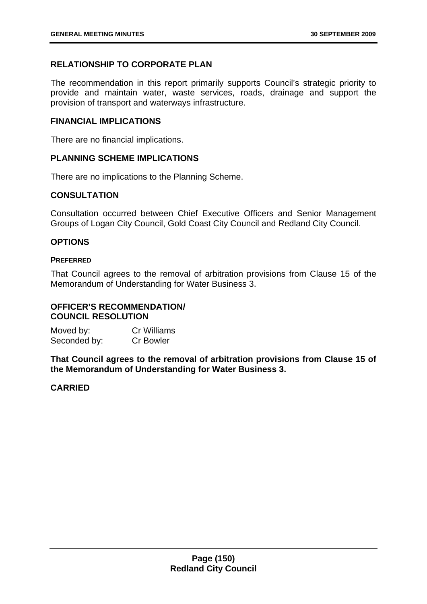# **RELATIONSHIP TO CORPORATE PLAN**

The recommendation in this report primarily supports Council's strategic priority to provide and maintain water, waste services, roads, drainage and support the provision of transport and waterways infrastructure.

## **FINANCIAL IMPLICATIONS**

There are no financial implications.

### **PLANNING SCHEME IMPLICATIONS**

There are no implications to the Planning Scheme.

## **CONSULTATION**

Consultation occurred between Chief Executive Officers and Senior Management Groups of Logan City Council, Gold Coast City Council and Redland City Council.

# **OPTIONS**

### **PREFERRED**

That Council agrees to the removal of arbitration provisions from Clause 15 of the Memorandum of Understanding for Water Business 3.

# **OFFICER'S RECOMMENDATION/ COUNCIL RESOLUTION**

Moved by: Cr Williams Seconded by: Cr Bowler

**That Council agrees to the removal of arbitration provisions from Clause 15 of the Memorandum of Understanding for Water Business 3.** 

# **CARRIED**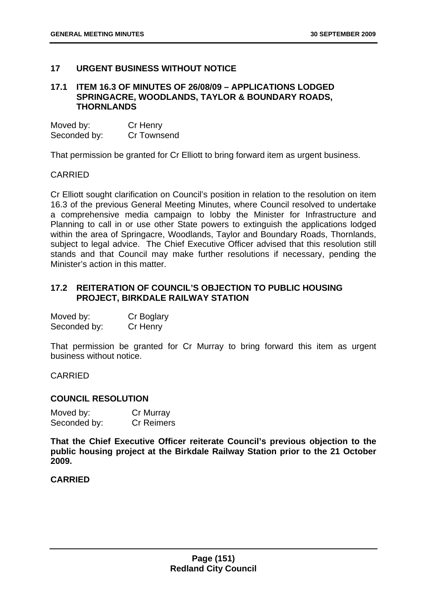## **17 URGENT BUSINESS WITHOUT NOTICE**

## **17.1 ITEM 16.3 OF MINUTES OF 26/08/09 – APPLICATIONS LODGED SPRINGACRE, WOODLANDS, TAYLOR & BOUNDARY ROADS, THORNLANDS**

| Moved by:    | Cr Henry    |
|--------------|-------------|
| Seconded by: | Cr Townsend |

That permission be granted for Cr Elliott to bring forward item as urgent business.

### CARRIED

Cr Elliott sought clarification on Council's position in relation to the resolution on item 16.3 of the previous General Meeting Minutes, where Council resolved to undertake a comprehensive media campaign to lobby the Minister for Infrastructure and Planning to call in or use other State powers to extinguish the applications lodged within the area of Springacre, Woodlands, Taylor and Boundary Roads, Thornlands, subject to legal advice. The Chief Executive Officer advised that this resolution still stands and that Council may make further resolutions if necessary, pending the Minister's action in this matter.

# **17.2 REITERATION OF COUNCIL'S OBJECTION TO PUBLIC HOUSING PROJECT, BIRKDALE RAILWAY STATION**

| Moved by:    | Cr Boglary |
|--------------|------------|
| Seconded by: | Cr Henry   |

That permission be granted for Cr Murray to bring forward this item as urgent business without notice.

CARRIED

### **COUNCIL RESOLUTION**

| Moved by:    | Cr Murray         |
|--------------|-------------------|
| Seconded by: | <b>Cr Reimers</b> |

**That the Chief Executive Officer reiterate Council's previous objection to the public housing project at the Birkdale Railway Station prior to the 21 October 2009.** 

## **CARRIED**